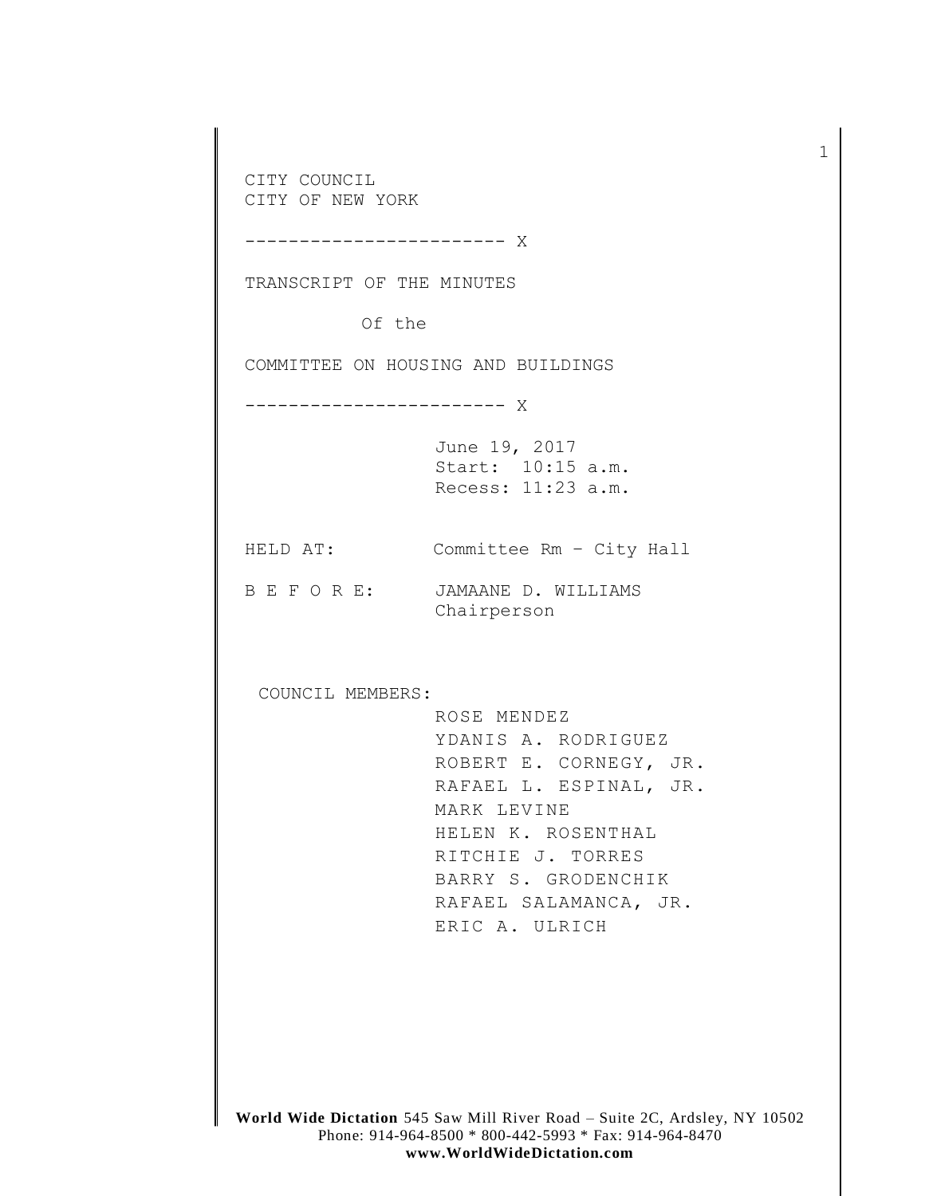CITY COUNCIL CITY OF NEW YORK ------------------------ X TRANSCRIPT OF THE MINUTES Of the COMMITTEE ON HOUSING AND BUILDINGS ------------------------ X June 19, 2017 Start: 10:15 a.m. Recess: 11:23 a.m. HELD AT: Committee Rm – City Hall B E F O R E: JAMAANE D. WILLIAMS Chairperson COUNCIL MEMBERS: ROSE MENDEZ YDANIS A. RODRIGUEZ ROBERT E. CORNEGY, JR. RAFAEL L. ESPINAL, JR. MARK LEVINE HELEN K. ROSENTHAL RITCHIE J. TORRES BARRY S. GRODENCHIK RAFAEL SALAMANCA, JR. ERIC A. ULRICH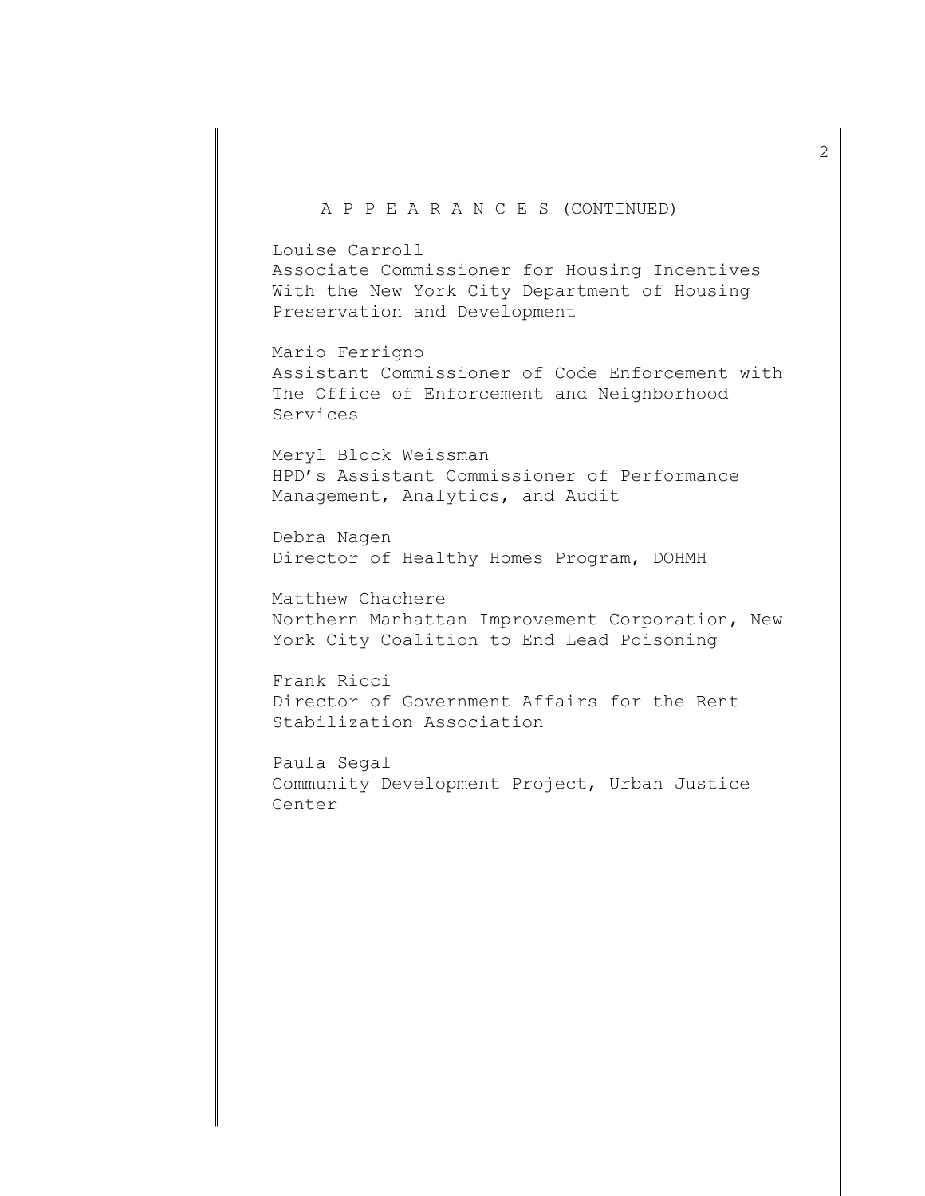## A P P E A R A N C E S (CONTINUED)

Louise Carroll Associate Commissioner for Housing Incentives With the New York City Department of Housing Preservation and Development

Mario Ferrigno Assistant Commissioner of Code Enforcement with The Office of Enforcement and Neighborhood Services

Meryl Block Weissman HPD's Assistant Commissioner of Performance Management, Analytics, and Audit

Debra Nagen Director of Healthy Homes Program, DOHMH

Matthew Chachere Northern Manhattan Improvement Corporation, New York City Coalition to End Lead Poisoning

Frank Ricci Director of Government Affairs for the Rent Stabilization Association

Paula Segal Community Development Project, Urban Justice Center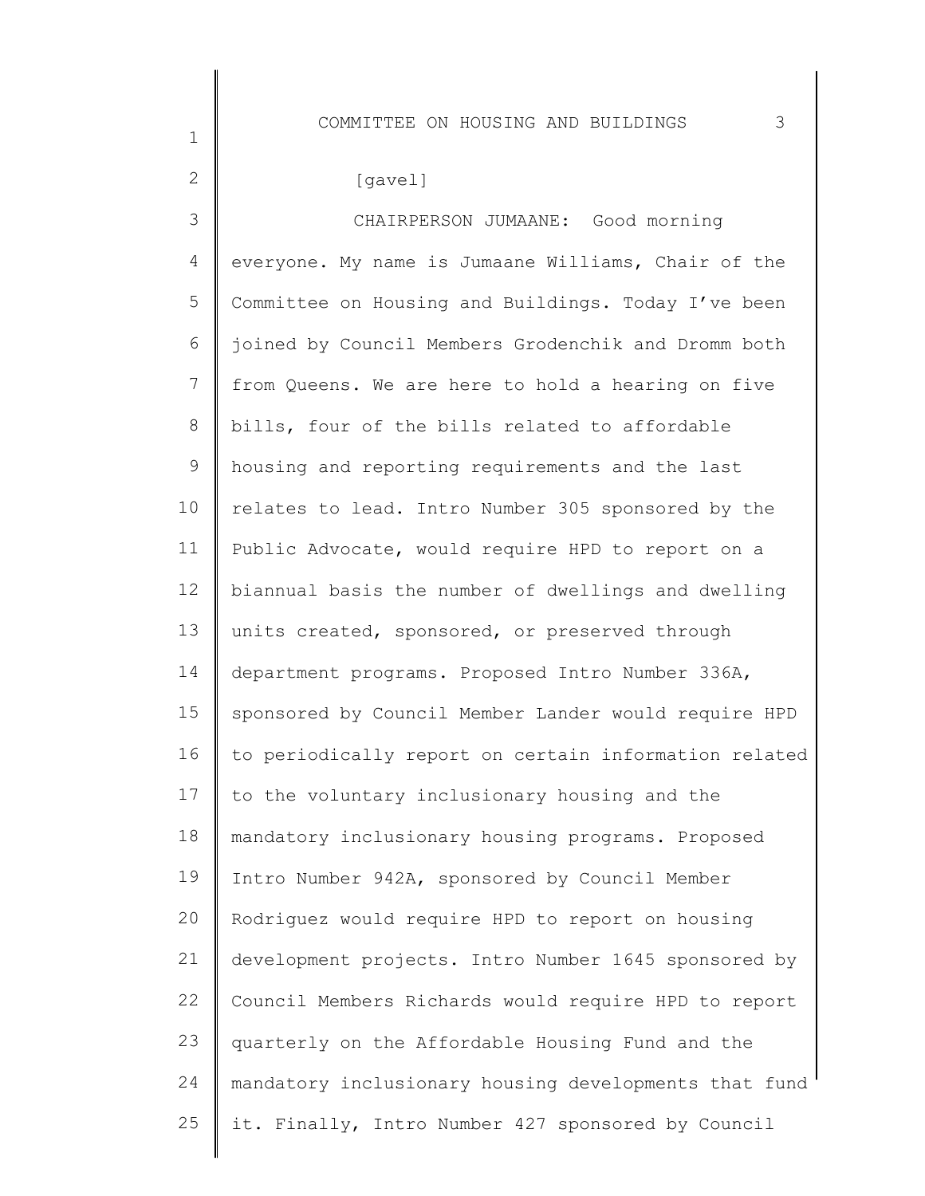## [gavel]

1

2

3 4 5 6 7 8 9 10 11 12 13 14 15 16 17 18 19  $20$ 21 22 23 24 25 CHAIRPERSON JUMAANE: Good morning everyone. My name is Jumaane Williams, Chair of the Committee on Housing and Buildings. Today I've been joined by Council Members Grodenchik and Dromm both from Queens. We are here to hold a hearing on five bills, four of the bills related to affordable housing and reporting requirements and the last relates to lead. Intro Number 305 sponsored by the Public Advocate, would require HPD to report on a biannual basis the number of dwellings and dwelling units created, sponsored, or preserved through department programs. Proposed Intro Number 336A, sponsored by Council Member Lander would require HPD to periodically report on certain information related to the voluntary inclusionary housing and the mandatory inclusionary housing programs. Proposed Intro Number 942A, sponsored by Council Member Rodriguez would require HPD to report on housing development projects. Intro Number 1645 sponsored by Council Members Richards would require HPD to report quarterly on the Affordable Housing Fund and the mandatory inclusionary housing developments that fund it. Finally, Intro Number 427 sponsored by Council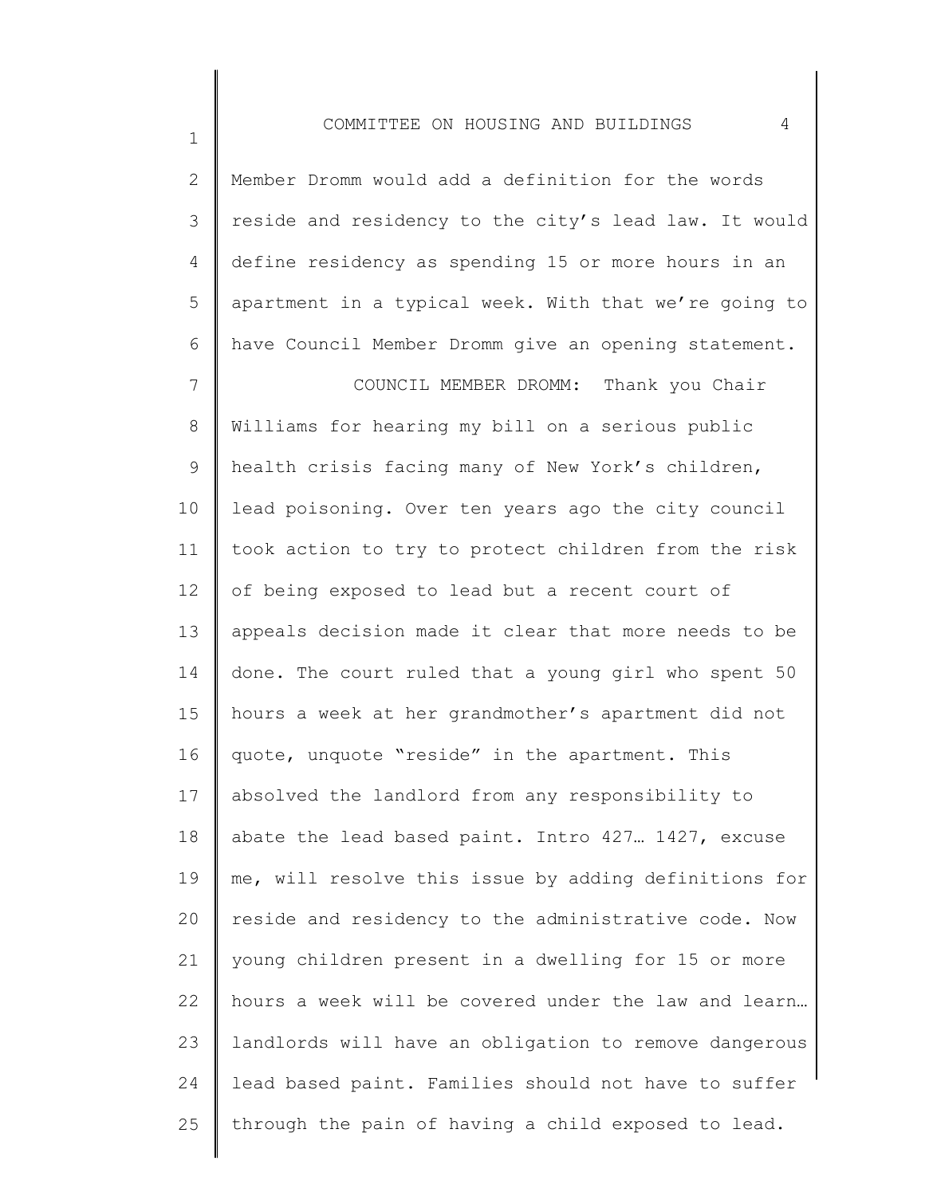| $\mathbf{2}$   | Member Dromm would add a definition for the words     |
|----------------|-------------------------------------------------------|
| 3              | reside and residency to the city's lead law. It would |
| 4              | define residency as spending 15 or more hours in an   |
| 5              | apartment in a typical week. With that we're going to |
| 6              | have Council Member Dromm give an opening statement.  |
| $7\phantom{.}$ | COUNCIL MEMBER DROMM: Thank you Chair                 |
| $8\,$          | Williams for hearing my bill on a serious public      |
| 9              | health crisis facing many of New York's children,     |
| 10             | lead poisoning. Over ten years ago the city council   |
| 11             | took action to try to protect children from the risk  |
| 12             | of being exposed to lead but a recent court of        |
| 13             | appeals decision made it clear that more needs to be  |
| 14             | done. The court ruled that a young girl who spent 50  |
| 15             | hours a week at her grandmother's apartment did not   |
| 16             | quote, unquote "reside" in the apartment. This        |
| 17             | absolved the landlord from any responsibility to      |
| 18             | abate the lead based paint. Intro 427. 1427, excuse   |
| 19             | me, will resolve this issue by adding definitions for |
| 20             | reside and residency to the administrative code. Now  |
| 21             | young children present in a dwelling for 15 or more   |
| 22             | hours a week will be covered under the law and learn  |
| 23             | landlords will have an obligation to remove dangerous |
| 24             | lead based paint. Families should not have to suffer  |
| 25             | through the pain of having a child exposed to lead.   |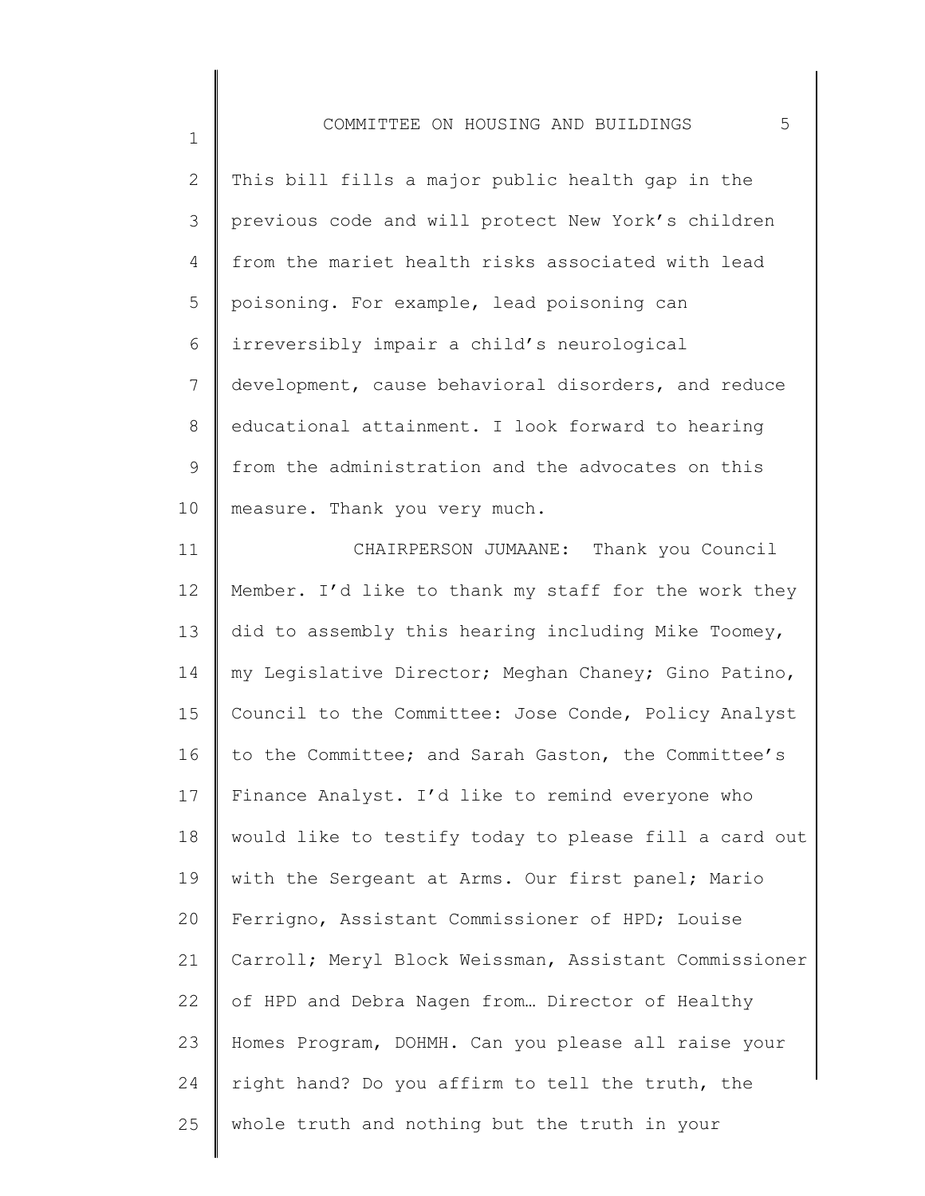1

25

| $\mathbf{2}$   | This bill fills a major public health gap in the      |
|----------------|-------------------------------------------------------|
| 3              | previous code and will protect New York's children    |
| 4              | from the mariet health risks associated with lead     |
| 5              | poisoning. For example, lead poisoning can            |
| 6              | irreversibly impair a child's neurological            |
| $7\phantom{.}$ | development, cause behavioral disorders, and reduce   |
| $8\,$          | educational attainment. I look forward to hearing     |
| $\mathsf 9$    | from the administration and the advocates on this     |
| 10             | measure. Thank you very much.                         |
| 11             | CHAIRPERSON JUMAANE: Thank you Council                |
| 12             | Member. I'd like to thank my staff for the work they  |
| 13             | did to assembly this hearing including Mike Toomey,   |
| 14             | my Legislative Director; Meghan Chaney; Gino Patino,  |
| 15             | Council to the Committee: Jose Conde, Policy Analyst  |
| 16             | to the Committee; and Sarah Gaston, the Committee's   |
| 17             | Finance Analyst. I'd like to remind everyone who      |
| 18             | would like to testify today to please fill a card out |
| 19             | with the Sergeant at Arms. Our first panel; Mario     |
| 20             | Ferrigno, Assistant Commissioner of HPD; Louise       |
| 21             | Carroll; Meryl Block Weissman, Assistant Commissioner |
| 22             | of HPD and Debra Nagen from Director of Healthy       |
| 23             | Homes Program, DOHMH. Can you please all raise your   |
| 24             | right hand? Do you affirm to tell the truth, the      |

whole truth and nothing but the truth in your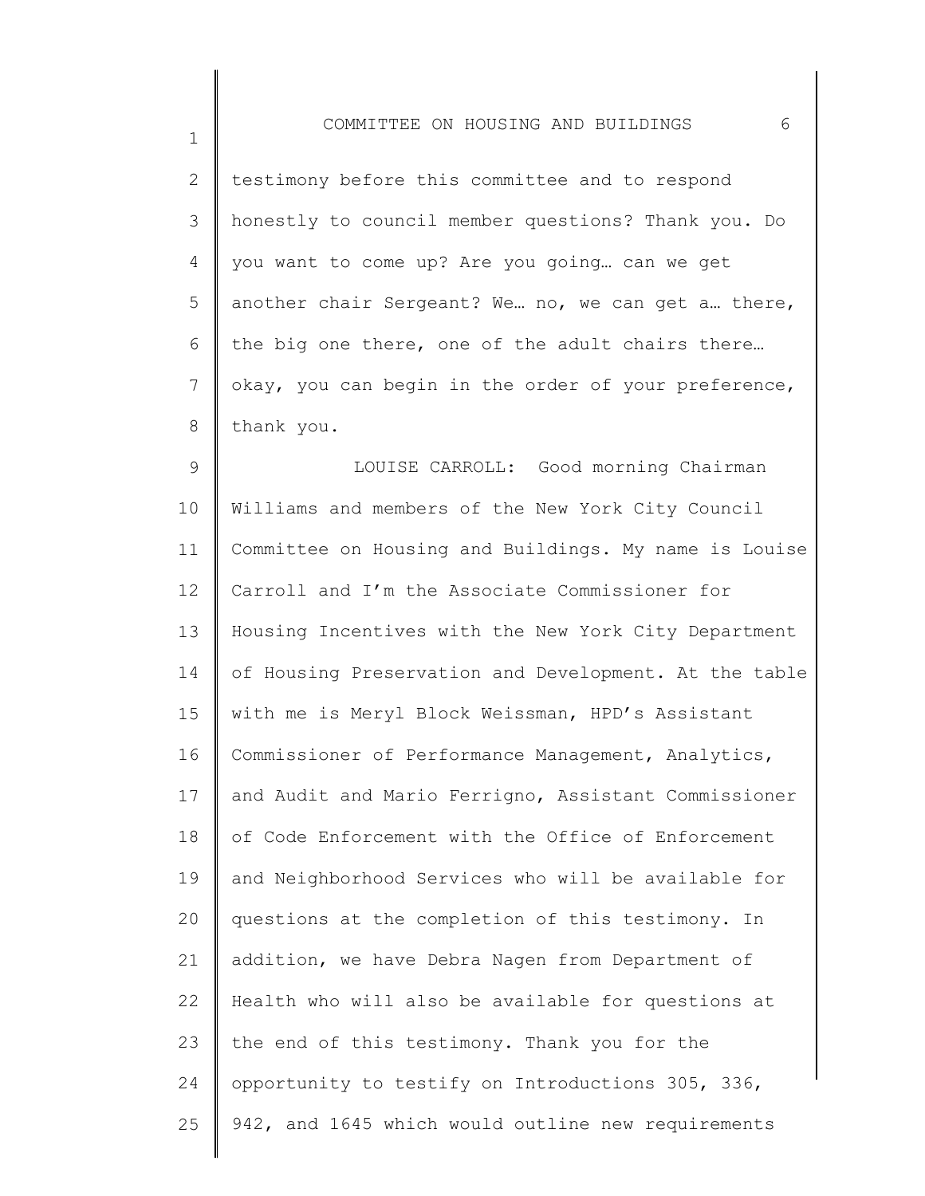2 3 4 5 6 7 8 testimony before this committee and to respond honestly to council member questions? Thank you. Do you want to come up? Are you going… can we get another chair Sergeant? We… no, we can get a… there, the big one there, one of the adult chairs there… okay, you can begin in the order of your preference, thank you.

9 10 11 12 13 14 15 16 17 18 19 20 21 22 23 24 25 LOUISE CARROLL: Good morning Chairman Williams and members of the New York City Council Committee on Housing and Buildings. My name is Louise Carroll and I'm the Associate Commissioner for Housing Incentives with the New York City Department of Housing Preservation and Development. At the table with me is Meryl Block Weissman, HPD's Assistant Commissioner of Performance Management, Analytics, and Audit and Mario Ferrigno, Assistant Commissioner of Code Enforcement with the Office of Enforcement and Neighborhood Services who will be available for questions at the completion of this testimony. In addition, we have Debra Nagen from Department of Health who will also be available for questions at the end of this testimony. Thank you for the opportunity to testify on Introductions 305, 336, 942, and 1645 which would outline new requirements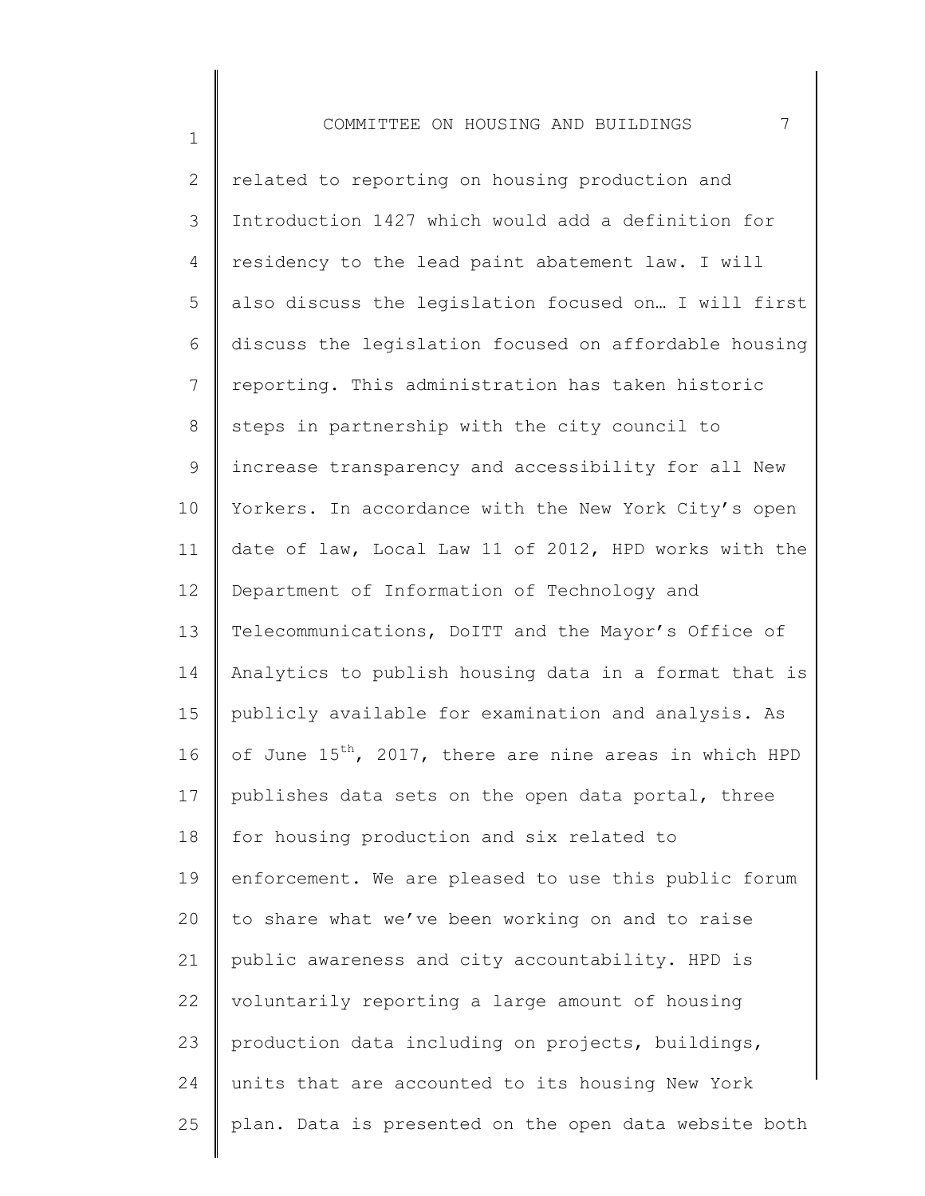1

2 3 4 5 6 7 8 9 10 11 12 13 14 15 16 17 18 19 20 21 22 23 24 25 related to reporting on housing production and Introduction 1427 which would add a definition for residency to the lead paint abatement law. I will also discuss the legislation focused on… I will first discuss the legislation focused on affordable housing reporting. This administration has taken historic steps in partnership with the city council to increase transparency and accessibility for all New Yorkers. In accordance with the New York City's open date of law, Local Law 11 of 2012, HPD works with the Department of Information of Technology and Telecommunications, DoITT and the Mayor's Office of Analytics to publish housing data in a format that is publicly available for examination and analysis. As of June  $15^{th}$ , 2017, there are nine areas in which HPD publishes data sets on the open data portal, three for housing production and six related to enforcement. We are pleased to use this public forum to share what we've been working on and to raise public awareness and city accountability. HPD is voluntarily reporting a large amount of housing production data including on projects, buildings, units that are accounted to its housing New York plan. Data is presented on the open data website both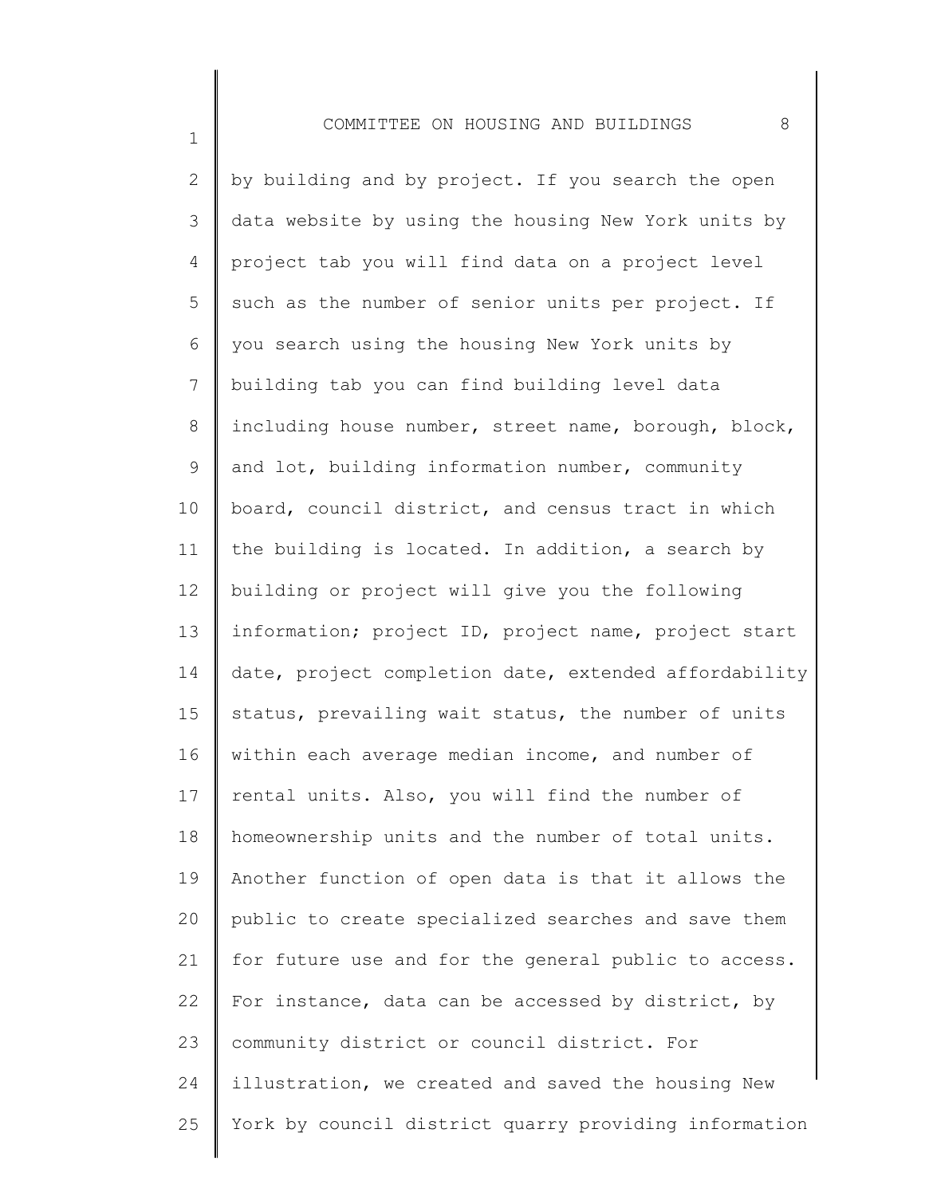1

2 3 4 5 6 7 8 9 10 11 12 13 14 15 16 17 18 19 20 21 22 23 24 25 by building and by project. If you search the open data website by using the housing New York units by project tab you will find data on a project level such as the number of senior units per project. If you search using the housing New York units by building tab you can find building level data including house number, street name, borough, block, and lot, building information number, community board, council district, and census tract in which the building is located. In addition, a search by building or project will give you the following information; project ID, project name, project start date, project completion date, extended affordability status, prevailing wait status, the number of units within each average median income, and number of rental units. Also, you will find the number of homeownership units and the number of total units. Another function of open data is that it allows the public to create specialized searches and save them for future use and for the general public to access. For instance, data can be accessed by district, by community district or council district. For illustration, we created and saved the housing New York by council district quarry providing information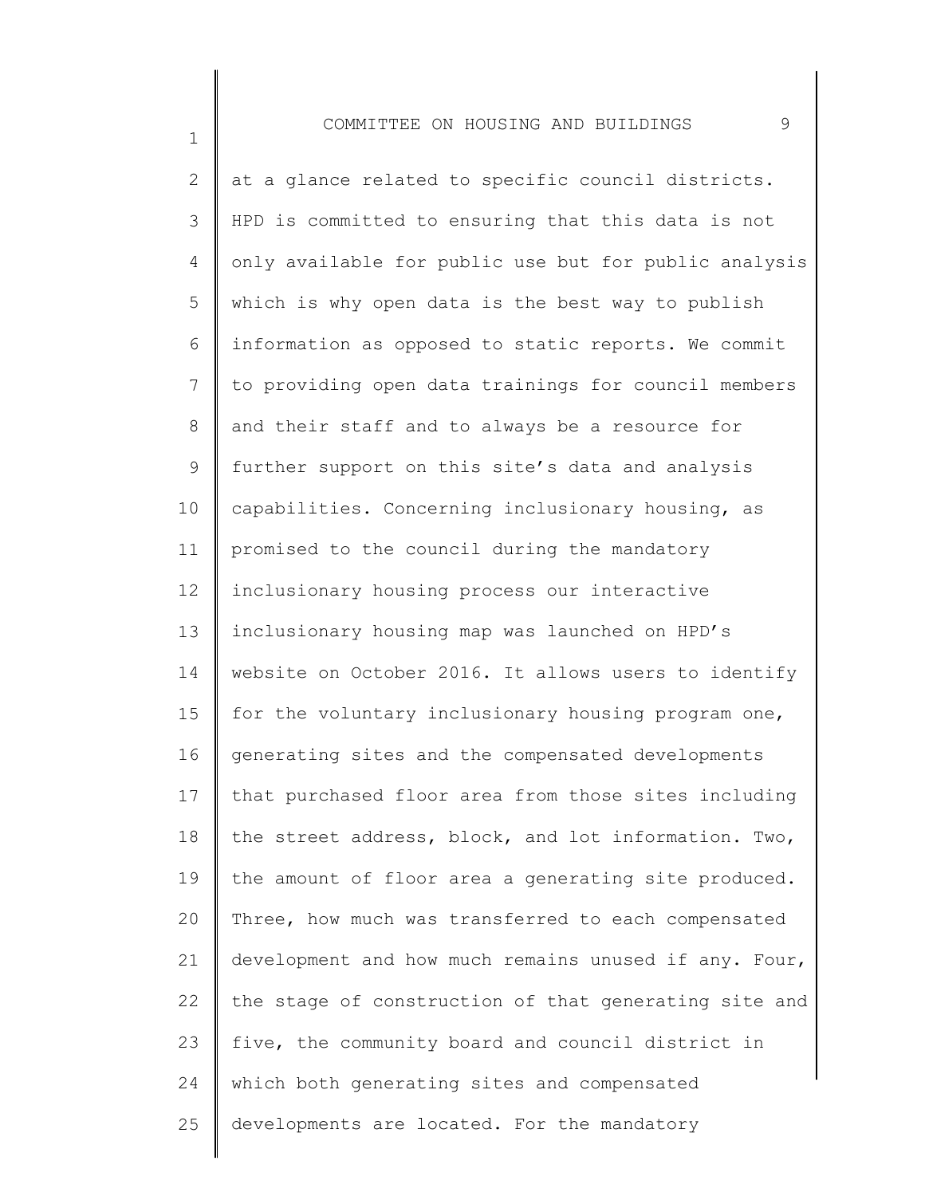1

2 3 4 5 6 7 8 9 10 11 12 13 14 15 16 17 18 19 20 21 22 23 24 25 at a glance related to specific council districts. HPD is committed to ensuring that this data is not only available for public use but for public analysis which is why open data is the best way to publish information as opposed to static reports. We commit to providing open data trainings for council members and their staff and to always be a resource for further support on this site's data and analysis capabilities. Concerning inclusionary housing, as promised to the council during the mandatory inclusionary housing process our interactive inclusionary housing map was launched on HPD's website on October 2016. It allows users to identify for the voluntary inclusionary housing program one, generating sites and the compensated developments that purchased floor area from those sites including the street address, block, and lot information. Two, the amount of floor area a generating site produced. Three, how much was transferred to each compensated development and how much remains unused if any. Four, the stage of construction of that generating site and five, the community board and council district in which both generating sites and compensated developments are located. For the mandatory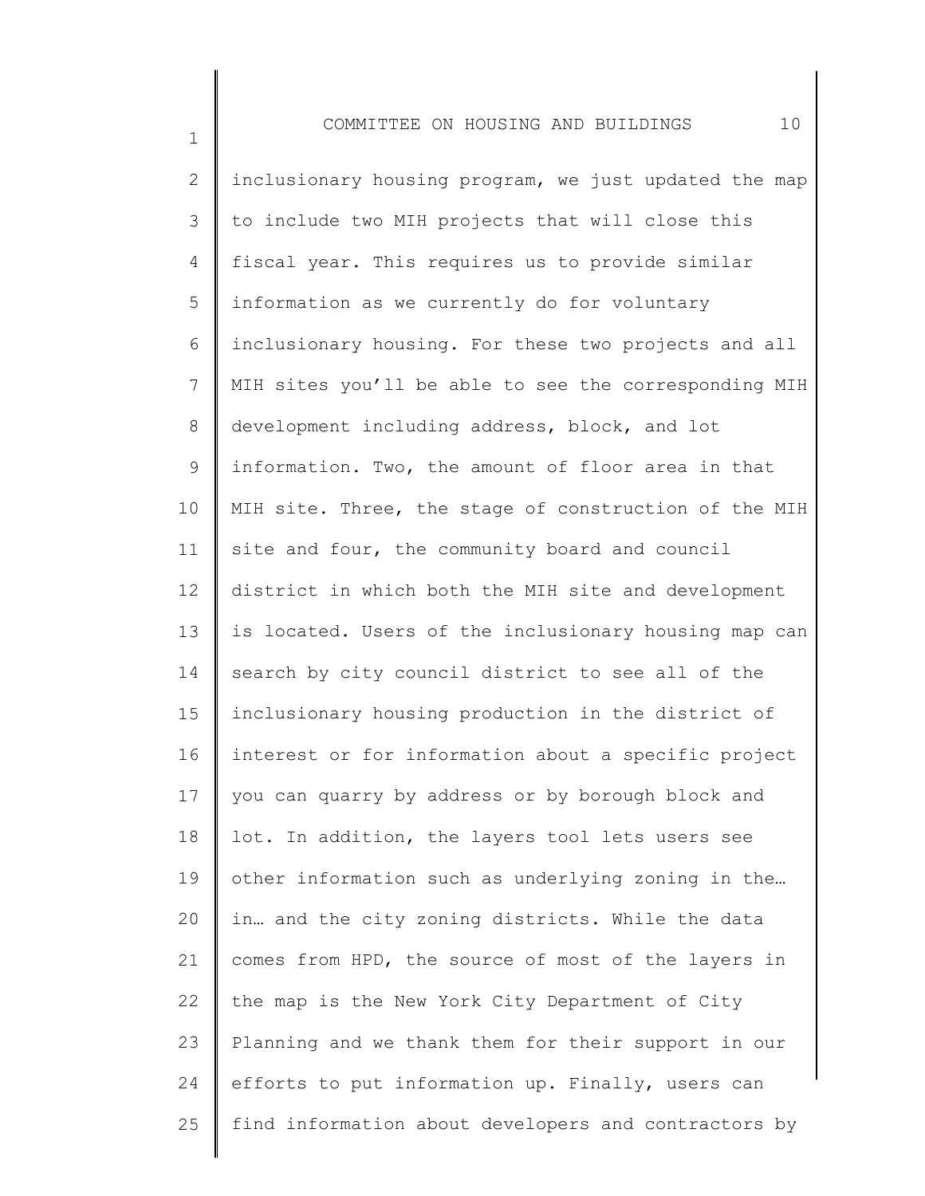1

2 3 4 5 6 7 8 9 10 11 12 13 14 15 16 17 18 19 20 21 22 23 24 25 inclusionary housing program, we just updated the map to include two MIH projects that will close this fiscal year. This requires us to provide similar information as we currently do for voluntary inclusionary housing. For these two projects and all MIH sites you'll be able to see the corresponding MIH development including address, block, and lot information. Two, the amount of floor area in that MIH site. Three, the stage of construction of the MIH site and four, the community board and council district in which both the MIH site and development is located. Users of the inclusionary housing map can search by city council district to see all of the inclusionary housing production in the district of interest or for information about a specific project you can quarry by address or by borough block and lot. In addition, the layers tool lets users see other information such as underlying zoning in the… in… and the city zoning districts. While the data comes from HPD, the source of most of the layers in the map is the New York City Department of City Planning and we thank them for their support in our efforts to put information up. Finally, users can find information about developers and contractors by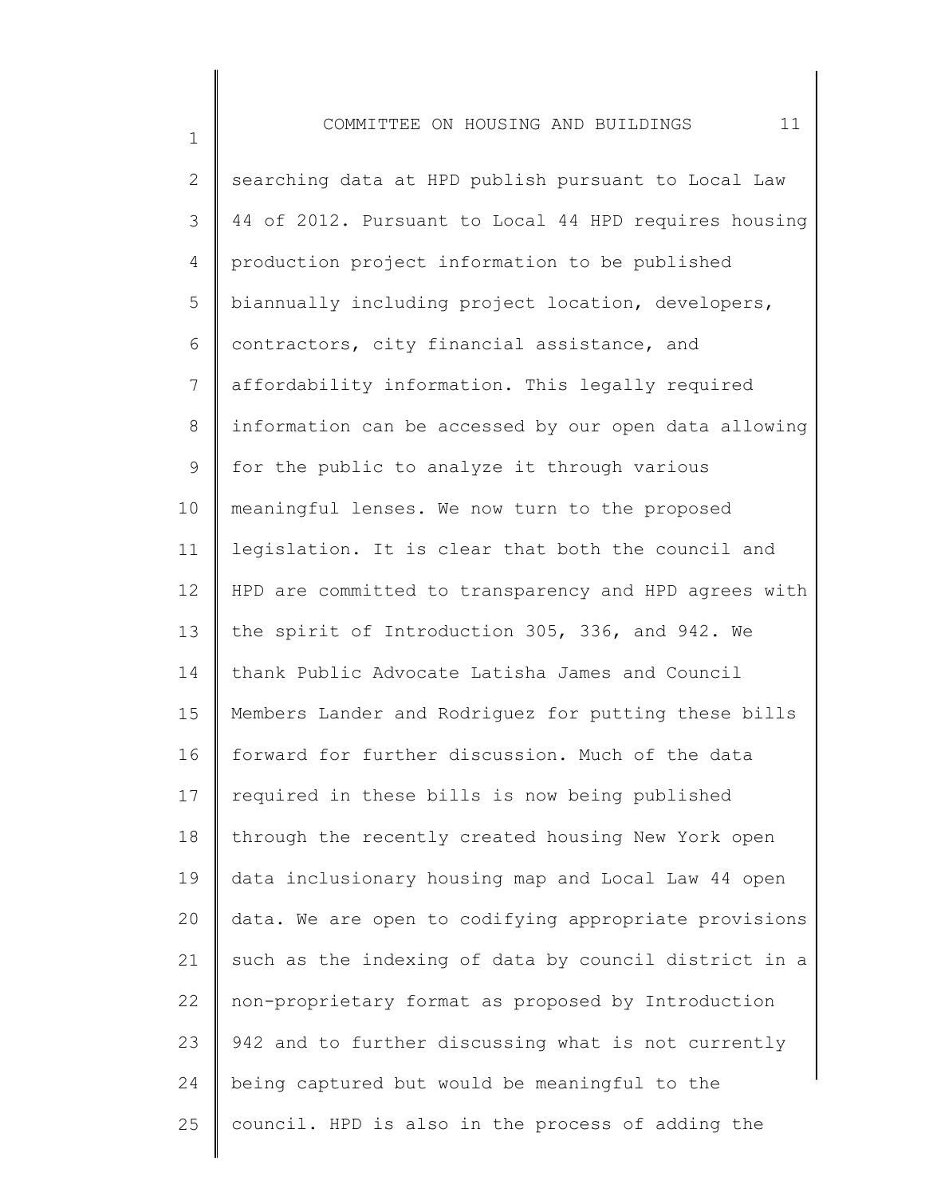2 3 4 5 6 7 8 9 10 11 12 13 14 15 16 17 18 19 20 21 22 23 24 25 searching data at HPD publish pursuant to Local Law 44 of 2012. Pursuant to Local 44 HPD requires housing production project information to be published biannually including project location, developers, contractors, city financial assistance, and affordability information. This legally required information can be accessed by our open data allowing for the public to analyze it through various meaningful lenses. We now turn to the proposed legislation. It is clear that both the council and HPD are committed to transparency and HPD agrees with the spirit of Introduction 305, 336, and 942. We thank Public Advocate Latisha James and Council Members Lander and Rodriguez for putting these bills forward for further discussion. Much of the data required in these bills is now being published through the recently created housing New York open data inclusionary housing map and Local Law 44 open data. We are open to codifying appropriate provisions such as the indexing of data by council district in a non-proprietary format as proposed by Introduction 942 and to further discussing what is not currently being captured but would be meaningful to the council. HPD is also in the process of adding the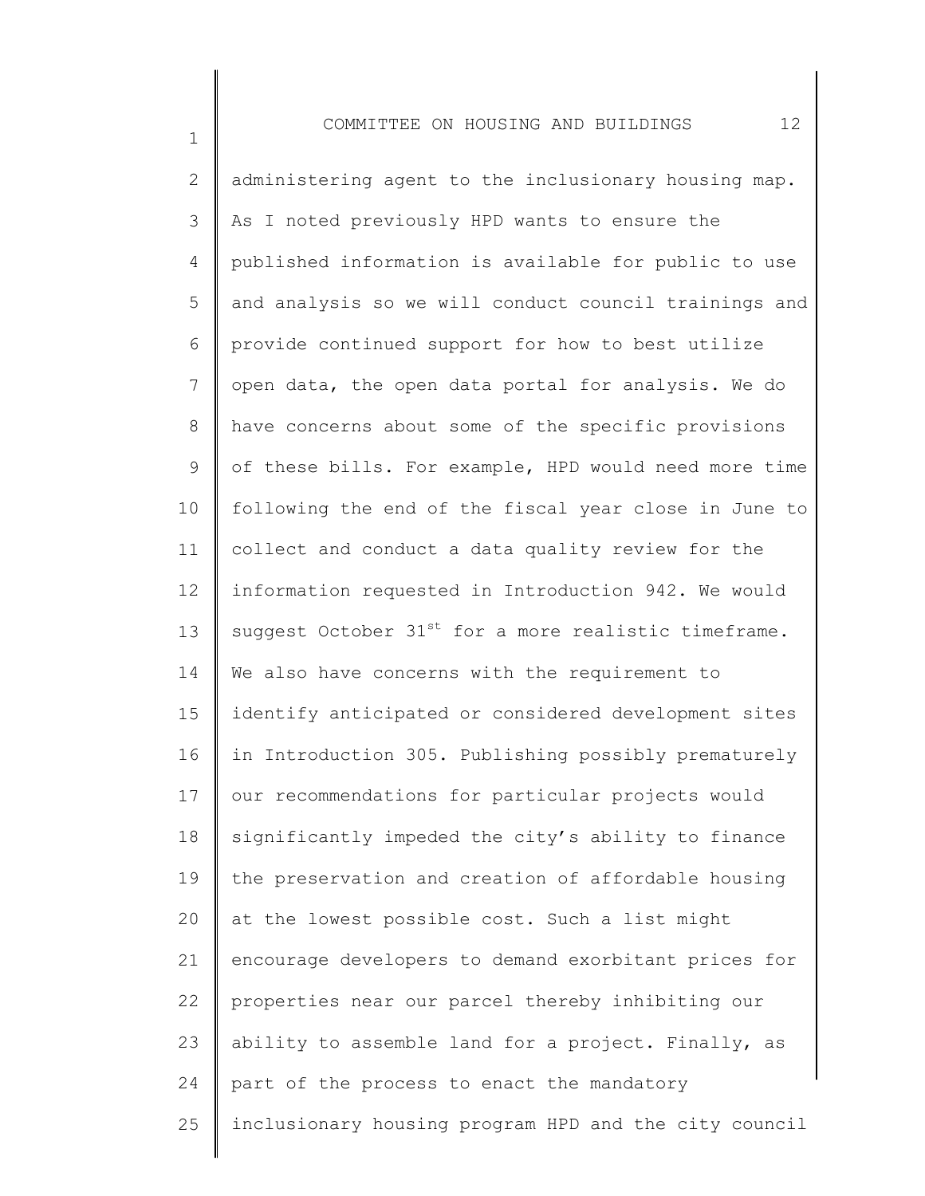1

2 3 4 5 6 7 8 9 10 11 12 13 14 15 16 17 18 19 20 21 22 23 24 25 administering agent to the inclusionary housing map. As I noted previously HPD wants to ensure the published information is available for public to use and analysis so we will conduct council trainings and provide continued support for how to best utilize open data, the open data portal for analysis. We do have concerns about some of the specific provisions of these bills. For example, HPD would need more time following the end of the fiscal year close in June to collect and conduct a data quality review for the information requested in Introduction 942. We would suggest October  $31^{st}$  for a more realistic timeframe. We also have concerns with the requirement to identify anticipated or considered development sites in Introduction 305. Publishing possibly prematurely our recommendations for particular projects would significantly impeded the city's ability to finance the preservation and creation of affordable housing at the lowest possible cost. Such a list might encourage developers to demand exorbitant prices for properties near our parcel thereby inhibiting our ability to assemble land for a project. Finally, as part of the process to enact the mandatory inclusionary housing program HPD and the city council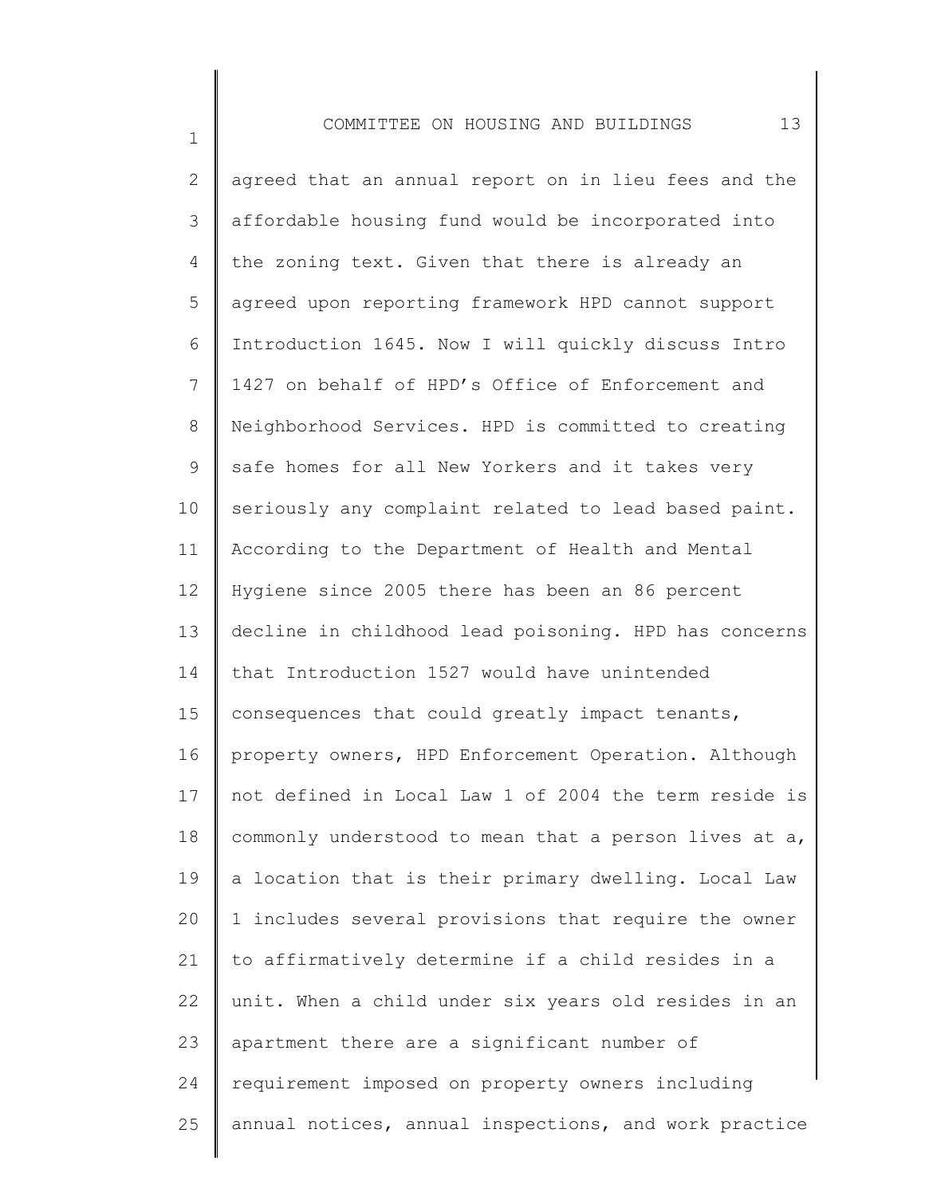1

2 3 4 5 6 7 8 9 10 11 12 13 14 15 16 17 18 19 20 21 22 23 24 25 agreed that an annual report on in lieu fees and the affordable housing fund would be incorporated into the zoning text. Given that there is already an agreed upon reporting framework HPD cannot support Introduction 1645. Now I will quickly discuss Intro 1427 on behalf of HPD's Office of Enforcement and Neighborhood Services. HPD is committed to creating safe homes for all New Yorkers and it takes very seriously any complaint related to lead based paint. According to the Department of Health and Mental Hygiene since 2005 there has been an 86 percent decline in childhood lead poisoning. HPD has concerns that Introduction 1527 would have unintended consequences that could greatly impact tenants, property owners, HPD Enforcement Operation. Although not defined in Local Law 1 of 2004 the term reside is commonly understood to mean that a person lives at a, a location that is their primary dwelling. Local Law 1 includes several provisions that require the owner to affirmatively determine if a child resides in a unit. When a child under six years old resides in an apartment there are a significant number of requirement imposed on property owners including annual notices, annual inspections, and work practice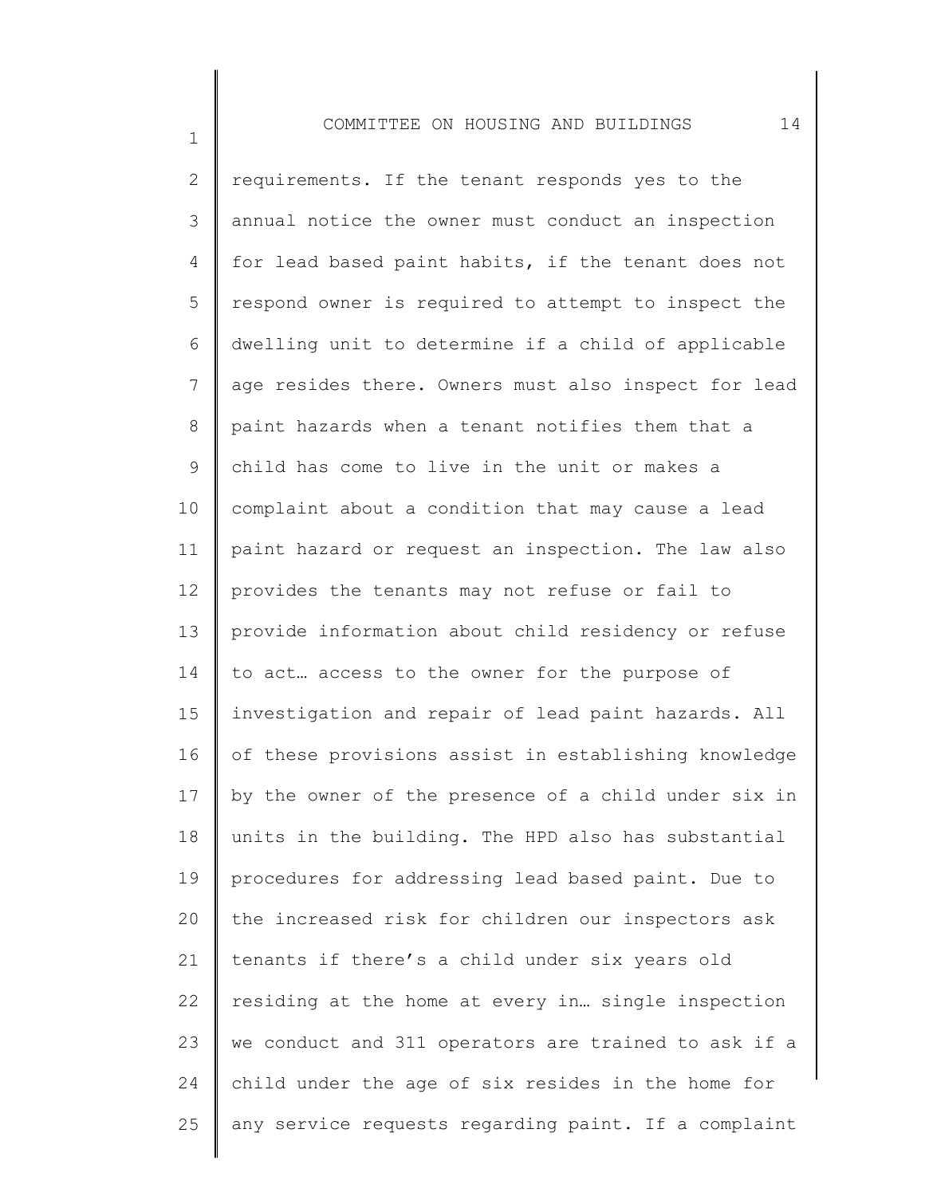1

2 3 4 5 6 7 8 9 10 11 12 13 14 15 16 17 18 19 20 21 22 23 24 25 requirements. If the tenant responds yes to the annual notice the owner must conduct an inspection for lead based paint habits, if the tenant does not respond owner is required to attempt to inspect the dwelling unit to determine if a child of applicable age resides there. Owners must also inspect for lead paint hazards when a tenant notifies them that a child has come to live in the unit or makes a complaint about a condition that may cause a lead paint hazard or request an inspection. The law also provides the tenants may not refuse or fail to provide information about child residency or refuse to act… access to the owner for the purpose of investigation and repair of lead paint hazards. All of these provisions assist in establishing knowledge by the owner of the presence of a child under six in units in the building. The HPD also has substantial procedures for addressing lead based paint. Due to the increased risk for children our inspectors ask tenants if there's a child under six years old residing at the home at every in… single inspection we conduct and 311 operators are trained to ask if a child under the age of six resides in the home for any service requests regarding paint. If a complaint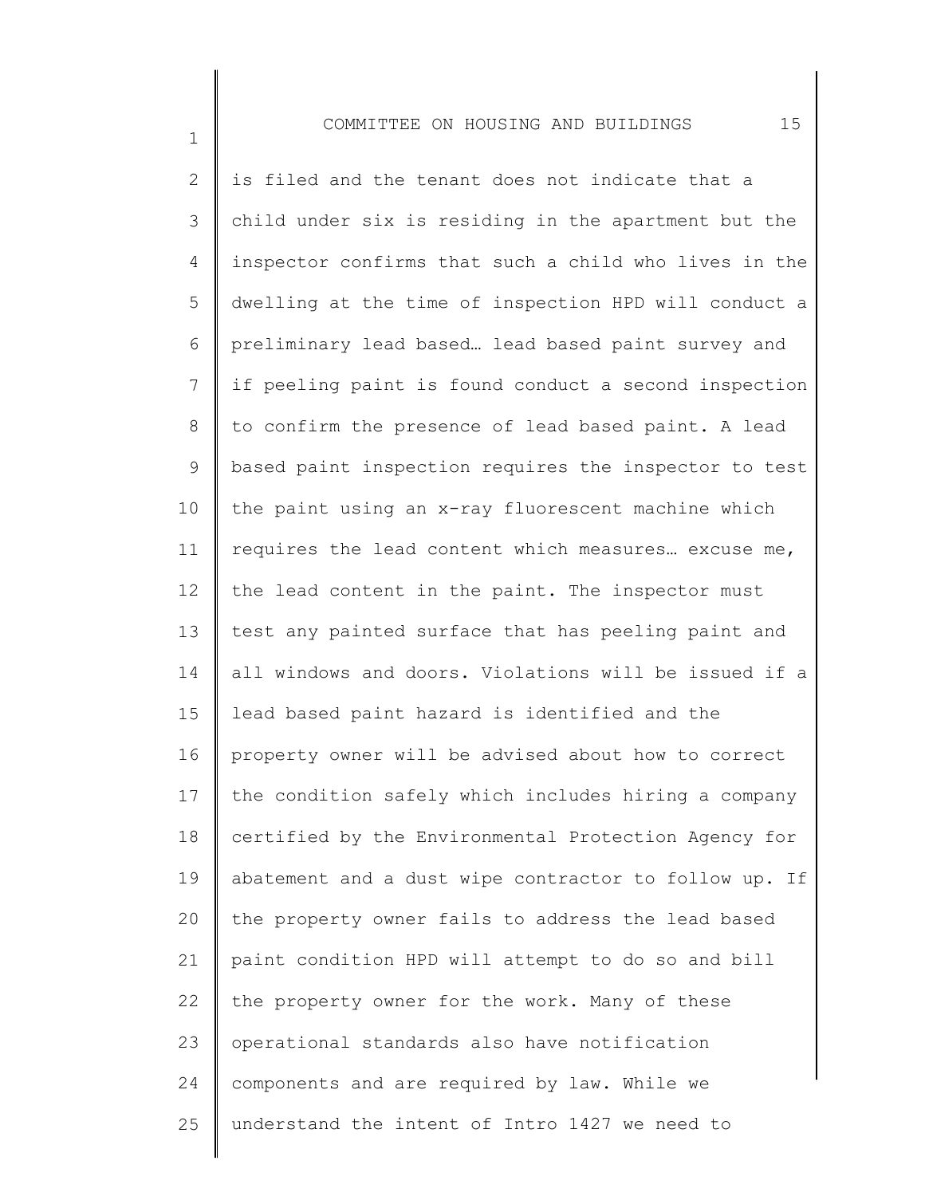1

2 3 4 5 6 7 8 9 10 11 12 13 14 15 16 17 18 19 20 21 22 23 24 25 is filed and the tenant does not indicate that a child under six is residing in the apartment but the inspector confirms that such a child who lives in the dwelling at the time of inspection HPD will conduct a preliminary lead based… lead based paint survey and if peeling paint is found conduct a second inspection to confirm the presence of lead based paint. A lead based paint inspection requires the inspector to test the paint using an x-ray fluorescent machine which requires the lead content which measures… excuse me, the lead content in the paint. The inspector must test any painted surface that has peeling paint and all windows and doors. Violations will be issued if a lead based paint hazard is identified and the property owner will be advised about how to correct the condition safely which includes hiring a company certified by the Environmental Protection Agency for abatement and a dust wipe contractor to follow up. If the property owner fails to address the lead based paint condition HPD will attempt to do so and bill the property owner for the work. Many of these operational standards also have notification components and are required by law. While we understand the intent of Intro 1427 we need to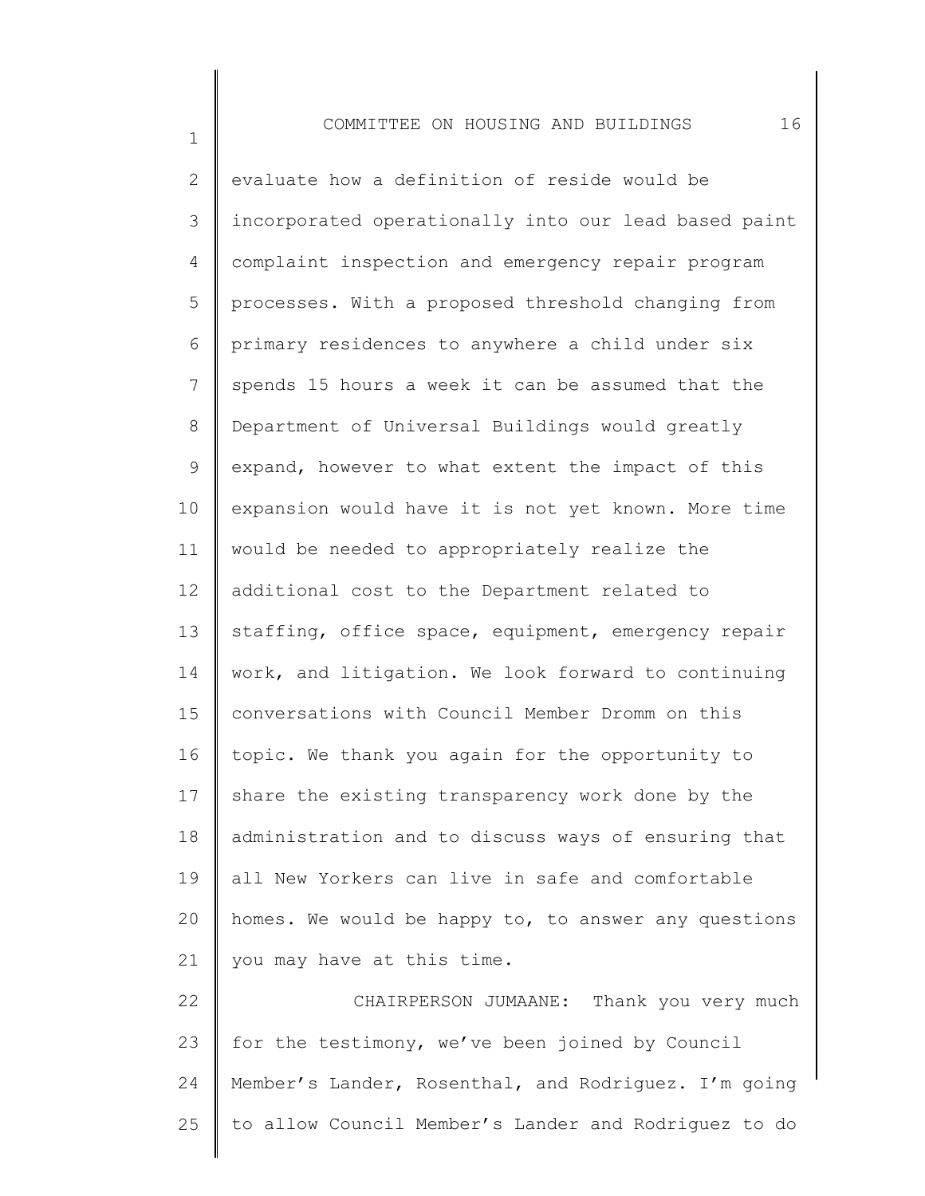1

2 3 4 5 6 7 8 9 10 11 12 13 14 15 16 17 18 19 20 21 22 23 24 25 evaluate how a definition of reside would be incorporated operationally into our lead based paint complaint inspection and emergency repair program processes. With a proposed threshold changing from primary residences to anywhere a child under six spends 15 hours a week it can be assumed that the Department of Universal Buildings would greatly expand, however to what extent the impact of this expansion would have it is not yet known. More time would be needed to appropriately realize the additional cost to the Department related to staffing, office space, equipment, emergency repair work, and litigation. We look forward to continuing conversations with Council Member Dromm on this topic. We thank you again for the opportunity to share the existing transparency work done by the administration and to discuss ways of ensuring that all New Yorkers can live in safe and comfortable homes. We would be happy to, to answer any questions you may have at this time. CHAIRPERSON JUMAANE: Thank you very much for the testimony, we've been joined by Council Member's Lander, Rosenthal, and Rodriguez. I'm going to allow Council Member's Lander and Rodriguez to do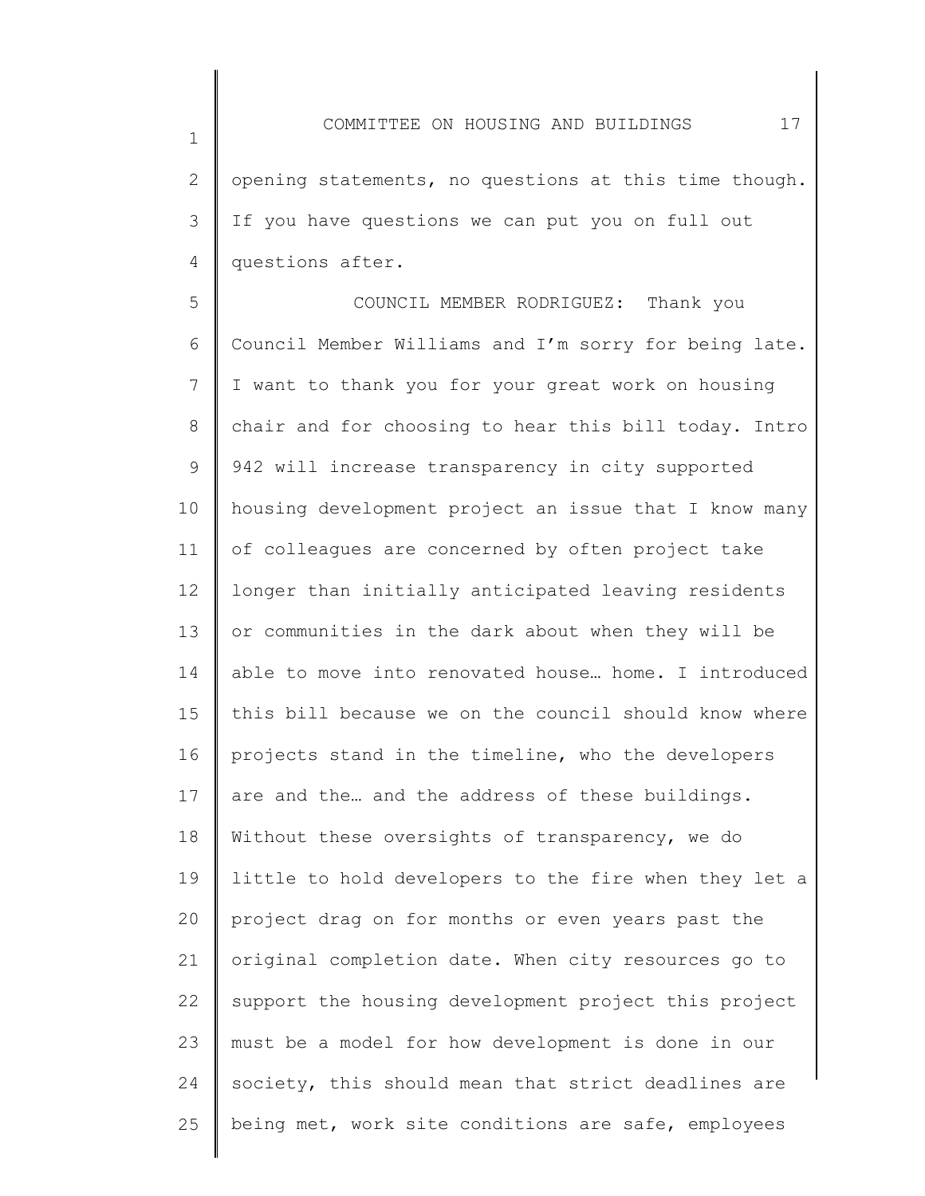2 3 4 opening statements, no questions at this time though. If you have questions we can put you on full out questions after.

5 6 7 8 9 10 11 12 13 14 15 16 17 18 19 20 21 22 23 24 25 COUNCIL MEMBER RODRIGUEZ: Thank you Council Member Williams and I'm sorry for being late. I want to thank you for your great work on housing chair and for choosing to hear this bill today. Intro 942 will increase transparency in city supported housing development project an issue that I know many of colleagues are concerned by often project take longer than initially anticipated leaving residents or communities in the dark about when they will be able to move into renovated house… home. I introduced this bill because we on the council should know where projects stand in the timeline, who the developers are and the… and the address of these buildings. Without these oversights of transparency, we do little to hold developers to the fire when they let a project drag on for months or even years past the original completion date. When city resources go to support the housing development project this project must be a model for how development is done in our society, this should mean that strict deadlines are being met, work site conditions are safe, employees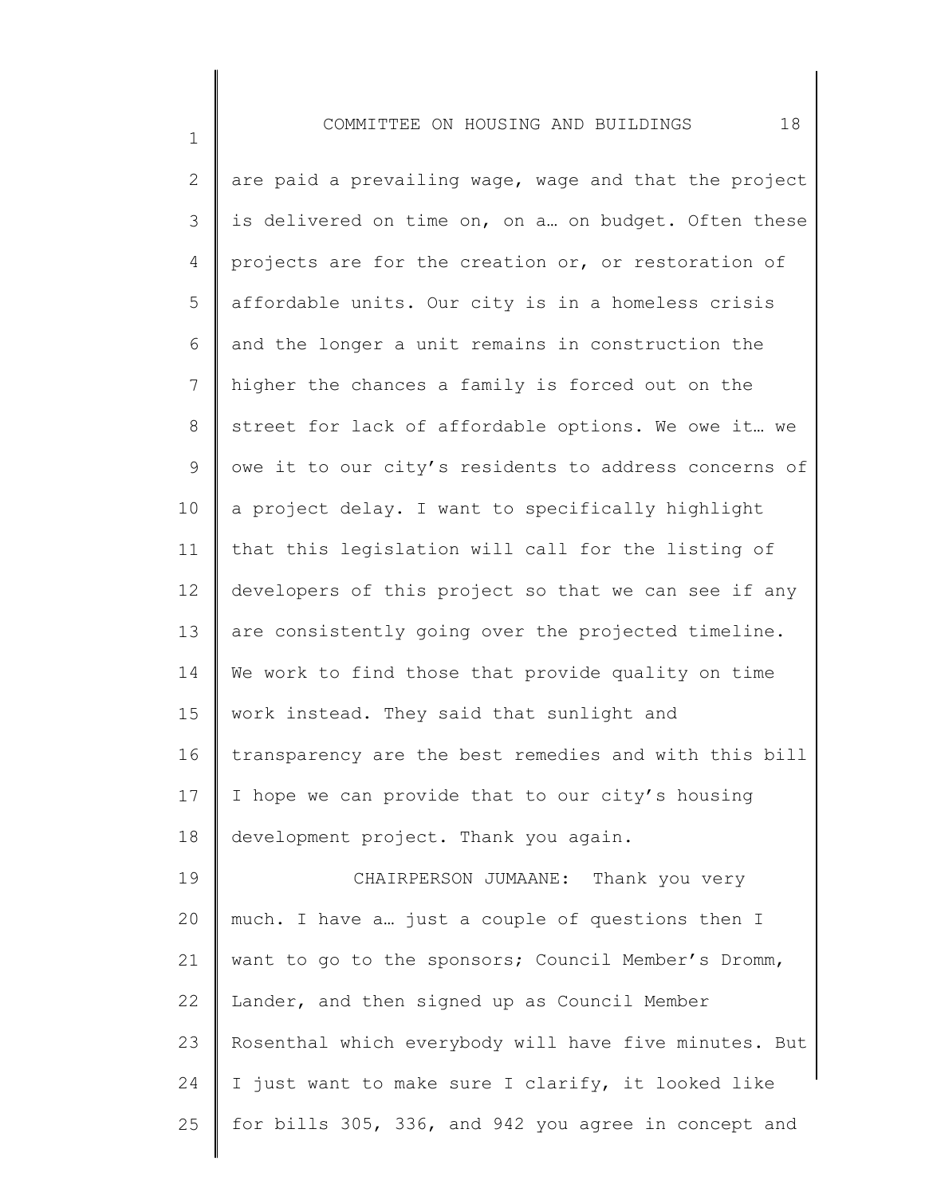1

2 3 4 5 6 7 8 9 10 11 12 13 14 15 16 17 18 19 20 21 22 23 24 25 are paid a prevailing wage, wage and that the project is delivered on time on, on a… on budget. Often these projects are for the creation or, or restoration of affordable units. Our city is in a homeless crisis and the longer a unit remains in construction the higher the chances a family is forced out on the street for lack of affordable options. We owe it… we owe it to our city's residents to address concerns of a project delay. I want to specifically highlight that this legislation will call for the listing of developers of this project so that we can see if any are consistently going over the projected timeline. We work to find those that provide quality on time work instead. They said that sunlight and transparency are the best remedies and with this bill I hope we can provide that to our city's housing development project. Thank you again. CHAIRPERSON JUMAANE: Thank you very much. I have a… just a couple of questions then I want to go to the sponsors; Council Member's Dromm, Lander, and then signed up as Council Member Rosenthal which everybody will have five minutes. But I just want to make sure I clarify, it looked like for bills 305, 336, and 942 you agree in concept and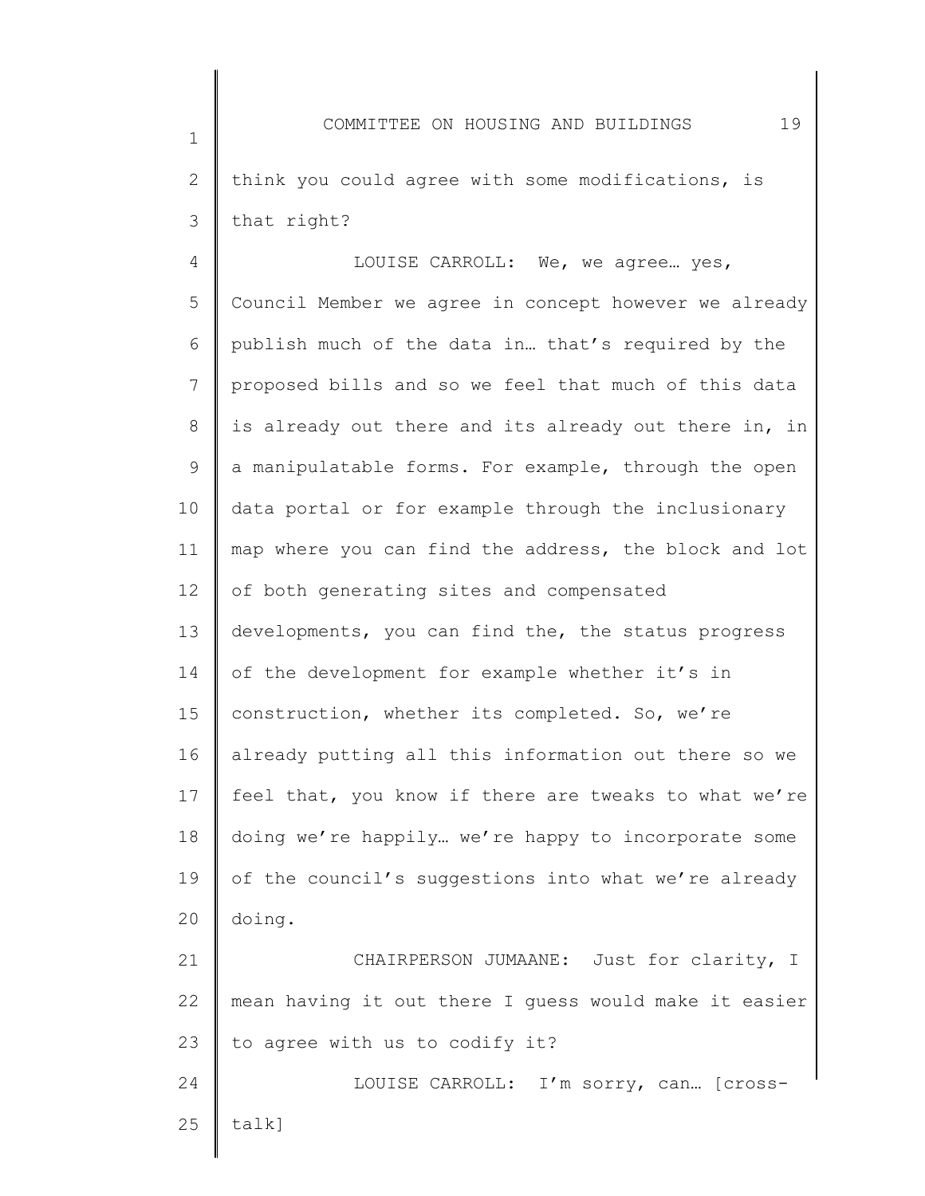2 3 think you could agree with some modifications, is that right?

1

4 5 6 7 8 9 10 11 12 13 14 15 16 17 18 19 20 21 LOUISE CARROLL: We, we agree… yes, Council Member we agree in concept however we already publish much of the data in… that's required by the proposed bills and so we feel that much of this data is already out there and its already out there in, in a manipulatable forms. For example, through the open data portal or for example through the inclusionary map where you can find the address, the block and lot of both generating sites and compensated developments, you can find the, the status progress of the development for example whether it's in construction, whether its completed. So, we're already putting all this information out there so we feel that, you know if there are tweaks to what we're doing we're happily… we're happy to incorporate some of the council's suggestions into what we're already doing. CHAIRPERSON JUMAANE: Just for clarity, I

22 23 mean having it out there I guess would make it easier to agree with us to codify it?

24 25 LOUISE CARROLL: I'm sorry, can… [crosstalk]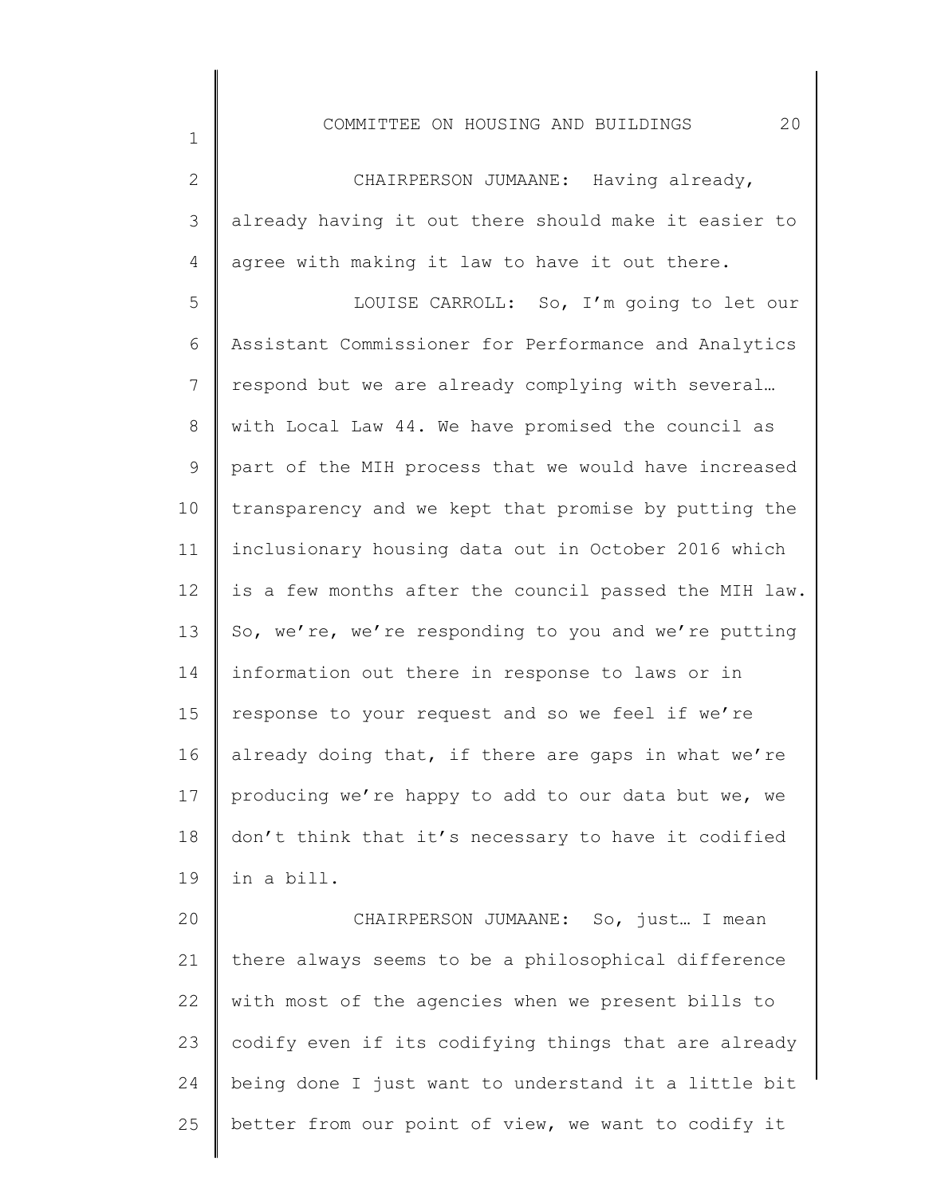| $\overline{2}$ | CHAIRPERSON JUMAANE: Having already,                  |
|----------------|-------------------------------------------------------|
| 3              | already having it out there should make it easier to  |
| $\overline{4}$ | agree with making it law to have it out there.        |
| 5              | LOUISE CARROLL: So, I'm going to let our              |
| 6              | Assistant Commissioner for Performance and Analytics  |
| 7              | respond but we are already complying with several     |
| 8              | with Local Law 44. We have promised the council as    |
| 9              | part of the MIH process that we would have increased  |
| 10             | transparency and we kept that promise by putting the  |
| 11             | inclusionary housing data out in October 2016 which   |
| 12             | is a few months after the council passed the MIH law. |
| 13             | So, we're, we're responding to you and we're putting  |
| 14             | information out there in response to laws or in       |
| 15             | response to your request and so we feel if we're      |
| 16             | already doing that, if there are gaps in what we're   |
| 17             | producing we're happy to add to our data but we, we   |
| 18             | don't think that it's necessary to have it codified   |
| 19             | in a bill.                                            |
| 20             | CHAIRPERSON JUMAANE: So, just I mean                  |

21 22 23 24 25 there always seems to be a philosophical difference with most of the agencies when we present bills to codify even if its codifying things that are already being done I just want to understand it a little bit better from our point of view, we want to codify it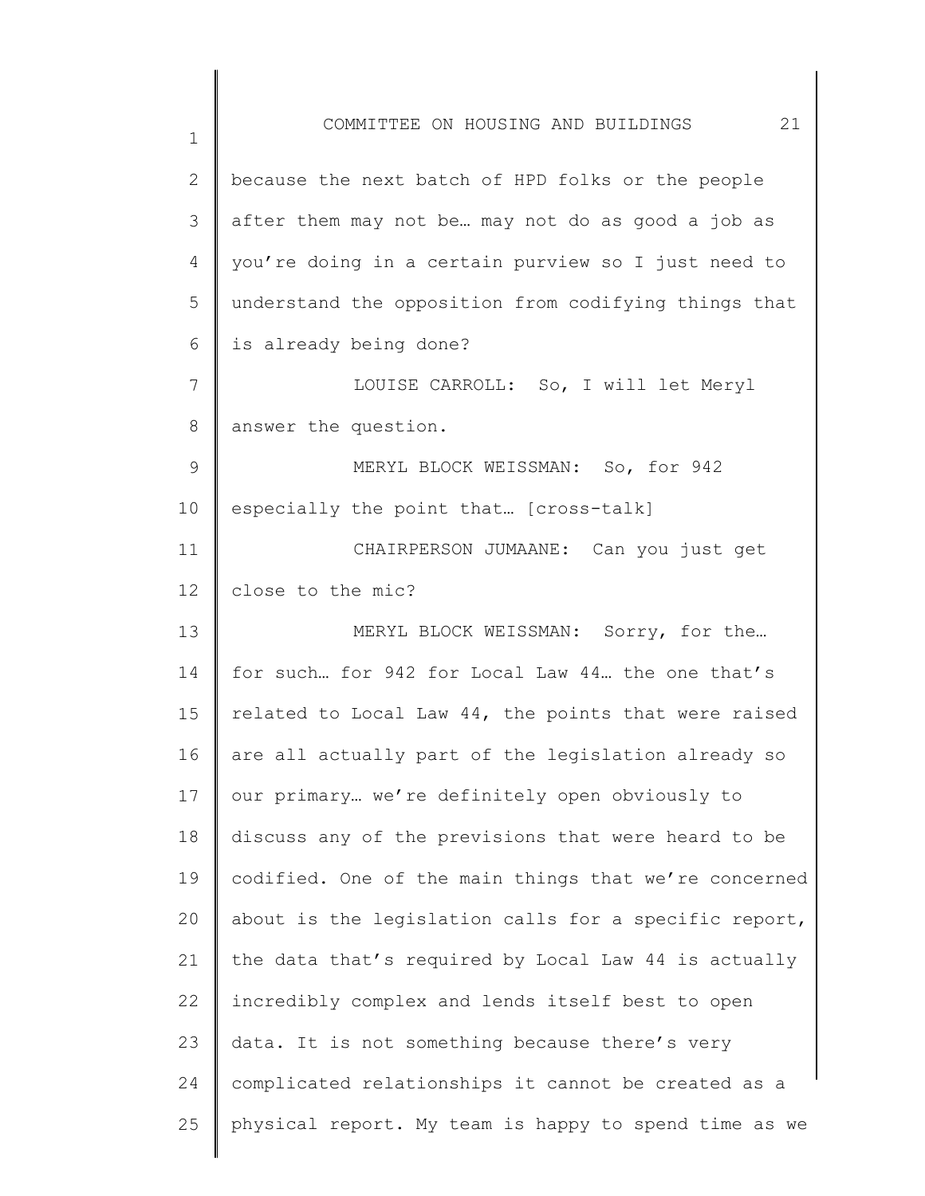1 2 3 4 5 6 7 8 9 10 11 12 13 14 15 16 17 18 19 20 21 22 23 24 25 COMMITTEE ON HOUSING AND BUILDINGS 21 because the next batch of HPD folks or the people after them may not be… may not do as good a job as you're doing in a certain purview so I just need to understand the opposition from codifying things that is already being done? LOUISE CARROLL: So, I will let Meryl answer the question. MERYL BLOCK WEISSMAN: So, for 942 especially the point that… [cross-talk] CHAIRPERSON JUMAANE: Can you just get close to the mic? MERYL BLOCK WEISSMAN: Sorry, for the… for such… for 942 for Local Law 44… the one that's related to Local Law 44, the points that were raised are all actually part of the legislation already so our primary… we're definitely open obviously to discuss any of the previsions that were heard to be codified. One of the main things that we're concerned about is the legislation calls for a specific report, the data that's required by Local Law 44 is actually incredibly complex and lends itself best to open data. It is not something because there's very complicated relationships it cannot be created as a physical report. My team is happy to spend time as we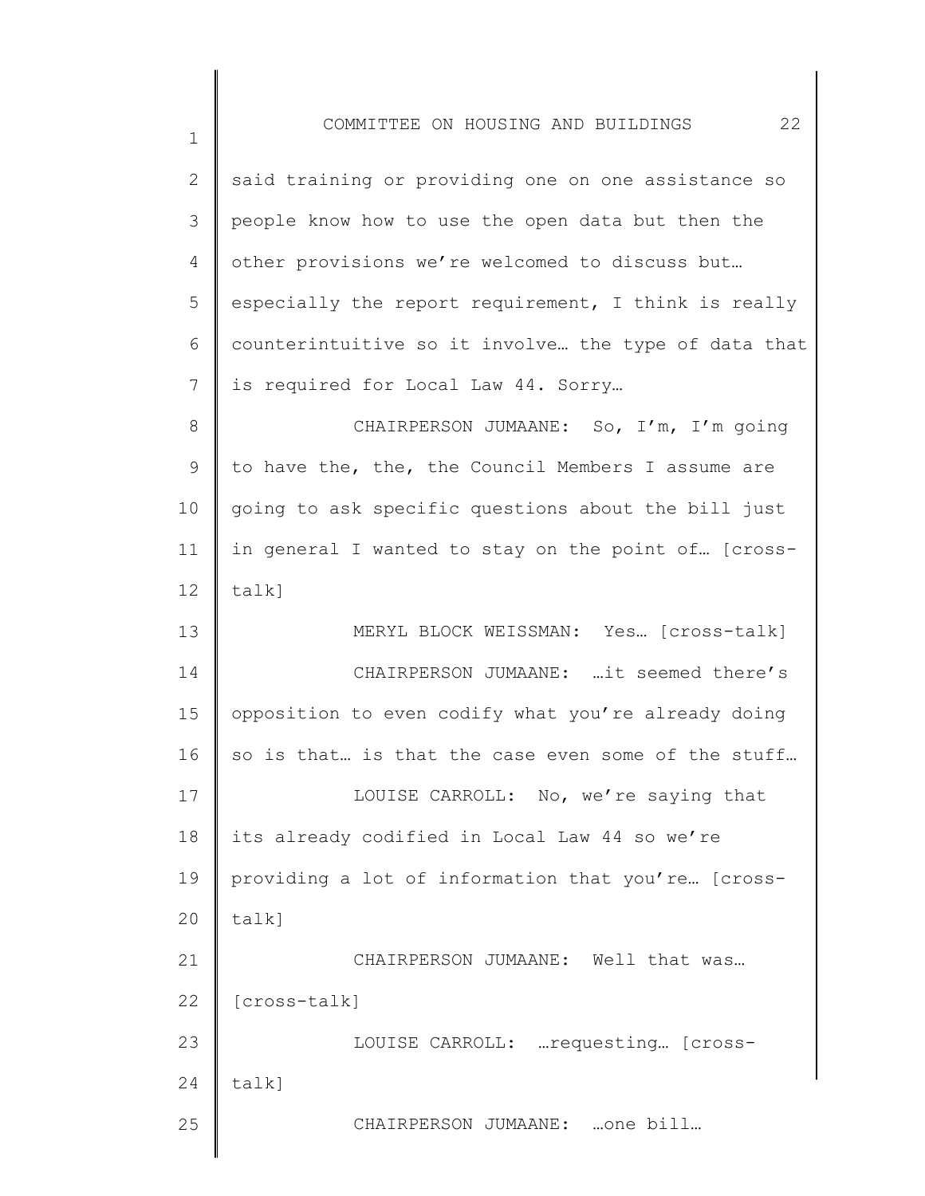| $\mathbf{2}$ | said training or providing one on one assistance so  |
|--------------|------------------------------------------------------|
| 3            | people know how to use the open data but then the    |
| 4            | other provisions we're welcomed to discuss but       |
| 5            | especially the report requirement, I think is really |
| 6            | counterintuitive so it involve the type of data that |
| 7            | is required for Local Law 44. Sorry                  |
| 8            | CHAIRPERSON JUMAANE: So, I'm, I'm going              |
| 9            | to have the, the, the Council Members I assume are   |
| 10           | going to ask specific questions about the bill just  |
| 11           | in general I wanted to stay on the point of [cross-  |
| 12           | talk]                                                |
| 13           | MERYL BLOCK WEISSMAN: Yes [cross-talk]               |
| 14           | CHAIRPERSON JUMAANE: it seemed there's               |
| 15           | opposition to even codify what you're already doing  |
| 16           | so is that is that the case even some of the stuff   |
| 17           | LOUISE CARROLL: No, we're saying that                |
| 18           | its already codified in Local Law 44 so we're        |
| 19           | providing a lot of information that you're [cross-   |
| 20           | $talk$ ]                                             |
| 21           | CHAIRPERSON JUMAANE: Well that was                   |
| 22           | [cross-talk]                                         |
| 23           | LOUISE CARROLL:  requesting [cross-                  |
| 24           | $talk$ ]                                             |
| 25           | CHAIRPERSON JUMAANE: one bill                        |
|              |                                                      |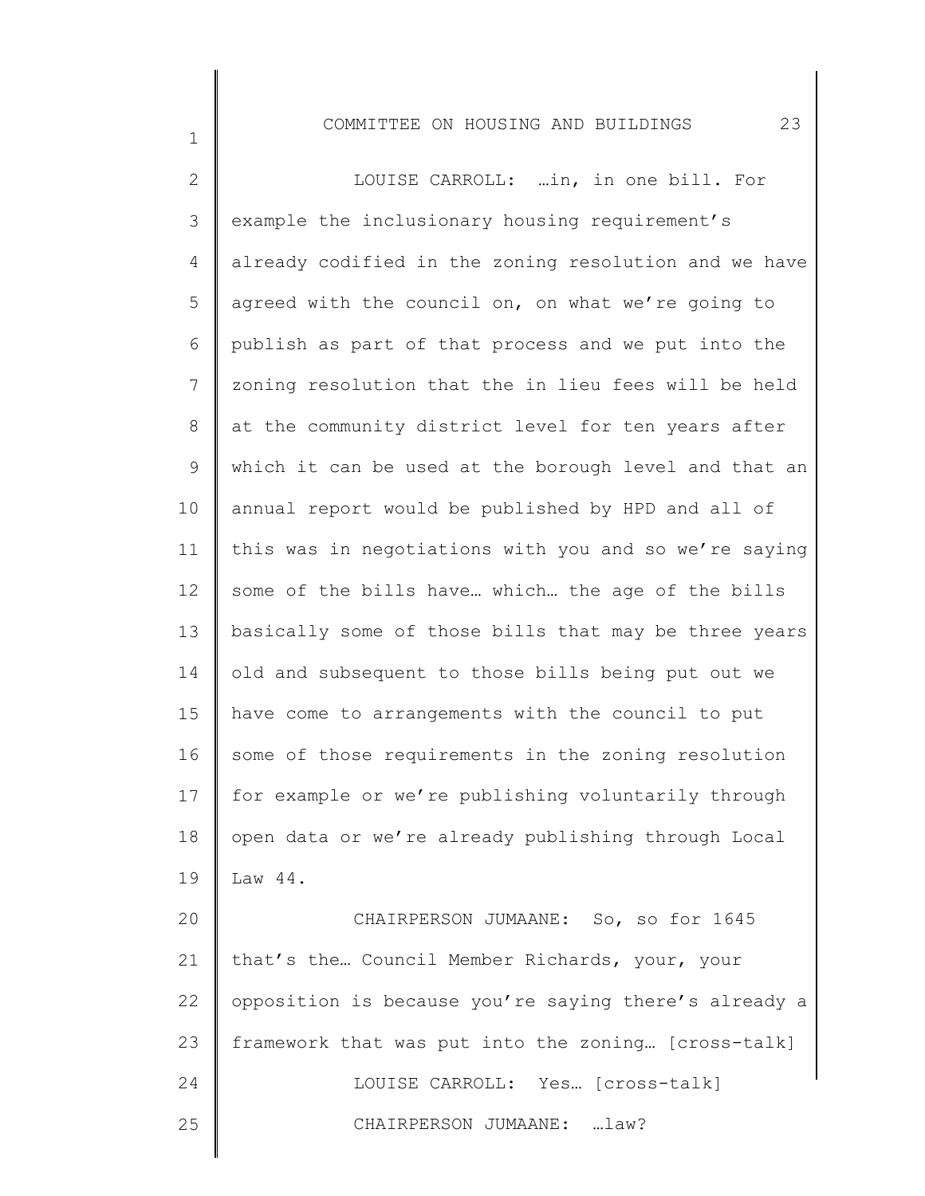1

2 3 4 5 6 7 8 9 10 11 12 13 14 15 16 17 18 19 20 21 22 23 24 25 LOUISE CARROLL: …in, in one bill. For example the inclusionary housing requirement's already codified in the zoning resolution and we have agreed with the council on, on what we're going to publish as part of that process and we put into the zoning resolution that the in lieu fees will be held at the community district level for ten years after which it can be used at the borough level and that an annual report would be published by HPD and all of this was in negotiations with you and so we're saying some of the bills have… which… the age of the bills basically some of those bills that may be three years old and subsequent to those bills being put out we have come to arrangements with the council to put some of those requirements in the zoning resolution for example or we're publishing voluntarily through open data or we're already publishing through Local Law 44. CHAIRPERSON JUMAANE: So, so for 1645 that's the… Council Member Richards, your, your opposition is because you're saying there's already a framework that was put into the zoning… [cross-talk] LOUISE CARROLL: Yes… [cross-talk] CHAIRPERSON JUMAANE: …law?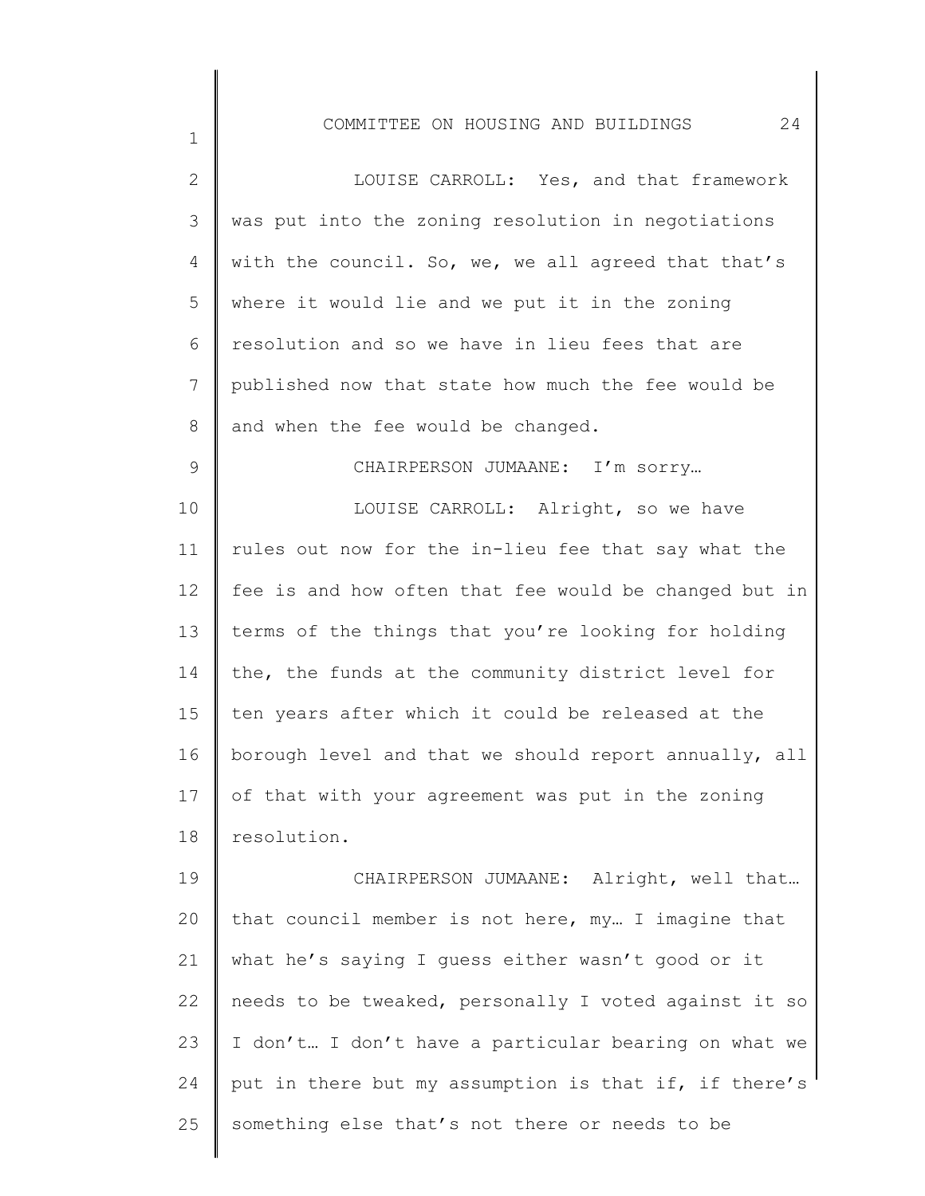| $\overline{2}$ | LOUISE CARROLL: Yes, and that framework               |
|----------------|-------------------------------------------------------|
| 3              | was put into the zoning resolution in negotiations    |
| 4              | with the council. So, we, we all agreed that that's   |
| 5              | where it would lie and we put it in the zoning        |
| 6              | resolution and so we have in lieu fees that are       |
| 7              | published now that state how much the fee would be    |
| $8\,$          | and when the fee would be changed.                    |
| $\mathsf 9$    | CHAIRPERSON JUMAANE: I'm sorry                        |
| 10             | LOUISE CARROLL: Alright, so we have                   |
| 11             | rules out now for the in-lieu fee that say what the   |
| 12             | fee is and how often that fee would be changed but in |
| 13             | terms of the things that you're looking for holding   |
| 14             | the, the funds at the community district level for    |
| 15             | ten years after which it could be released at the     |
| 16             | borough level and that we should report annually, all |
| 17             | of that with your agreement was put in the zoning     |
| 18             | resolution.                                           |
| 19             | CHAIRPERSON JUMAANE: Alright, well that               |
| 20             | that council member is not here, my I imagine that    |
| 21             | what he's saying I guess either wasn't good or it     |
| 22             | needs to be tweaked, personally I voted against it so |
| 23             | I don't I don't have a particular bearing on what we  |
| 24             | put in there but my assumption is that if, if there's |
| 25             | something else that's not there or needs to be        |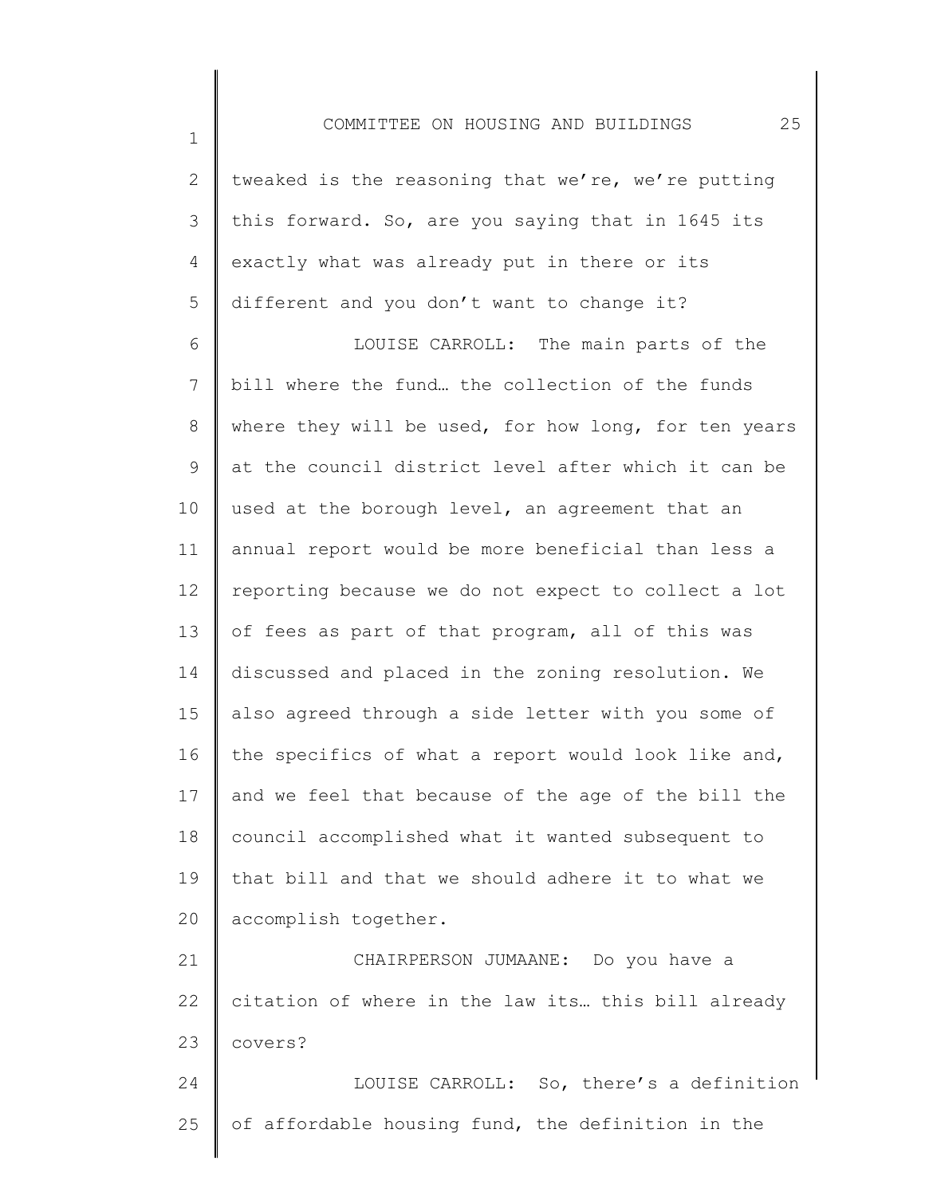2 3 4 5 tweaked is the reasoning that we're, we're putting this forward. So, are you saying that in 1645 its exactly what was already put in there or its different and you don't want to change it?

1

6 7 8 9 10 11 12 13 14 15 16 17 18 19 20 LOUISE CARROLL: The main parts of the bill where the fund… the collection of the funds where they will be used, for how long, for ten years at the council district level after which it can be used at the borough level, an agreement that an annual report would be more beneficial than less a reporting because we do not expect to collect a lot of fees as part of that program, all of this was discussed and placed in the zoning resolution. We also agreed through a side letter with you some of the specifics of what a report would look like and, and we feel that because of the age of the bill the council accomplished what it wanted subsequent to that bill and that we should adhere it to what we accomplish together.

21 22 23 24 CHAIRPERSON JUMAANE: Do you have a citation of where in the law its… this bill already covers? LOUISE CARROLL: So, there's a definition

25 of affordable housing fund, the definition in the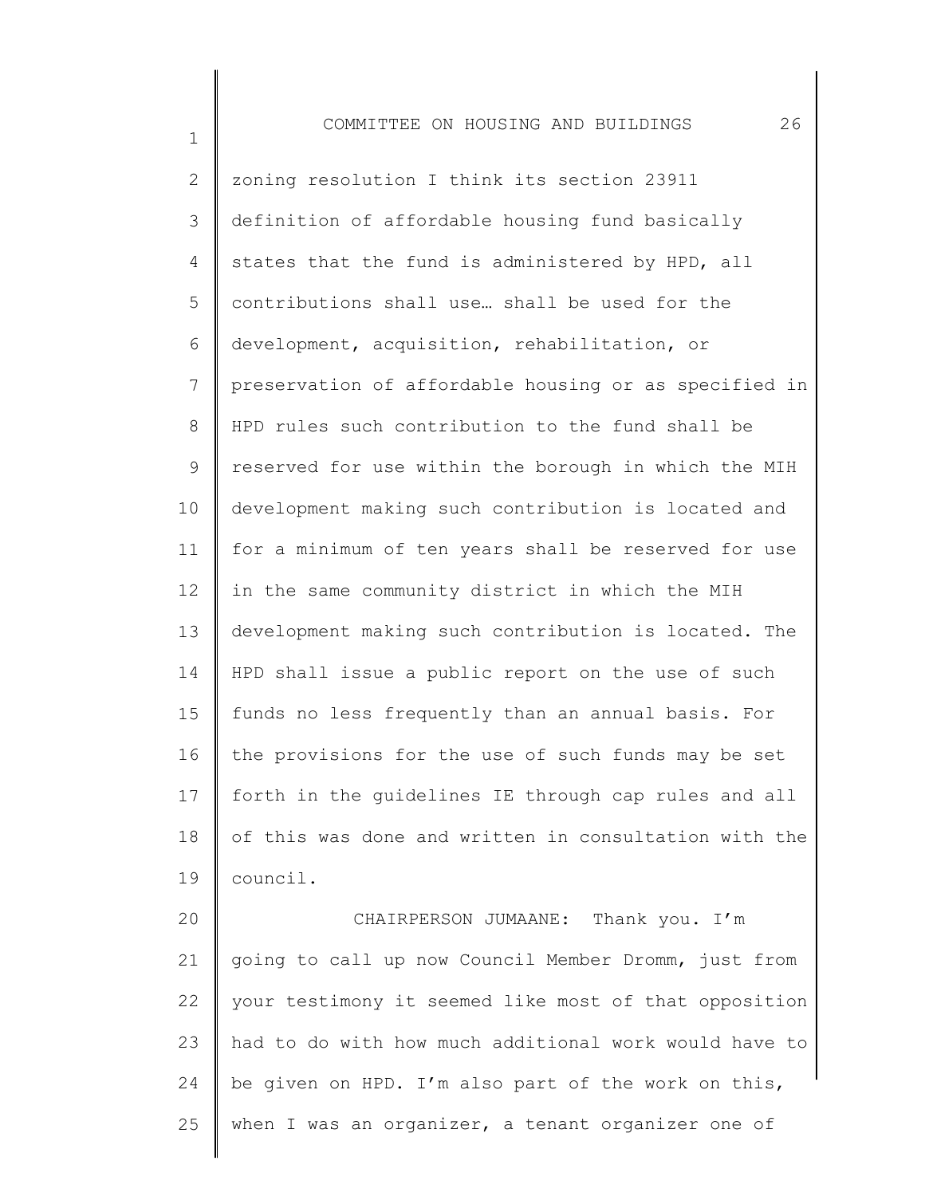1 2 3 4 5 6 7 8 9 10 11 12 13 14 15 16 17 18 19 COMMITTEE ON HOUSING AND BUILDINGS 26 zoning resolution I think its section 23911 definition of affordable housing fund basically states that the fund is administered by HPD, all contributions shall use… shall be used for the development, acquisition, rehabilitation, or preservation of affordable housing or as specified in HPD rules such contribution to the fund shall be reserved for use within the borough in which the MIH development making such contribution is located and for a minimum of ten years shall be reserved for use in the same community district in which the MIH development making such contribution is located. The HPD shall issue a public report on the use of such funds no less frequently than an annual basis. For the provisions for the use of such funds may be set forth in the guidelines IE through cap rules and all of this was done and written in consultation with the council.

20 21 22 23 24 25 CHAIRPERSON JUMAANE: Thank you. I'm going to call up now Council Member Dromm, just from your testimony it seemed like most of that opposition had to do with how much additional work would have to be given on HPD. I'm also part of the work on this, when I was an organizer, a tenant organizer one of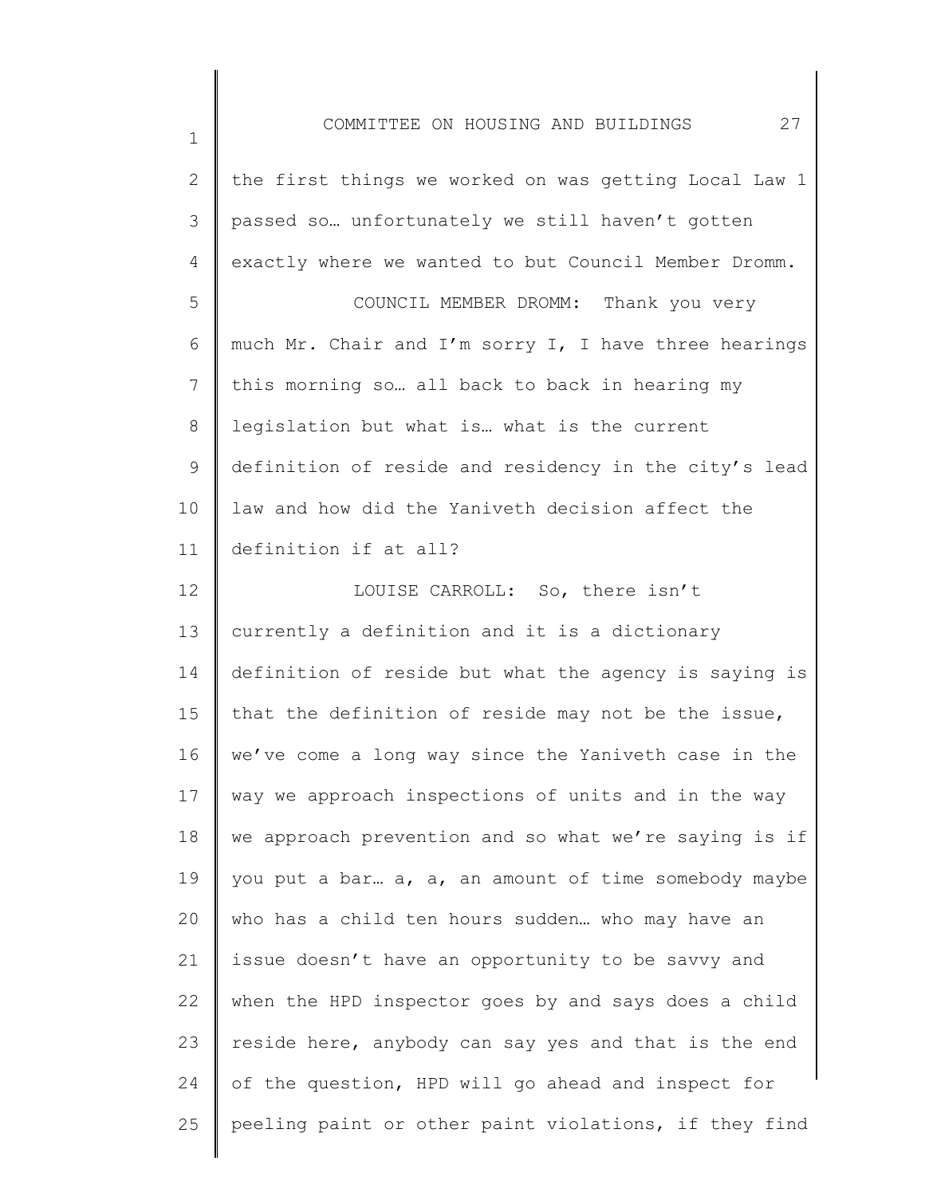1 2 3 4 5 6 7 8 9 10 11 12 13 14 15 16 17 18 19 20 21 22 23 24 25 COMMITTEE ON HOUSING AND BUILDINGS 27 the first things we worked on was getting Local Law 1 passed so… unfortunately we still haven't gotten exactly where we wanted to but Council Member Dromm. COUNCIL MEMBER DROMM: Thank you very much Mr. Chair and I'm sorry I, I have three hearings this morning so… all back to back in hearing my legislation but what is… what is the current definition of reside and residency in the city's lead law and how did the Yaniveth decision affect the definition if at all? LOUISE CARROLL: So, there isn't currently a definition and it is a dictionary definition of reside but what the agency is saying is that the definition of reside may not be the issue, we've come a long way since the Yaniveth case in the way we approach inspections of units and in the way we approach prevention and so what we're saying is if you put a bar… a, a, an amount of time somebody maybe who has a child ten hours sudden… who may have an issue doesn't have an opportunity to be savvy and when the HPD inspector goes by and says does a child reside here, anybody can say yes and that is the end of the question, HPD will go ahead and inspect for peeling paint or other paint violations, if they find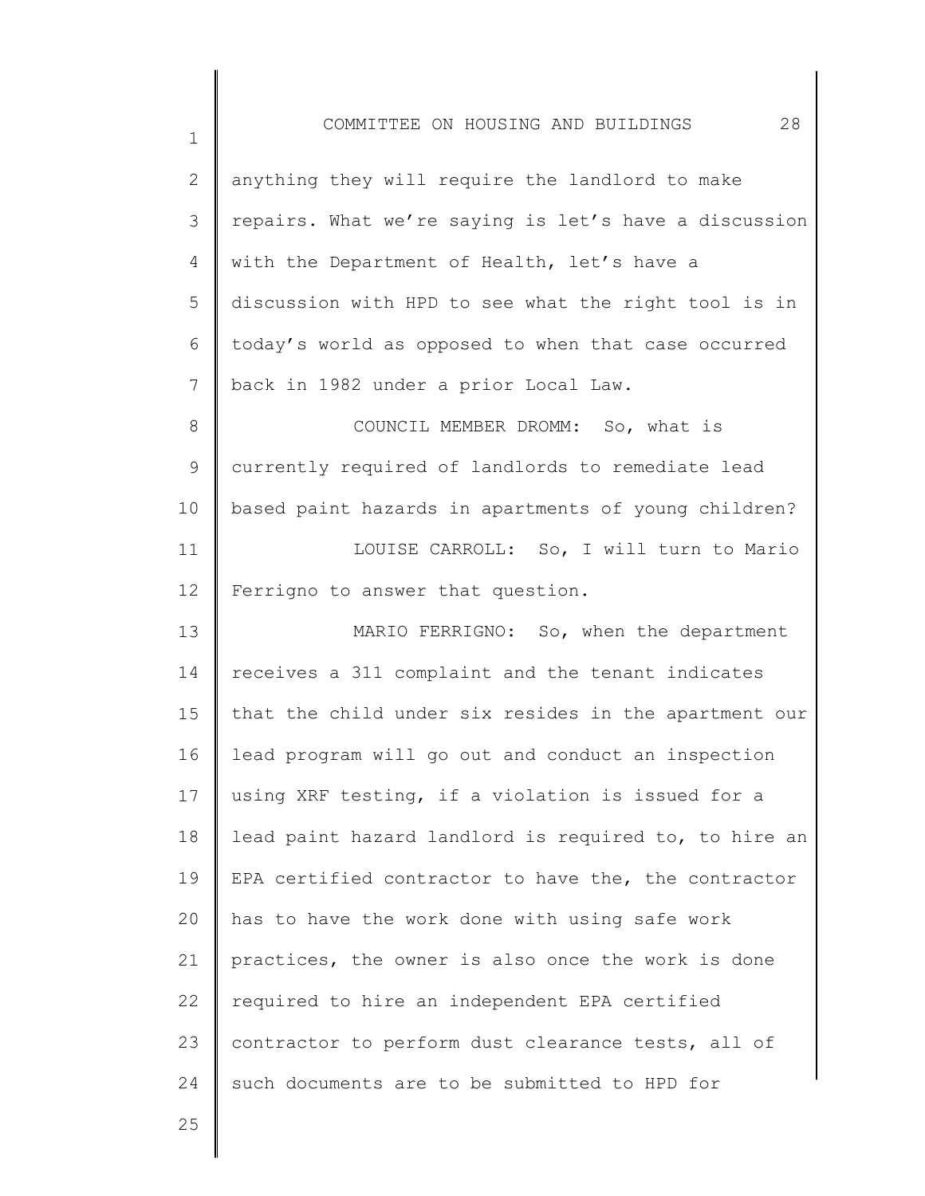| $\mathbf{2}^{\prime}$ | anything they will require the landlord to make       |
|-----------------------|-------------------------------------------------------|
| 3                     | repairs. What we're saying is let's have a discussion |
| $\overline{4}$        | with the Department of Health, let's have a           |
| 5                     | discussion with HPD to see what the right tool is in  |
| 6                     | today's world as opposed to when that case occurred   |
| $\overline{7}$        | back in 1982 under a prior Local Law.                 |
| $\,8\,$               | COUNCIL MEMBER DROMM: So, what is                     |
| 9                     | currently required of landlords to remediate lead     |
| 10                    | based paint hazards in apartments of young children?  |
| 11                    | LOUISE CARROLL: So, I will turn to Mario              |
| 12                    | Ferrigno to answer that question.                     |
| 13                    | MARIO FERRIGNO: So, when the department               |
| 14                    | receives a 311 complaint and the tenant indicates     |
| 15                    | that the child under six resides in the apartment our |
| 16                    | lead program will go out and conduct an inspection    |
| 17                    | using XRF testing, if a violation is issued for a     |
| 18                    | lead paint hazard landlord is required to, to hire an |
| 19                    | EPA certified contractor to have the, the contractor  |
| 20                    | has to have the work done with using safe work        |
| 21                    | practices, the owner is also once the work is done    |
| 22                    | required to hire an independent EPA certified         |
| 23                    | contractor to perform dust clearance tests, all of    |
| 24                    | such documents are to be submitted to HPD for         |
| 25                    |                                                       |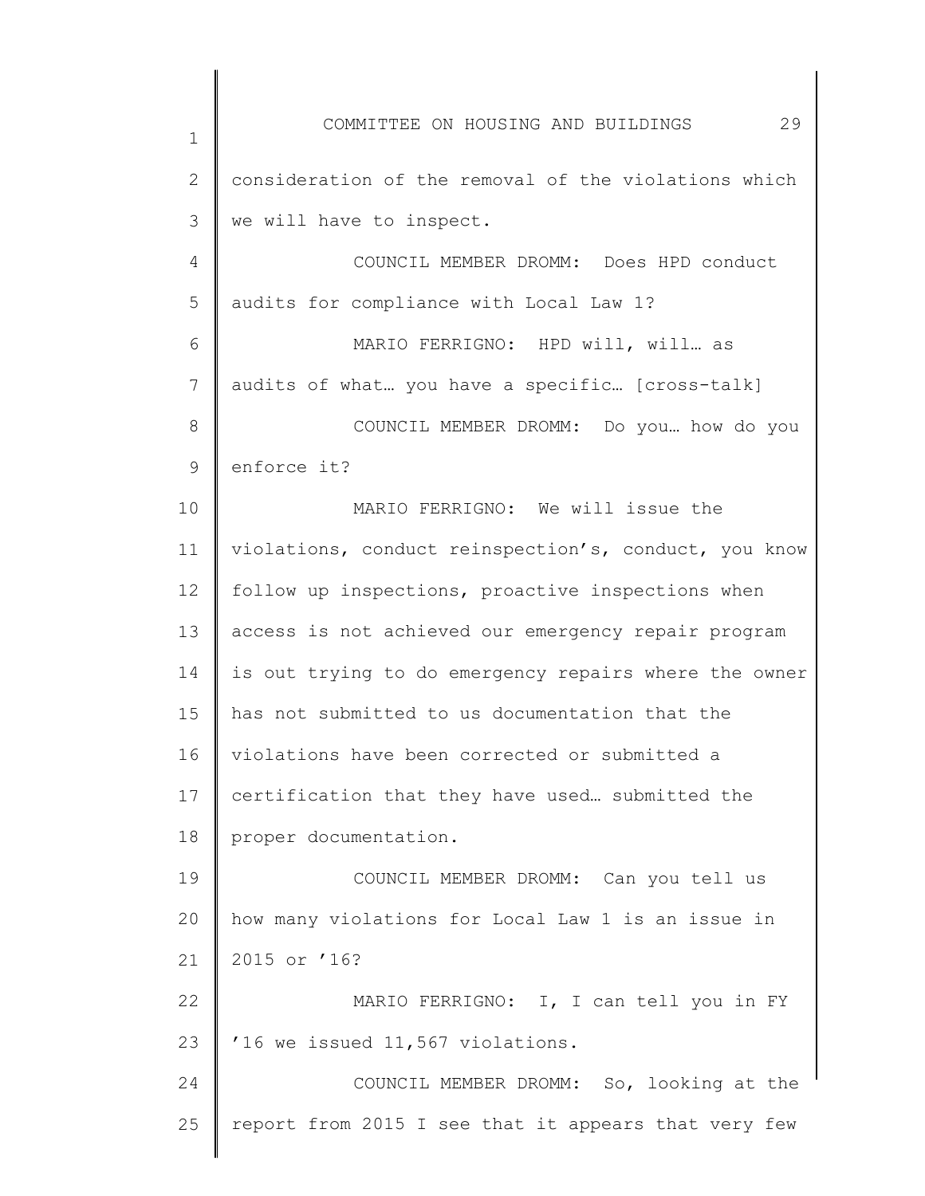1 2 3 4 5 6 7 8 9 10 11 12 13 14 15 16 17 18 19 20 21 22 23 24 25 COMMITTEE ON HOUSING AND BUILDINGS 29 consideration of the removal of the violations which we will have to inspect. COUNCIL MEMBER DROMM: Does HPD conduct audits for compliance with Local Law 1? MARIO FERRIGNO: HPD will, will… as audits of what… you have a specific… [cross-talk] COUNCIL MEMBER DROMM: Do you… how do you enforce it? MARIO FERRIGNO: We will issue the violations, conduct reinspection's, conduct, you know follow up inspections, proactive inspections when access is not achieved our emergency repair program is out trying to do emergency repairs where the owner has not submitted to us documentation that the violations have been corrected or submitted a certification that they have used… submitted the proper documentation. COUNCIL MEMBER DROMM: Can you tell us how many violations for Local Law 1 is an issue in 2015 or '16? MARIO FERRIGNO: I, I can tell you in FY '16 we issued 11,567 violations. COUNCIL MEMBER DROMM: So, looking at the report from 2015 I see that it appears that very few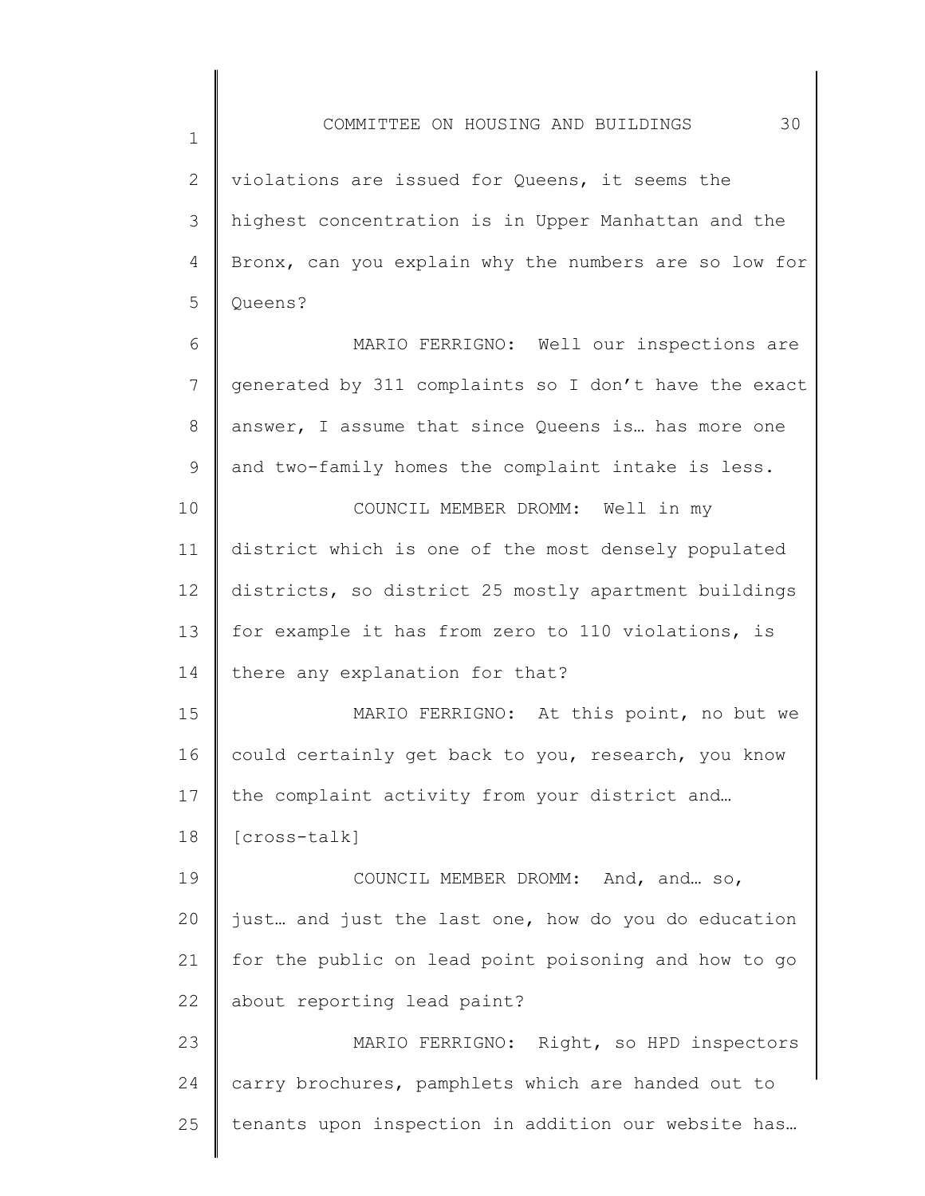2 3 4 5 violations are issued for Queens, it seems the highest concentration is in Upper Manhattan and the Bronx, can you explain why the numbers are so low for Queens?

6 7 8 9 MARIO FERRIGNO: Well our inspections are generated by 311 complaints so I don't have the exact answer, I assume that since Queens is… has more one and two-family homes the complaint intake is less.

10 11 12 13 14 COUNCIL MEMBER DROMM: Well in my district which is one of the most densely populated districts, so district 25 mostly apartment buildings for example it has from zero to 110 violations, is there any explanation for that?

15 16 17 MARIO FERRIGNO: At this point, no but we could certainly get back to you, research, you know the complaint activity from your district and…

18 [cross-talk]

1

19 20 21 22 COUNCIL MEMBER DROMM: And, and… so, just… and just the last one, how do you do education for the public on lead point poisoning and how to go about reporting lead paint?

23 24 25 MARIO FERRIGNO: Right, so HPD inspectors carry brochures, pamphlets which are handed out to tenants upon inspection in addition our website has…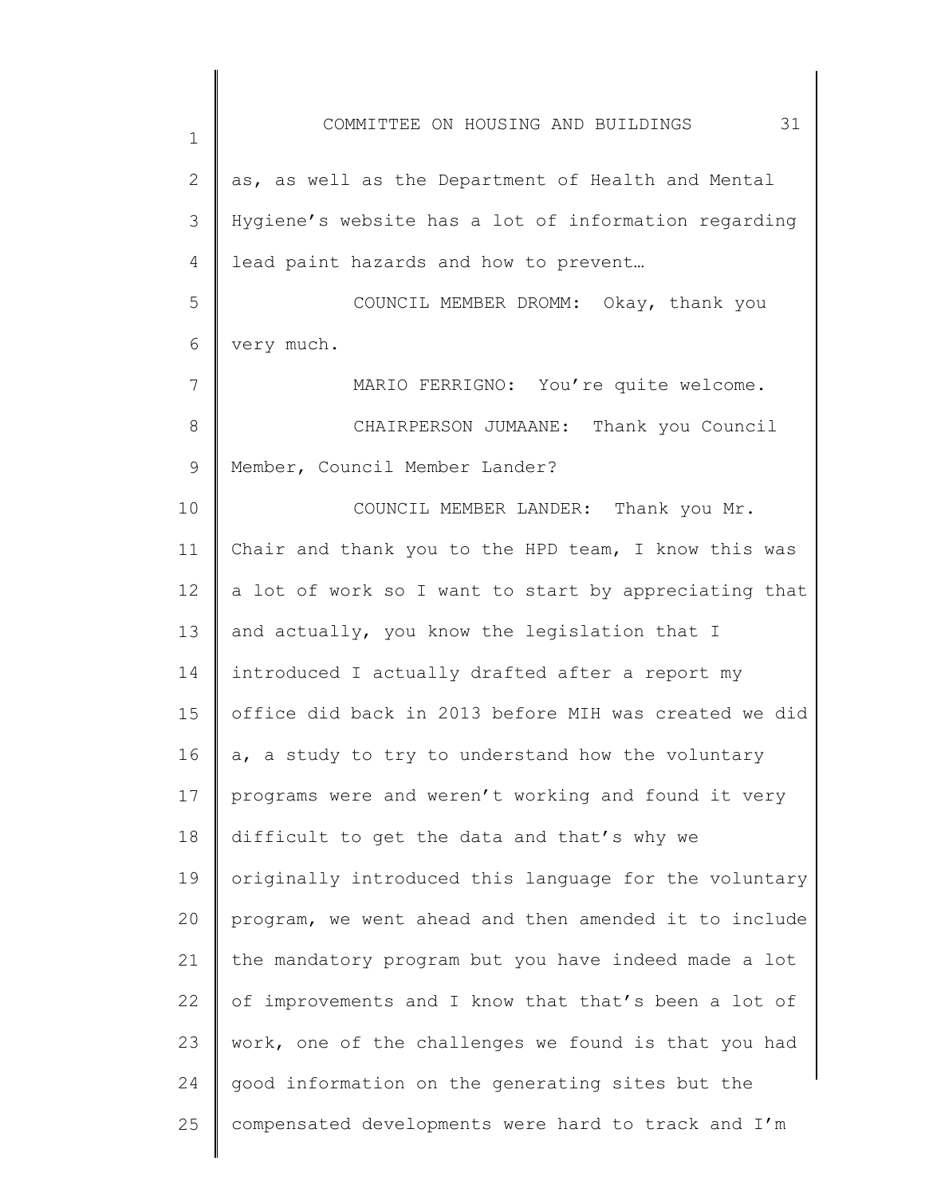| $\mathbf 1$ | 31<br>COMMITTEE ON HOUSING AND BUILDINGS              |
|-------------|-------------------------------------------------------|
| 2           | as, as well as the Department of Health and Mental    |
| 3           | Hygiene's website has a lot of information regarding  |
| 4           | lead paint hazards and how to prevent                 |
| 5           | COUNCIL MEMBER DROMM: Okay, thank you                 |
| 6           | very much.                                            |
| 7           | MARIO FERRIGNO: You're quite welcome.                 |
| 8           | CHAIRPERSON JUMAANE: Thank you Council                |
| 9           | Member, Council Member Lander?                        |
| 10          | COUNCIL MEMBER LANDER: Thank you Mr.                  |
| 11          | Chair and thank you to the HPD team, I know this was  |
| 12          | a lot of work so I want to start by appreciating that |
| 13          | and actually, you know the legislation that I         |
| 14          | introduced I actually drafted after a report my       |
| 15          | office did back in 2013 before MIH was created we did |
| 16          | a, a study to try to understand how the voluntary     |
| 17          | programs were and weren't working and found it very   |
| 18          | difficult to get the data and that's why we           |
| 19          | originally introduced this language for the voluntary |
| 20          | program, we went ahead and then amended it to include |
| 21          | the mandatory program but you have indeed made a lot  |
| 22          | of improvements and I know that that's been a lot of  |
| 23          | work, one of the challenges we found is that you had  |
| 24          | good information on the generating sites but the      |
| 25          | compensated developments were hard to track and I'm   |
|             |                                                       |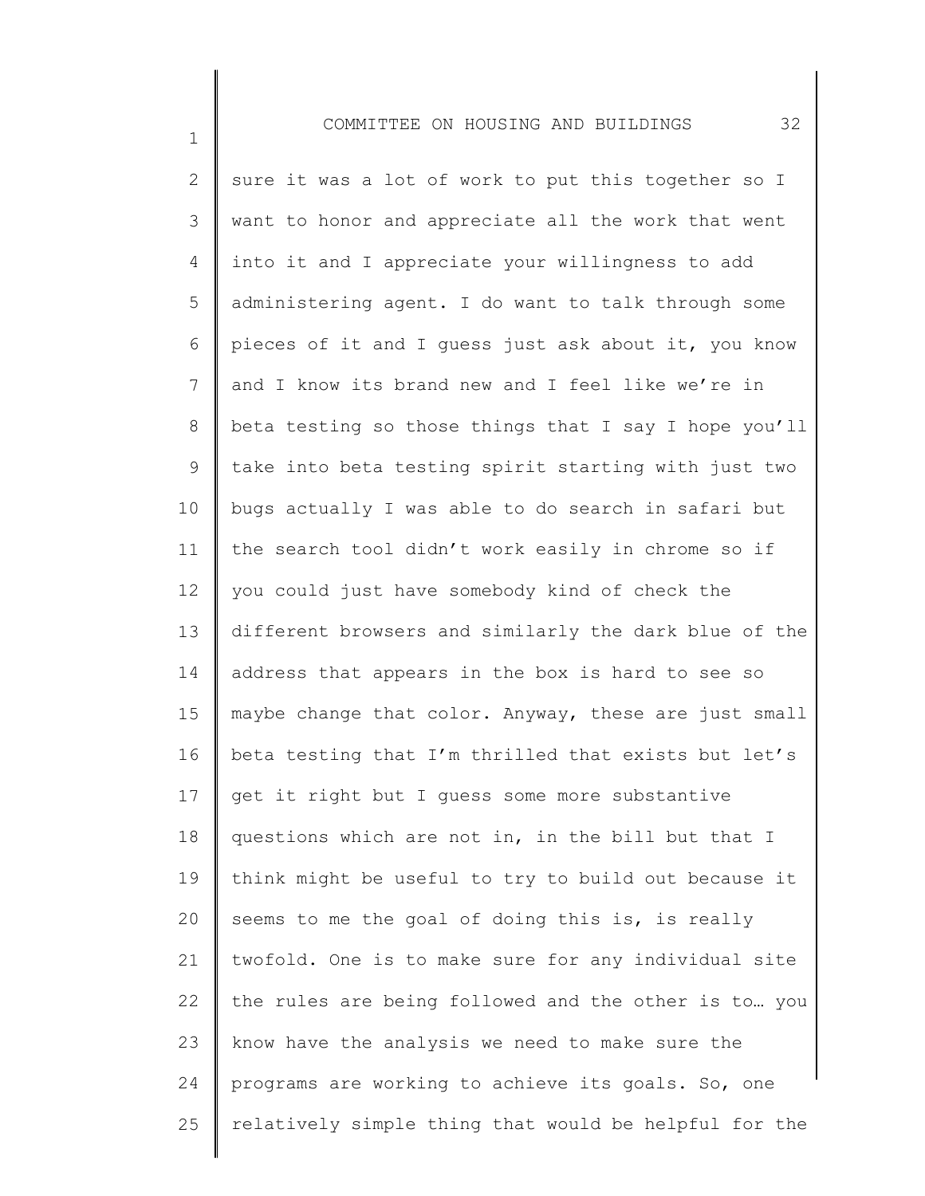1

2 3 4 5 6 7 8 9 10 11 12 13 14 15 16 17 18 19 20 21 22 23 24 25 sure it was a lot of work to put this together so I want to honor and appreciate all the work that went into it and I appreciate your willingness to add administering agent. I do want to talk through some pieces of it and I guess just ask about it, you know and I know its brand new and I feel like we're in beta testing so those things that I say I hope you'll take into beta testing spirit starting with just two bugs actually I was able to do search in safari but the search tool didn't work easily in chrome so if you could just have somebody kind of check the different browsers and similarly the dark blue of the address that appears in the box is hard to see so maybe change that color. Anyway, these are just small beta testing that I'm thrilled that exists but let's get it right but I guess some more substantive questions which are not in, in the bill but that I think might be useful to try to build out because it seems to me the goal of doing this is, is really twofold. One is to make sure for any individual site the rules are being followed and the other is to… you know have the analysis we need to make sure the programs are working to achieve its goals. So, one relatively simple thing that would be helpful for the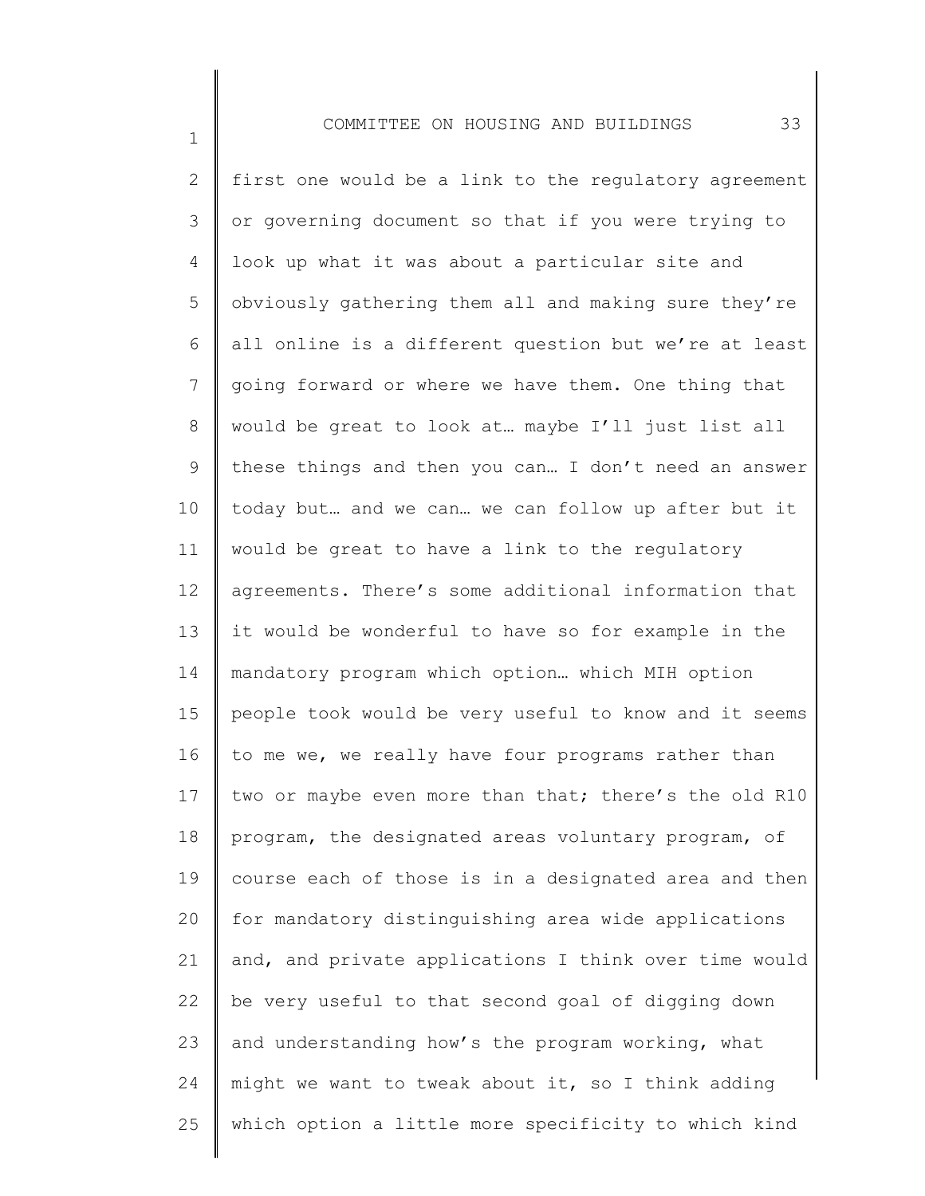1

2 3 4 5 6 7 8 9 10 11 12 13 14 15 16 17 18 19 20 21 22 23 24 25 first one would be a link to the regulatory agreement or governing document so that if you were trying to look up what it was about a particular site and obviously gathering them all and making sure they're all online is a different question but we're at least going forward or where we have them. One thing that would be great to look at… maybe I'll just list all these things and then you can… I don't need an answer today but… and we can… we can follow up after but it would be great to have a link to the regulatory agreements. There's some additional information that it would be wonderful to have so for example in the mandatory program which option… which MIH option people took would be very useful to know and it seems to me we, we really have four programs rather than two or maybe even more than that; there's the old R10 program, the designated areas voluntary program, of course each of those is in a designated area and then for mandatory distinguishing area wide applications and, and private applications I think over time would be very useful to that second goal of digging down and understanding how's the program working, what might we want to tweak about it, so I think adding which option a little more specificity to which kind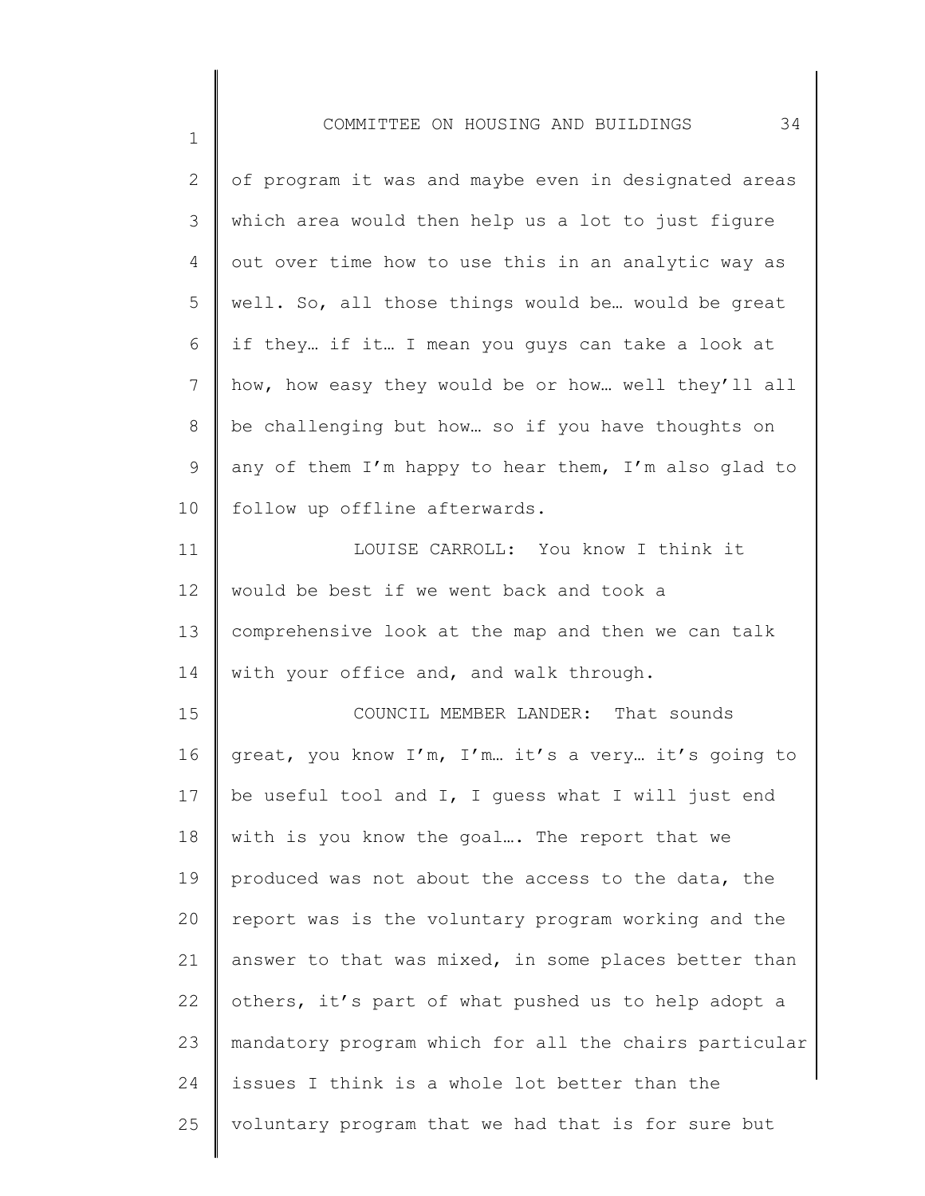| $\overline{2}$  | of program it was and maybe even in designated areas  |
|-----------------|-------------------------------------------------------|
| 3               | which area would then help us a lot to just figure    |
| 4               | out over time how to use this in an analytic way as   |
| 5               | well. So, all those things would be would be great    |
| 6               | if they if it I mean you guys can take a look at      |
| $7\phantom{.0}$ | how, how easy they would be or how well they'll all   |
| 8               | be challenging but how so if you have thoughts on     |
| 9               | any of them I'm happy to hear them, I'm also glad to  |
| 10              | follow up offline afterwards.                         |
| 11              | LOUISE CARROLL: You know I think it                   |
| 12              | would be best if we went back and took a              |
| 13              | comprehensive look at the map and then we can talk    |
| 14              | with your office and, and walk through.               |
| 15              | COUNCIL MEMBER LANDER: That sounds                    |
| 16              | great, you know I'm, I'm it's a very it's going to    |
| 17              | be useful tool and I, I guess what I will just end    |
| 18              | with is you know the goal The report that we          |
| 19              | produced was not about the access to the data, the    |
| 20              | report was is the voluntary program working and the   |
| 21              | answer to that was mixed, in some places better than  |
| 22              | others, it's part of what pushed us to help adopt a   |
| 23              | mandatory program which for all the chairs particular |
| 24              | issues I think is a whole lot better than the         |
| 25              | voluntary program that we had that is for sure but    |
|                 |                                                       |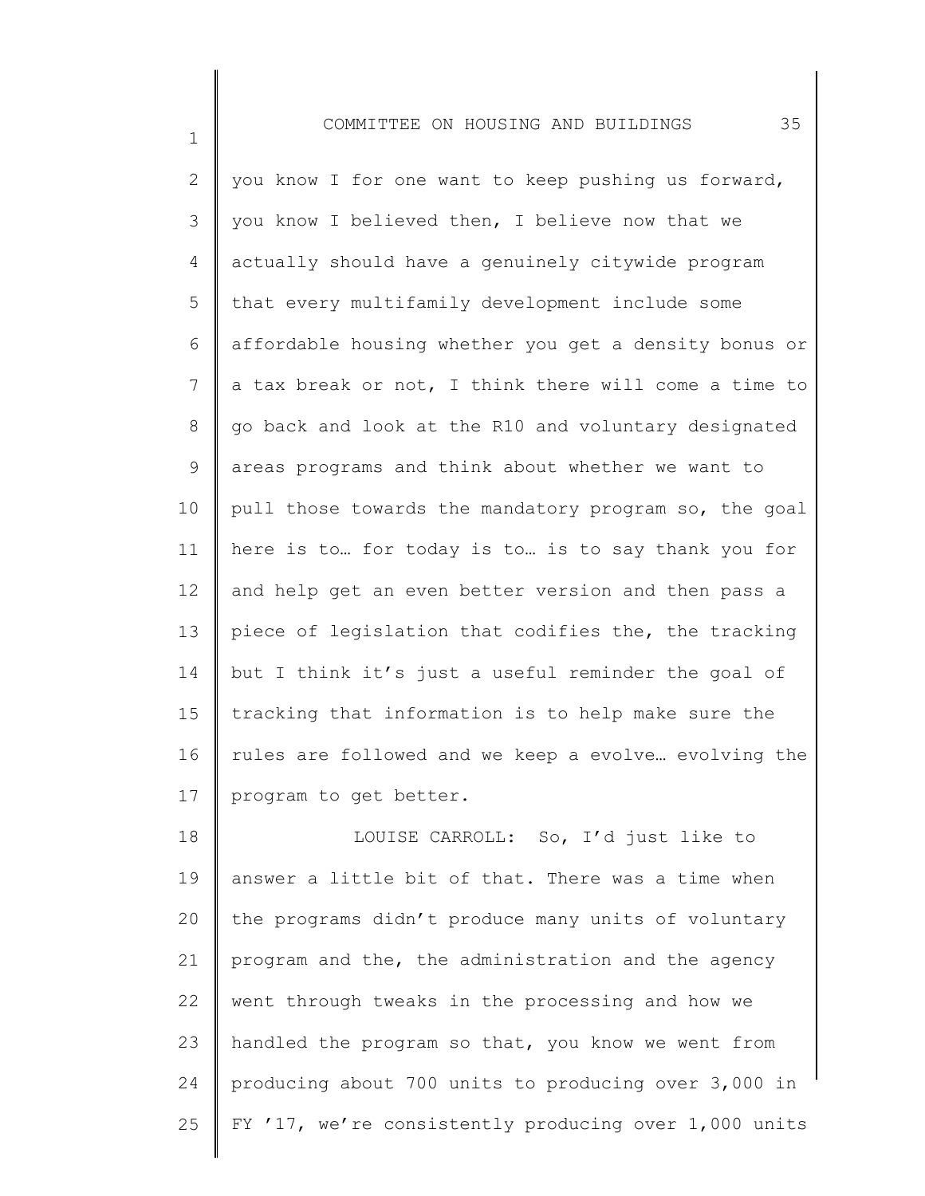1

2 3 4 5 6 7 8 9 10 11 12 13 14 15 16 17 you know I for one want to keep pushing us forward, you know I believed then, I believe now that we actually should have a genuinely citywide program that every multifamily development include some affordable housing whether you get a density bonus or a tax break or not, I think there will come a time to go back and look at the R10 and voluntary designated areas programs and think about whether we want to pull those towards the mandatory program so, the goal here is to… for today is to… is to say thank you for and help get an even better version and then pass a piece of legislation that codifies the, the tracking but I think it's just a useful reminder the goal of tracking that information is to help make sure the rules are followed and we keep a evolve… evolving the program to get better.

18 19 20 21 22 23 24 25 LOUISE CARROLL: So, I'd just like to answer a little bit of that. There was a time when the programs didn't produce many units of voluntary program and the, the administration and the agency went through tweaks in the processing and how we handled the program so that, you know we went from producing about 700 units to producing over 3,000 in FY '17, we're consistently producing over 1,000 units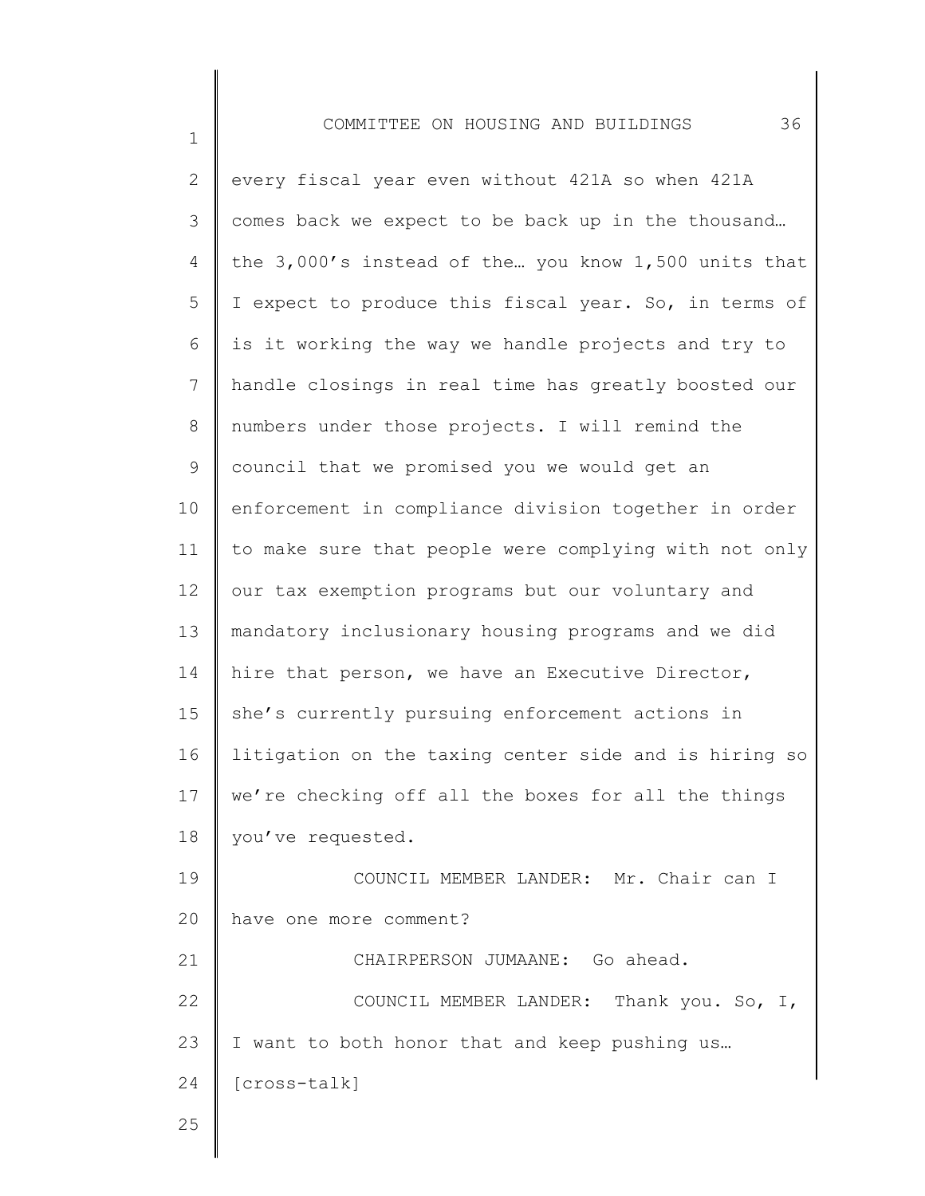| $\overline{2}$ | every fiscal year even without 421A so when 421A      |
|----------------|-------------------------------------------------------|
| 3              | comes back we expect to be back up in the thousand    |
| 4              | the 3,000's instead of the you know 1,500 units that  |
| 5              | I expect to produce this fiscal year. So, in terms of |
| 6              | is it working the way we handle projects and try to   |
| $\overline{7}$ | handle closings in real time has greatly boosted our  |
| 8              | numbers under those projects. I will remind the       |
| $\mathsf 9$    | council that we promised you we would get an          |
| 10             | enforcement in compliance division together in order  |
| 11             | to make sure that people were complying with not only |
| 12             | our tax exemption programs but our voluntary and      |
| 13             | mandatory inclusionary housing programs and we did    |
| 14             | hire that person, we have an Executive Director,      |
| 15             | she's currently pursuing enforcement actions in       |
| 16             | litigation on the taxing center side and is hiring so |
| 17             | we're checking off all the boxes for all the things   |
| 18             | you've requested.                                     |
| 19             | COUNCIL MEMBER LANDER: Mr. Chair can I                |
| 20             | have one more comment?                                |
| 21             | CHAIRPERSON JUMAANE: Go ahead.                        |
| 22             | COUNCIL MEMBER LANDER: Thank you. So, I,              |
| 23             | I want to both honor that and keep pushing us         |
| 24             | [cross-talk]                                          |
| 25             |                                                       |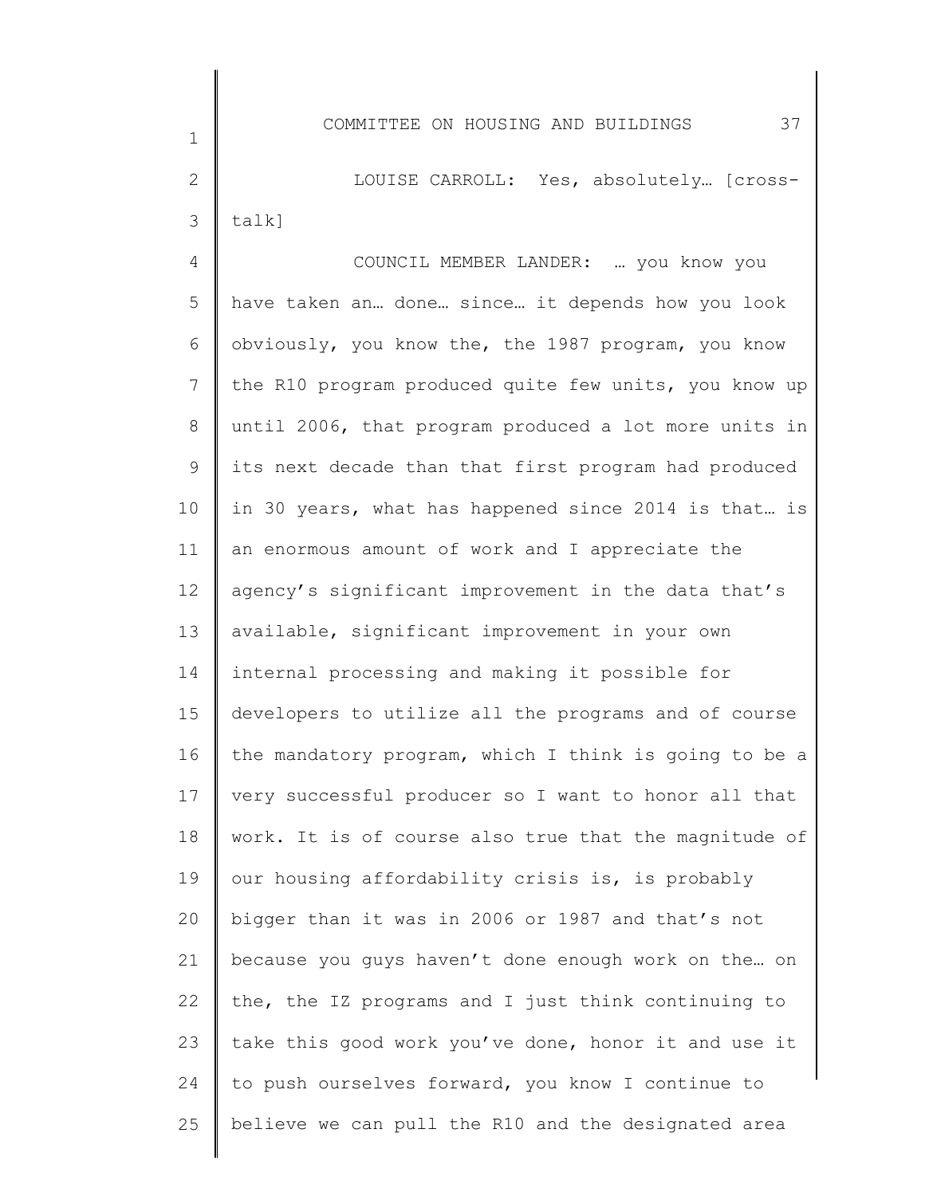2 3 LOUISE CARROLL: Yes, absolutely… [crosstalk]

4 5 6 7 8 9 10 11 12 13 14 15 16 17 18 19 20 21 22 23 24 25 COUNCIL MEMBER LANDER: … you know you have taken an… done… since… it depends how you look obviously, you know the, the 1987 program, you know the R10 program produced quite few units, you know up until 2006, that program produced a lot more units in its next decade than that first program had produced in 30 years, what has happened since 2014 is that… is an enormous amount of work and I appreciate the agency's significant improvement in the data that's available, significant improvement in your own internal processing and making it possible for developers to utilize all the programs and of course the mandatory program, which I think is going to be a very successful producer so I want to honor all that work. It is of course also true that the magnitude of our housing affordability crisis is, is probably bigger than it was in 2006 or 1987 and that's not because you guys haven't done enough work on the… on the, the IZ programs and I just think continuing to take this good work you've done, honor it and use it to push ourselves forward, you know I continue to believe we can pull the R10 and the designated area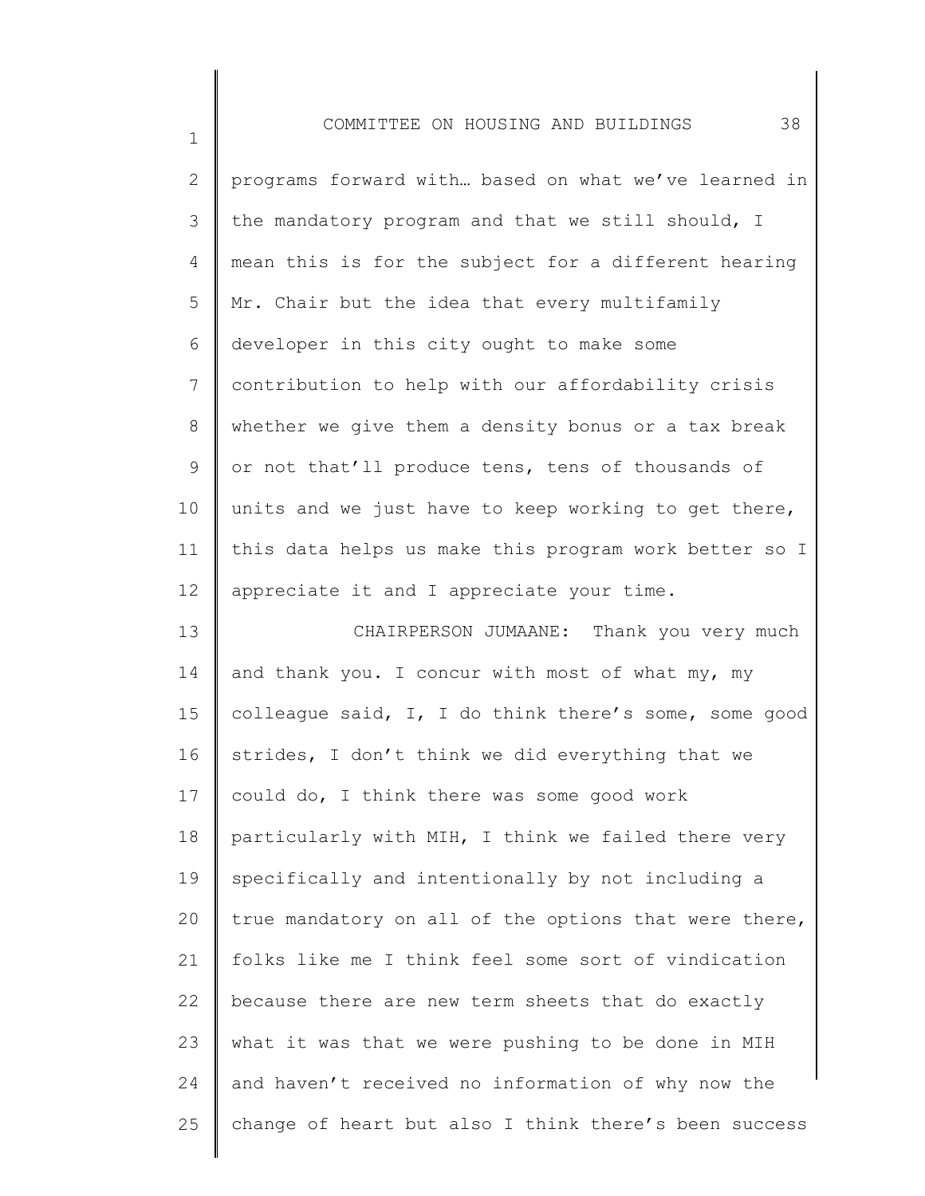1

2 3 4 5 6 7 8 9 10 11 12 13 14 15 16 17 18 19 20 21 22 23 24 25 programs forward with… based on what we've learned in the mandatory program and that we still should, I mean this is for the subject for a different hearing Mr. Chair but the idea that every multifamily developer in this city ought to make some contribution to help with our affordability crisis whether we give them a density bonus or a tax break or not that'll produce tens, tens of thousands of units and we just have to keep working to get there, this data helps us make this program work better so I appreciate it and I appreciate your time. CHAIRPERSON JUMAANE: Thank you very much and thank you. I concur with most of what my, my colleague said, I, I do think there's some, some good strides, I don't think we did everything that we could do, I think there was some good work particularly with MIH, I think we failed there very specifically and intentionally by not including a true mandatory on all of the options that were there, folks like me I think feel some sort of vindication because there are new term sheets that do exactly what it was that we were pushing to be done in MIH and haven't received no information of why now the change of heart but also I think there's been success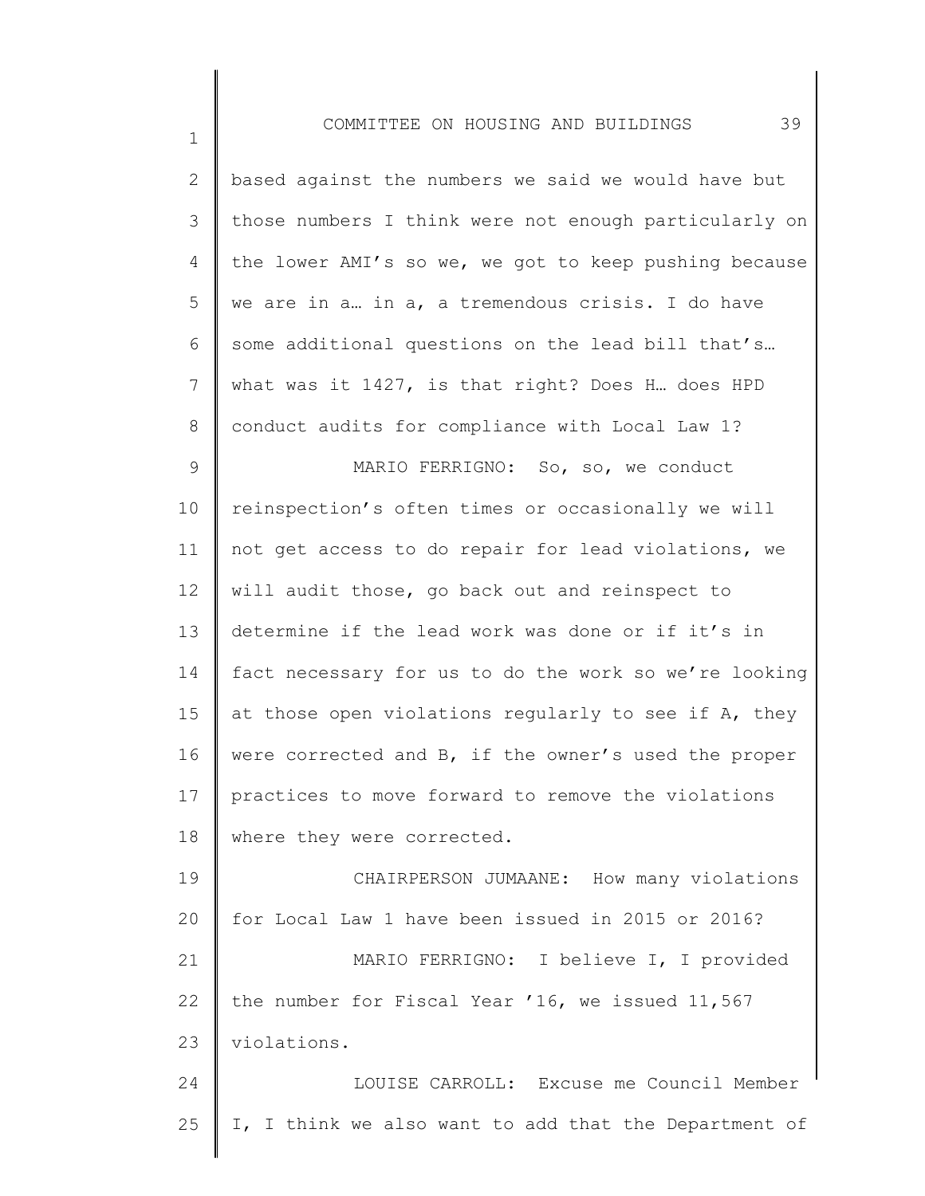| $\mathbf{2}^{\prime}$ | based against the numbers we said we would have but   |
|-----------------------|-------------------------------------------------------|
| 3                     | those numbers I think were not enough particularly on |
| $\overline{4}$        | the lower AMI's so we, we got to keep pushing because |
| 5                     | we are in a in a, a tremendous crisis. I do have      |
| 6                     | some additional questions on the lead bill that's     |
| $7\phantom{.}$        | what was it 1427, is that right? Does H does HPD      |
| 8                     | conduct audits for compliance with Local Law 1?       |
| $\mathsf 9$           | MARIO FERRIGNO: So, so, we conduct                    |
| 10                    | reinspection's often times or occasionally we will    |
| 11                    | not get access to do repair for lead violations, we   |
| 12                    | will audit those, go back out and reinspect to        |
| 13                    | determine if the lead work was done or if it's in     |
| 14                    | fact necessary for us to do the work so we're looking |
| 15                    | at those open violations regularly to see if A, they  |
| 16                    | were corrected and B, if the owner's used the proper  |
| 17                    | practices to move forward to remove the violations    |
| 18                    | where they were corrected.                            |
| 19                    | CHAIRPERSON JUMAANE: How many violations              |
| 20                    | for Local Law 1 have been issued in 2015 or 2016?     |
| 21                    | MARIO FERRIGNO: I believe I, I provided               |
| 22                    | the number for Fiscal Year '16, we issued 11,567      |
| 23                    | violations.                                           |
| 24                    | LOUISE CARROLL: Excuse me Council Member              |
| 25                    | I, I think we also want to add that the Department of |
|                       |                                                       |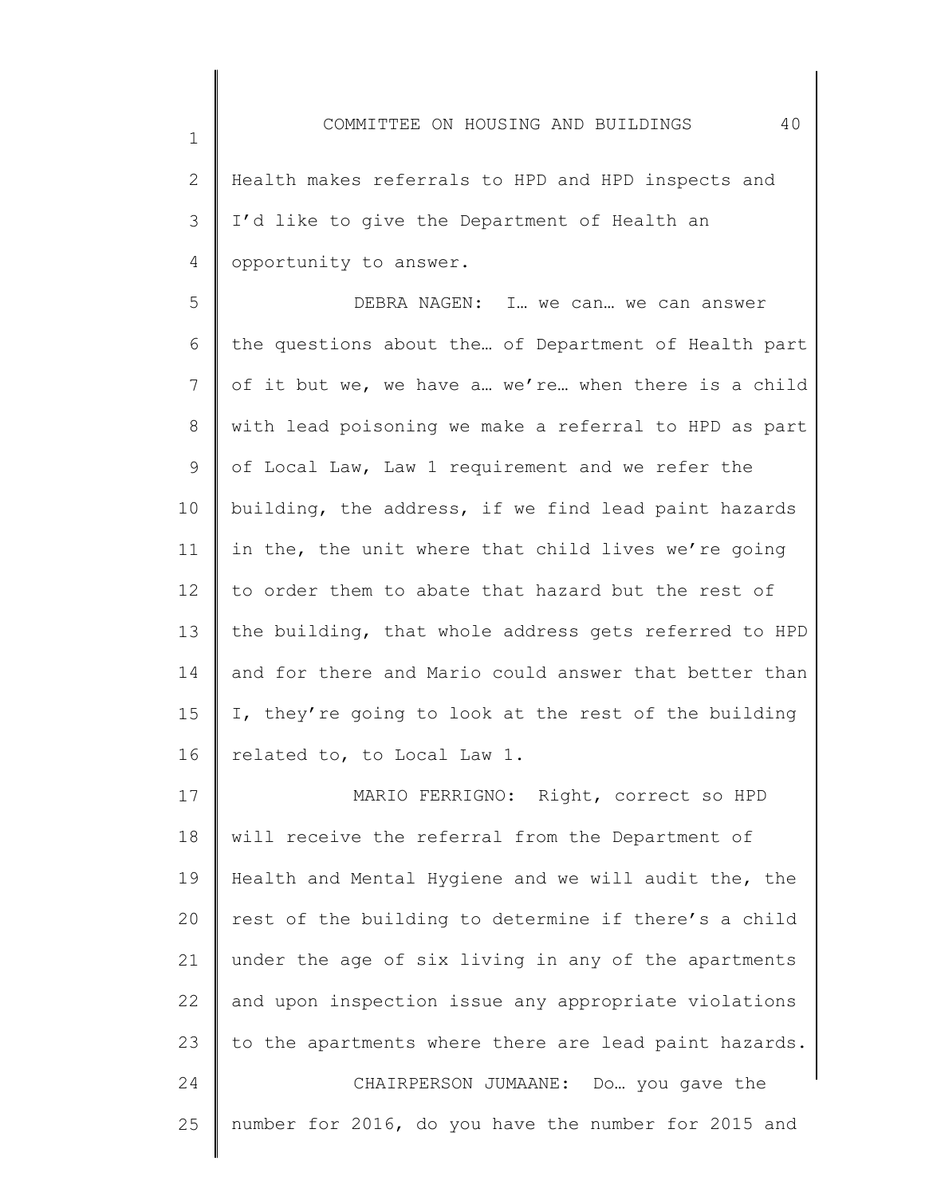2 3 4 Health makes referrals to HPD and HPD inspects and I'd like to give the Department of Health an opportunity to answer.

1

5 6 7 8 9 10 11 12 13 14 15 16 DEBRA NAGEN: I… we can… we can answer the questions about the… of Department of Health part of it but we, we have a… we're… when there is a child with lead poisoning we make a referral to HPD as part of Local Law, Law 1 requirement and we refer the building, the address, if we find lead paint hazards in the, the unit where that child lives we're going to order them to abate that hazard but the rest of the building, that whole address gets referred to HPD and for there and Mario could answer that better than I, they're going to look at the rest of the building related to, to Local Law 1.

17 18 19 20 21 22 23 24 25 MARIO FERRIGNO: Right, correct so HPD will receive the referral from the Department of Health and Mental Hygiene and we will audit the, the rest of the building to determine if there's a child under the age of six living in any of the apartments and upon inspection issue any appropriate violations to the apartments where there are lead paint hazards. CHAIRPERSON JUMAANE: Do… you gave the number for 2016, do you have the number for 2015 and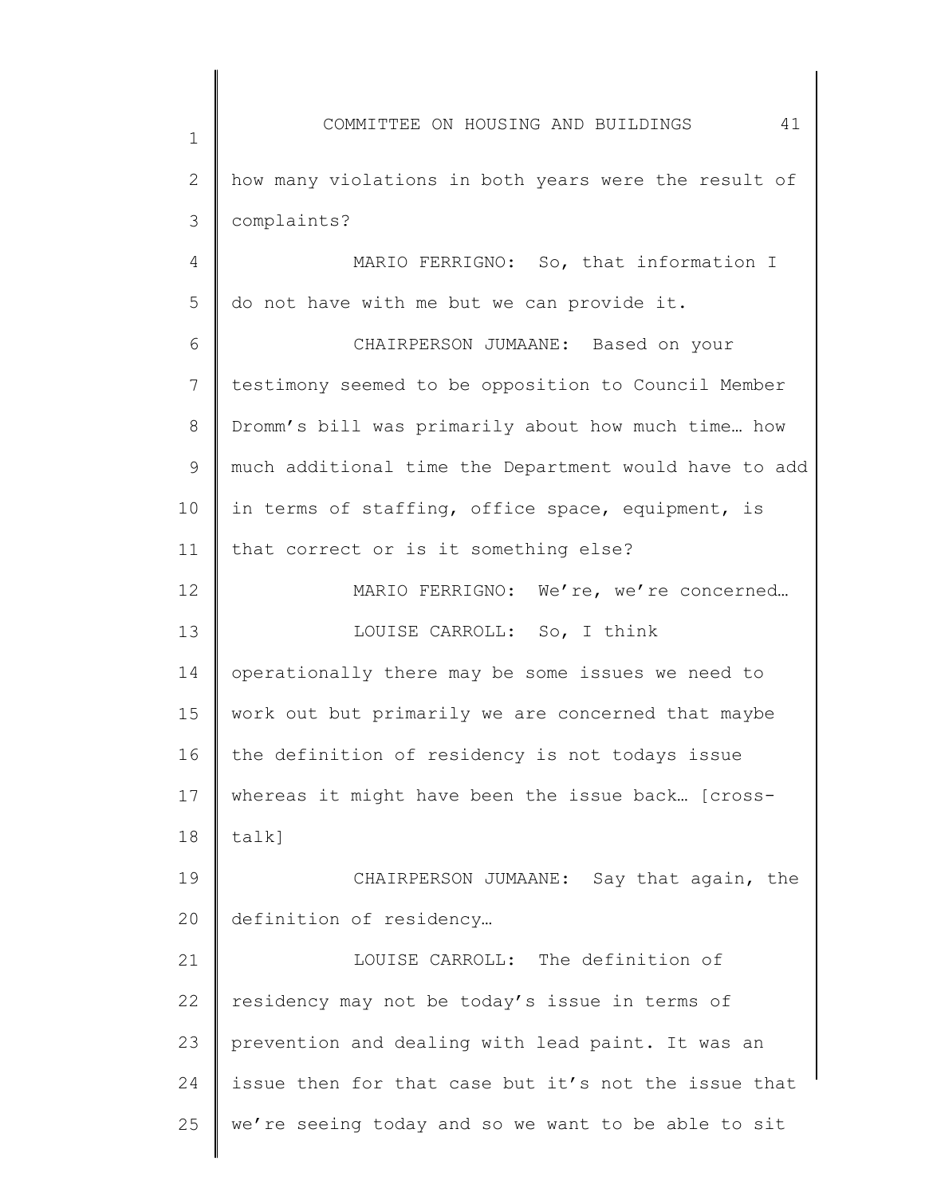1 2 3 4 5 6 7 8 9 10 11 12 13 14 15 16 17 18 19 20 21 22 23 24 25 COMMITTEE ON HOUSING AND BUILDINGS 41 how many violations in both years were the result of complaints? MARIO FERRIGNO: So, that information I do not have with me but we can provide it. CHAIRPERSON JUMAANE: Based on your testimony seemed to be opposition to Council Member Dromm's bill was primarily about how much time… how much additional time the Department would have to add in terms of staffing, office space, equipment, is that correct or is it something else? MARIO FERRIGNO: We're, we're concerned... LOUISE CARROLL: So, I think operationally there may be some issues we need to work out but primarily we are concerned that maybe the definition of residency is not todays issue whereas it might have been the issue back… [crosstalk] CHAIRPERSON JUMAANE: Say that again, the definition of residency… LOUISE CARROLL: The definition of residency may not be today's issue in terms of prevention and dealing with lead paint. It was an issue then for that case but it's not the issue that we're seeing today and so we want to be able to sit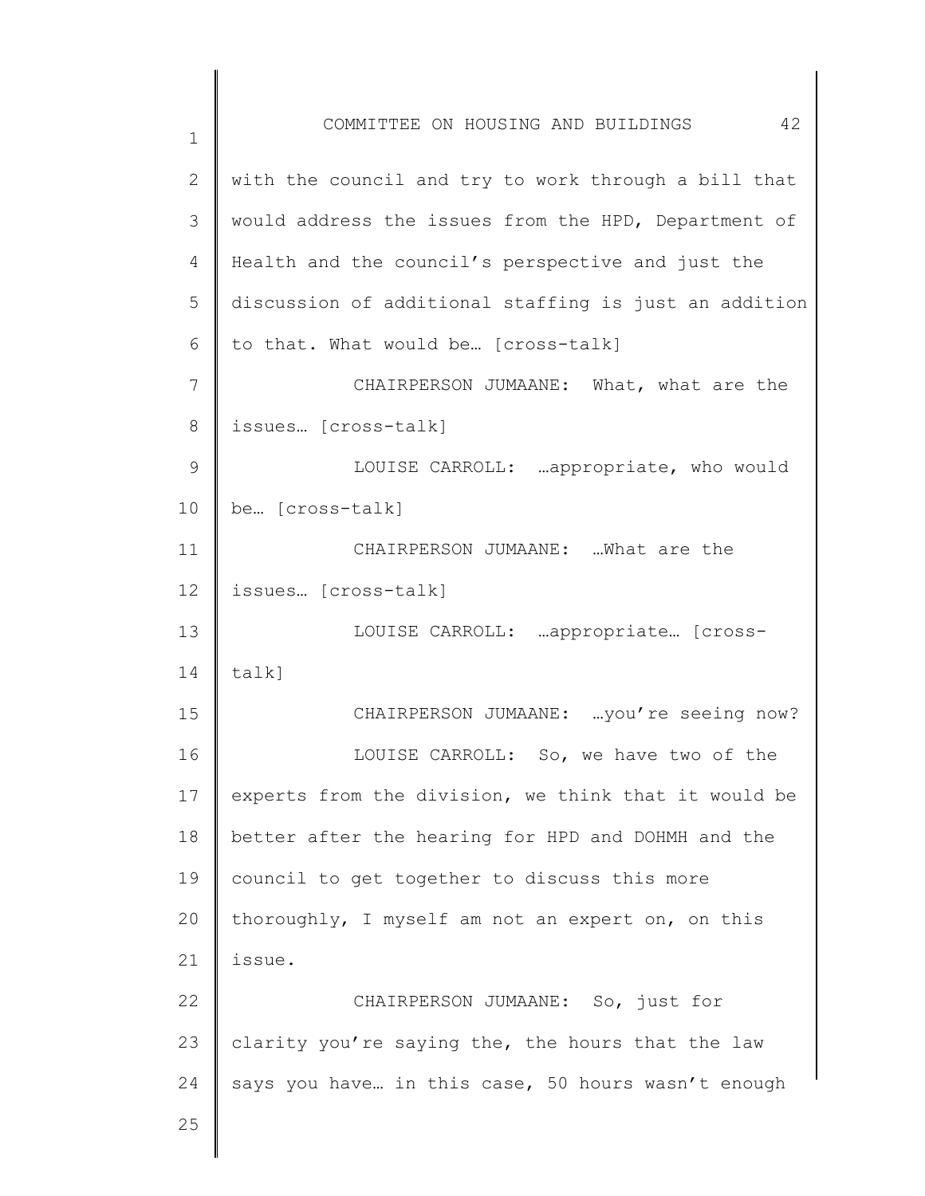1 2 3 4 5 6 7 8 9 10 11 12 13 14 15 16 17 18 19 20 21 22 23 24 25 COMMITTEE ON HOUSING AND BUILDINGS 42 with the council and try to work through a bill that would address the issues from the HPD, Department of Health and the council's perspective and just the discussion of additional staffing is just an addition to that. What would be… [cross-talk] CHAIRPERSON JUMAANE: What, what are the issues… [cross-talk] LOUISE CARROLL: …appropriate, who would be… [cross-talk] CHAIRPERSON JUMAANE: …What are the issues… [cross-talk] LOUISE CARROLL: …appropriate… [crosstalk] CHAIRPERSON JUMAANE: …you're seeing now? LOUISE CARROLL: So, we have two of the experts from the division, we think that it would be better after the hearing for HPD and DOHMH and the council to get together to discuss this more thoroughly, I myself am not an expert on, on this issue. CHAIRPERSON JUMAANE: So, just for clarity you're saying the, the hours that the law says you have… in this case, 50 hours wasn't enough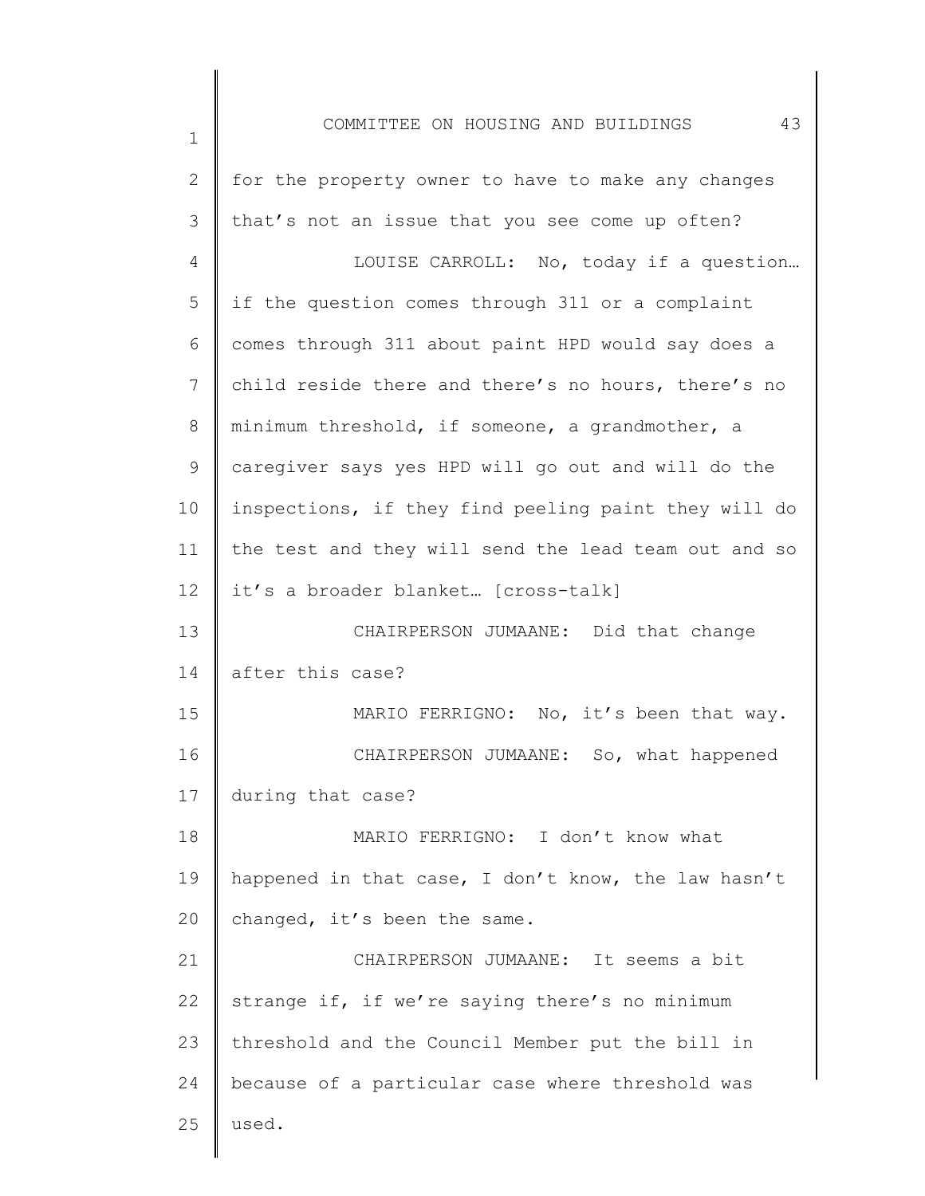| 2           | for the property owner to have to make any changes   |
|-------------|------------------------------------------------------|
| 3           | that's not an issue that you see come up often?      |
| 4           | LOUISE CARROLL: No, today if a question              |
| 5           | if the question comes through 311 or a complaint     |
| 6           | comes through 311 about paint HPD would say does a   |
| 7           | child reside there and there's no hours, there's no  |
| $8\,$       | minimum threshold, if someone, a grandmother, a      |
| $\mathsf 9$ | caregiver says yes HPD will go out and will do the   |
| 10          | inspections, if they find peeling paint they will do |
| 11          | the test and they will send the lead team out and so |
| 12          | it's a broader blanket [cross-talk]                  |
| 13          | CHAIRPERSON JUMAANE: Did that change                 |
| 14          | after this case?                                     |
| 15          | MARIO FERRIGNO: No, it's been that way.              |
| 16          | CHAIRPERSON JUMAANE: So, what happened               |
| 17          | during that case?                                    |
| 18          | MARIO FERRIGNO: I don't know what                    |
| 19          | happened in that case, I don't know, the law hasn't  |
| 20          | changed, it's been the same.                         |
| 21          | CHAIRPERSON JUMAANE: It seems a bit                  |
| 22          | strange if, if we're saying there's no minimum       |
| 23          | threshold and the Council Member put the bill in     |
| 24          | because of a particular case where threshold was     |
| 25          | used.                                                |
|             |                                                      |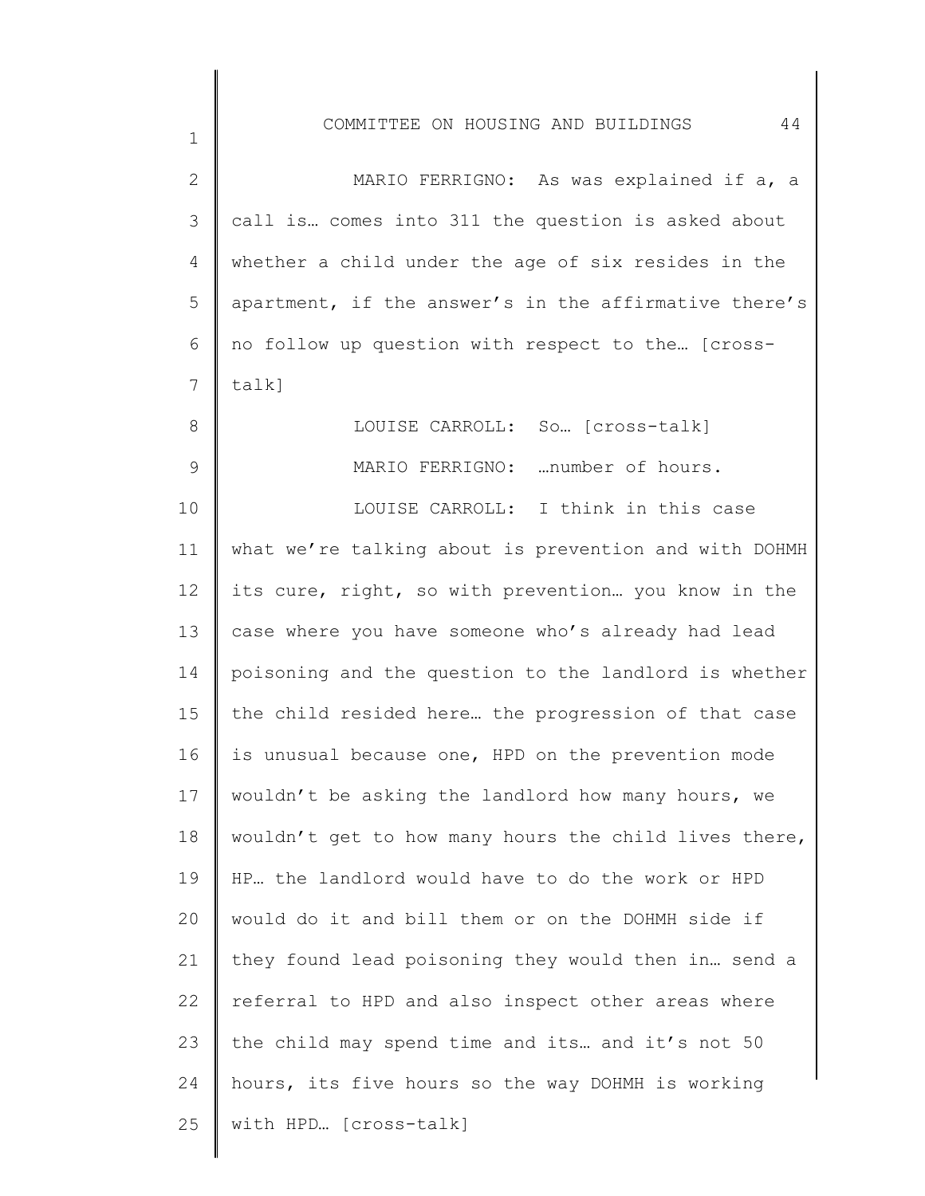| $\overline{2}$ | MARIO FERRIGNO: As was explained if a, a              |
|----------------|-------------------------------------------------------|
| 3              | call is comes into 311 the question is asked about    |
| 4              | whether a child under the age of six resides in the   |
| 5              | apartment, if the answer's in the affirmative there's |
| 6              | no follow up question with respect to the [cross-     |
| 7              | talk]                                                 |
| $8\,$          | LOUISE CARROLL: So [cross-talk]                       |
| $\mathsf 9$    | MARIO FERRIGNO: number of hours.                      |
| 10             | LOUISE CARROLL: I think in this case                  |
| 11             | what we're talking about is prevention and with DOHMH |
| 12             | its cure, right, so with prevention you know in the   |
| 13             | case where you have someone who's already had lead    |
| 14             | poisoning and the question to the landlord is whether |
| 15             | the child resided here the progression of that case   |
| 16             | is unusual because one, HPD on the prevention mode    |
| 17             | wouldn't be asking the landlord how many hours, we    |
| 18             | wouldn't get to how many hours the child lives there, |
| 19             | HP the landlord would have to do the work or HPD      |
| 20             | would do it and bill them or on the DOHMH side if     |
| 21             | they found lead poisoning they would then in send a   |
| 22             | referral to HPD and also inspect other areas where    |
| 23             | the child may spend time and its and it's not 50      |
| 24             | hours, its five hours so the way DOHMH is working     |
| 25             | with HPD [cross-talk]                                 |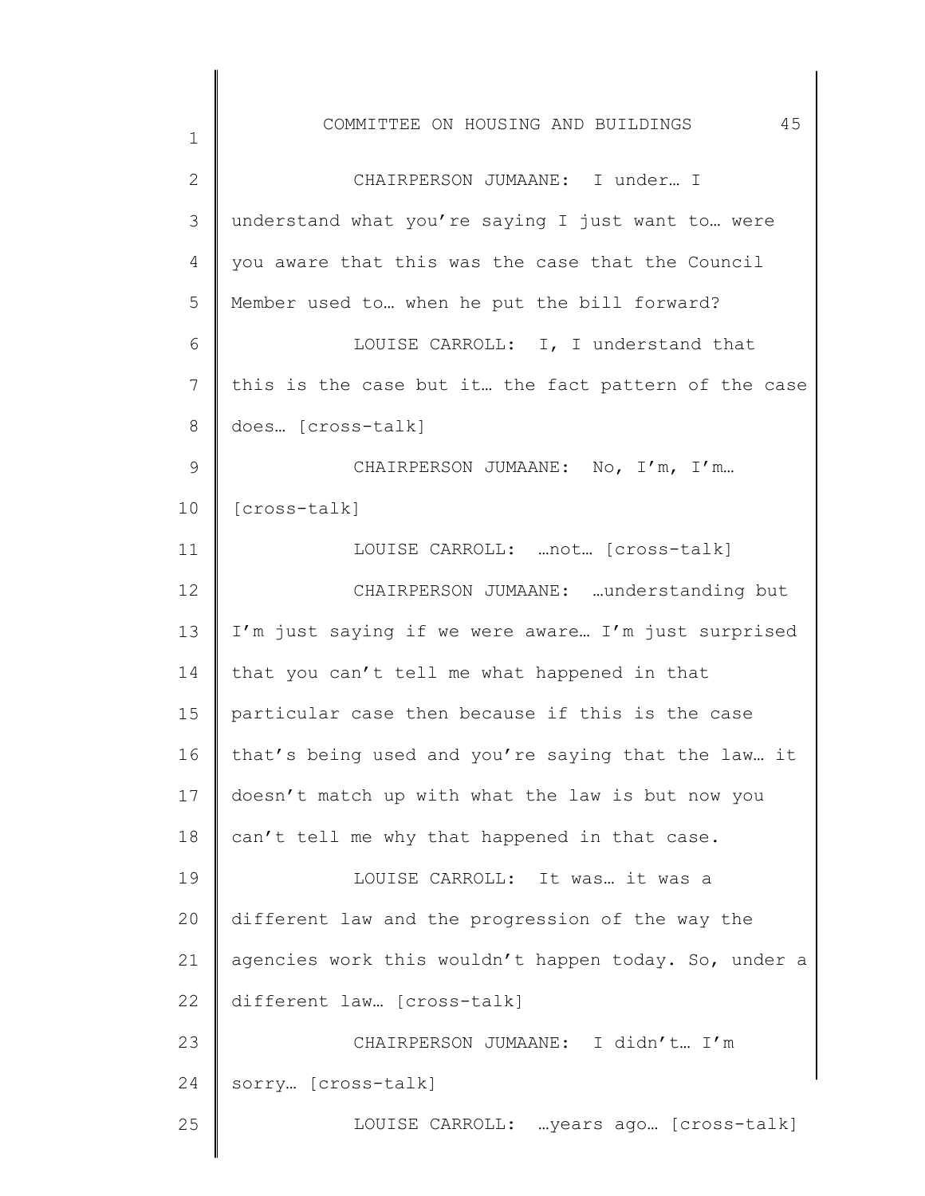| $\mathbf 1$     | 45<br>COMMITTEE ON HOUSING AND BUILDINGS              |
|-----------------|-------------------------------------------------------|
| $\overline{2}$  | CHAIRPERSON JUMAANE: I under I                        |
| 3               | understand what you're saying I just want to  were    |
| 4               | you aware that this was the case that the Council     |
| 5               | Member used to when he put the bill forward?          |
| 6               | LOUISE CARROLL: I, I understand that                  |
| $\overline{7}$  | this is the case but it the fact pattern of the case  |
| 8               | does [cross-talk]                                     |
| 9               | CHAIRPERSON JUMAANE: No, I'm, I'm                     |
| 10              | [cross-talk]                                          |
| 11              | LOUISE CARROLL:  not [cross-talk]                     |
| 12 <sup>°</sup> | CHAIRPERSON JUMAANE: understanding but                |
| 13              | I'm just saying if we were aware I'm just surprised   |
| 14              | that you can't tell me what happened in that          |
| 15              | particular case then because if this is the case      |
| 16              | that's being used and you're saying that the law it   |
| 17              | doesn't match up with what the law is but now you     |
| 18              | can't tell me why that happened in that case.         |
| 19              | LOUISE CARROLL: It was it was a                       |
| 20              | different law and the progression of the way the      |
| 21              | agencies work this wouldn't happen today. So, under a |
| 22              | different law [cross-talk]                            |
| 23              | CHAIRPERSON JUMAANE: I didn't I'm                     |
| 24              | sorry [cross-talk]                                    |
| 25              | LOUISE CARROLL:  years ago [cross-talk]               |
|                 |                                                       |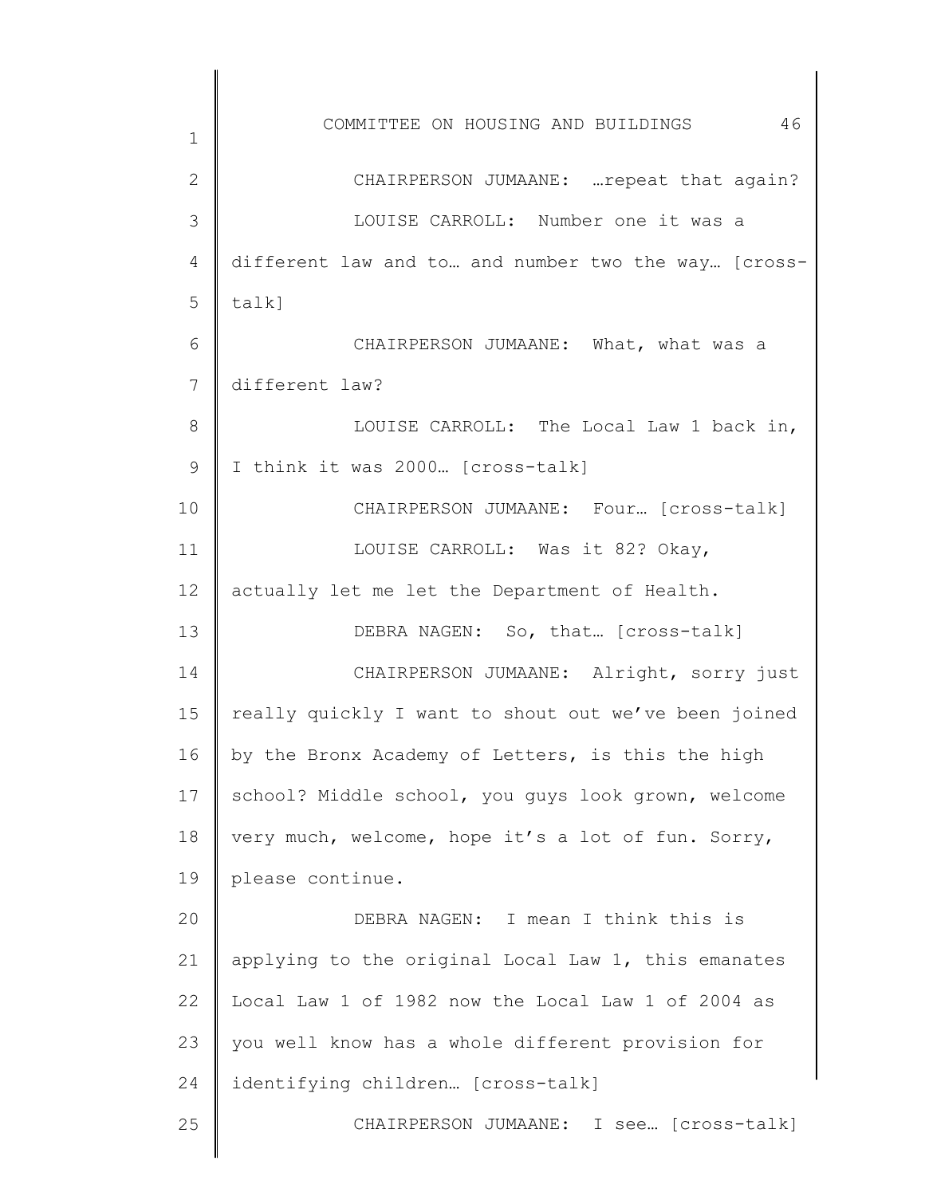| 1              | 46<br>COMMITTEE ON HOUSING AND BUILDINGS             |
|----------------|------------------------------------------------------|
| $\overline{2}$ | CHAIRPERSON JUMAANE:  repeat that again?             |
| 3              | LOUISE CARROLL: Number one it was a                  |
| 4              | different law and to and number two the way [cross-  |
| 5              | $talk$ ]                                             |
| 6              | CHAIRPERSON JUMAANE: What, what was a                |
| 7              | different law?                                       |
| 8              | LOUISE CARROLL: The Local Law 1 back in,             |
| 9              | I think it was 2000 [cross-talk]                     |
| 10             | CHAIRPERSON JUMAANE: Four [cross-talk]               |
| 11             | LOUISE CARROLL: Was it 82? Okay,                     |
| 12             | actually let me let the Department of Health.        |
| 13             | DEBRA NAGEN: So, that [cross-talk]                   |
| 14             | CHAIRPERSON JUMAANE: Alright, sorry just             |
| 15             | really quickly I want to shout out we've been joined |
| 16             | by the Bronx Academy of Letters, is this the high    |
| 17             | school? Middle school, you guys look grown, welcome  |
| 18             | very much, welcome, hope it's a lot of fun. Sorry,   |
| 19             | please continue.                                     |
| 20             | DEBRA NAGEN: I mean I think this is                  |
| 21             | applying to the original Local Law 1, this emanates  |
| 22             | Local Law 1 of 1982 now the Local Law 1 of 2004 as   |
| 23             | you well know has a whole different provision for    |
| 24             | identifying children [cross-talk]                    |
| 25             | CHAIRPERSON JUMAANE: I see [cross-talk]              |
|                |                                                      |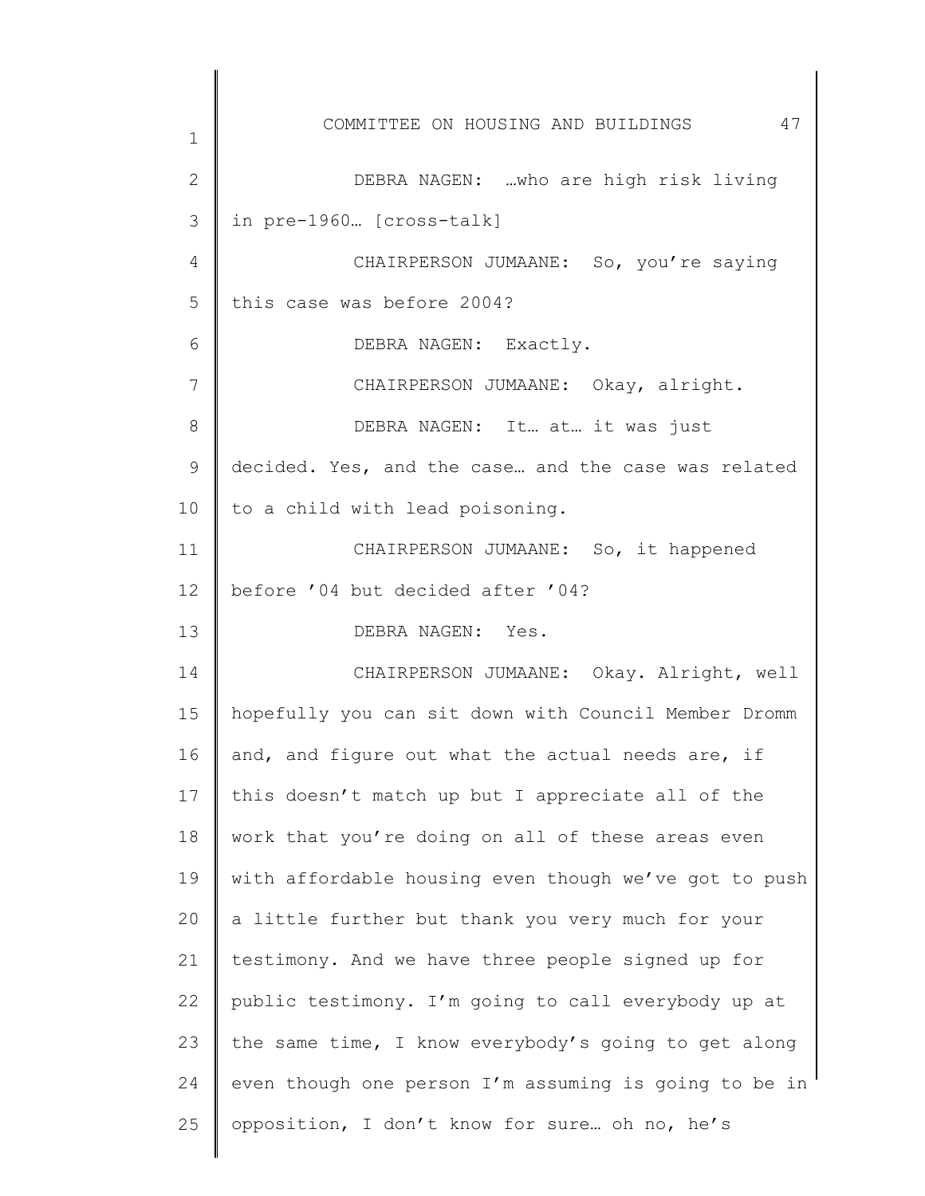1 2 3 4 5 6 7 8 9 10 11 12 13 14 15 16 17 18 19 20 21 22 23 24 25 COMMITTEE ON HOUSING AND BUILDINGS 47 DEBRA NAGEN: …who are high risk living in pre-1960… [cross-talk] CHAIRPERSON JUMAANE: So, you're saying this case was before 2004? DEBRA NAGEN: Exactly. CHAIRPERSON JUMAANE: Okay, alright. DEBRA NAGEN: It… at… it was just decided. Yes, and the case… and the case was related to a child with lead poisoning. CHAIRPERSON JUMAANE: So, it happened before '04 but decided after '04? DEBRA NAGEN: Yes. CHAIRPERSON JUMAANE: Okay. Alright, well hopefully you can sit down with Council Member Dromm and, and figure out what the actual needs are, if this doesn't match up but I appreciate all of the work that you're doing on all of these areas even with affordable housing even though we've got to push a little further but thank you very much for your testimony. And we have three people signed up for public testimony. I'm going to call everybody up at the same time, I know everybody's going to get along even though one person I'm assuming is going to be in opposition, I don't know for sure… oh no, he's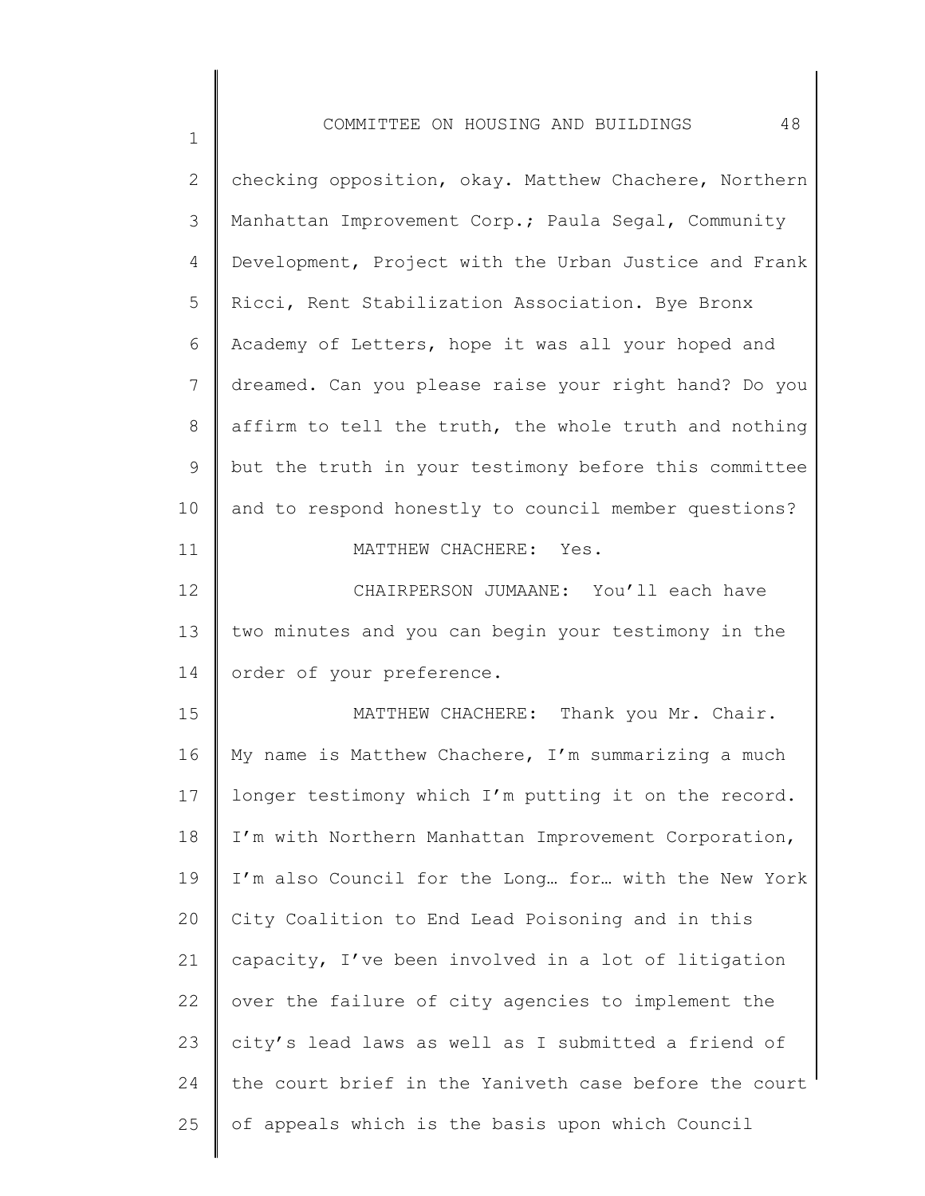| 2             | checking opposition, okay. Matthew Chachere, Northern |
|---------------|-------------------------------------------------------|
| $\mathcal{S}$ | Manhattan Improvement Corp.; Paula Segal, Community   |
| 4             | Development, Project with the Urban Justice and Frank |
| 5             | Ricci, Rent Stabilization Association. Bye Bronx      |
| 6             | Academy of Letters, hope it was all your hoped and    |
| 7             | dreamed. Can you please raise your right hand? Do you |
| $8\,$         | affirm to tell the truth, the whole truth and nothing |
| $\mathsf 9$   | but the truth in your testimony before this committee |
| 10            | and to respond honestly to council member questions?  |
| 11            | MATTHEW CHACHERE: Yes.                                |
| 12            | CHAIRPERSON JUMAANE: You'll each have                 |
| 13            | two minutes and you can begin your testimony in the   |
| 14            | order of your preference.                             |
| 15            | MATTHEW CHACHERE: Thank you Mr. Chair.                |
| 16            | My name is Matthew Chachere, I'm summarizing a much   |
| 17            | longer testimony which I'm putting it on the record.  |
| 18            | I'm with Northern Manhattan Improvement Corporation,  |
| 19            | I'm also Council for the Long for with the New York   |
| 20            | City Coalition to End Lead Poisoning and in this      |
| 21            | capacity, I've been involved in a lot of litigation   |
| 22            | over the failure of city agencies to implement the    |
| 23            | city's lead laws as well as I submitted a friend of   |
| 24            | the court brief in the Yaniveth case before the court |
| 25            | of appeals which is the basis upon which Council      |
|               |                                                       |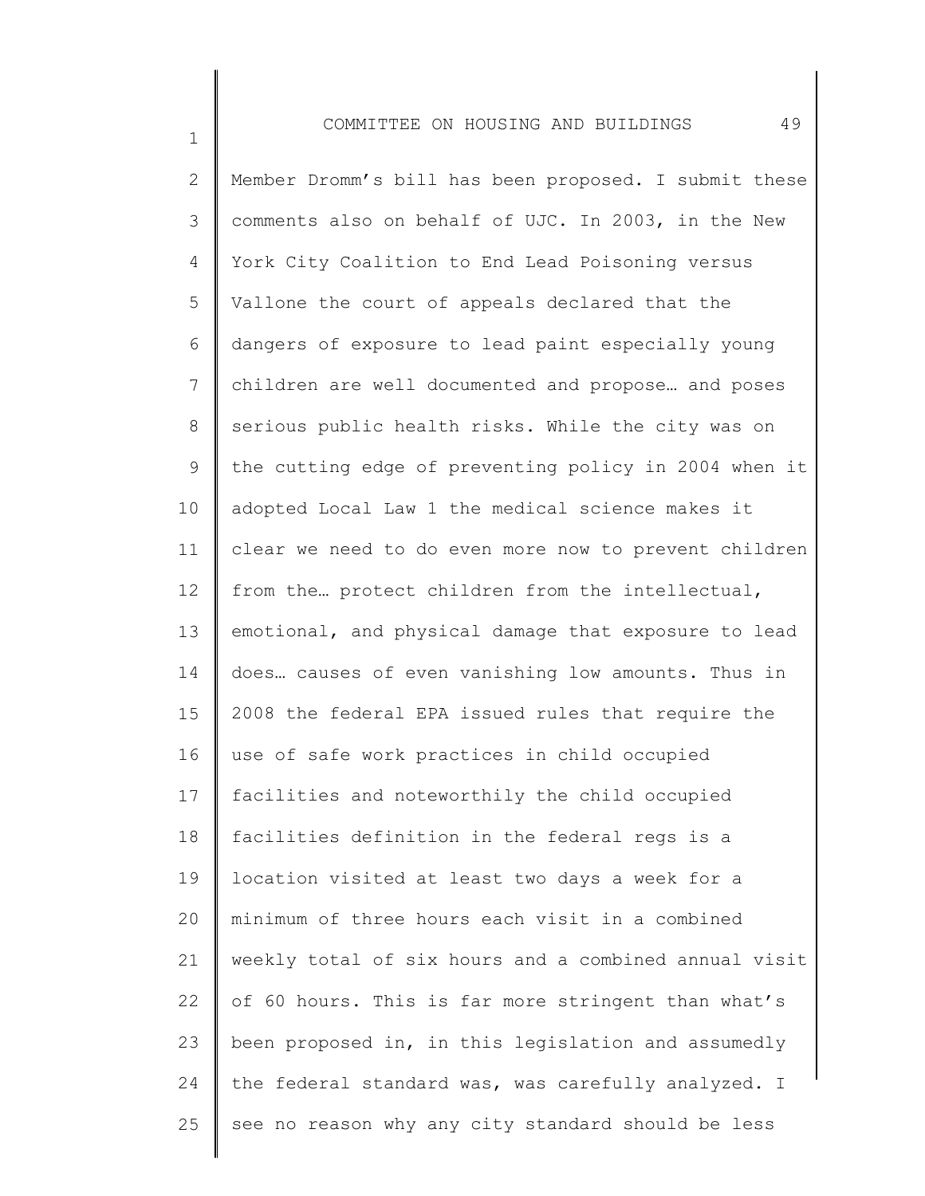1

2 3 4 5 6 7 8 9 10 11 12 13 14 15 16 17 18 19 20 21 22 23 24 25 Member Dromm's bill has been proposed. I submit these comments also on behalf of UJC. In 2003, in the New York City Coalition to End Lead Poisoning versus Vallone the court of appeals declared that the dangers of exposure to lead paint especially young children are well documented and propose… and poses serious public health risks. While the city was on the cutting edge of preventing policy in 2004 when it adopted Local Law 1 the medical science makes it clear we need to do even more now to prevent children from the… protect children from the intellectual, emotional, and physical damage that exposure to lead does… causes of even vanishing low amounts. Thus in 2008 the federal EPA issued rules that require the use of safe work practices in child occupied facilities and noteworthily the child occupied facilities definition in the federal regs is a location visited at least two days a week for a minimum of three hours each visit in a combined weekly total of six hours and a combined annual visit of 60 hours. This is far more stringent than what's been proposed in, in this legislation and assumedly the federal standard was, was carefully analyzed. I see no reason why any city standard should be less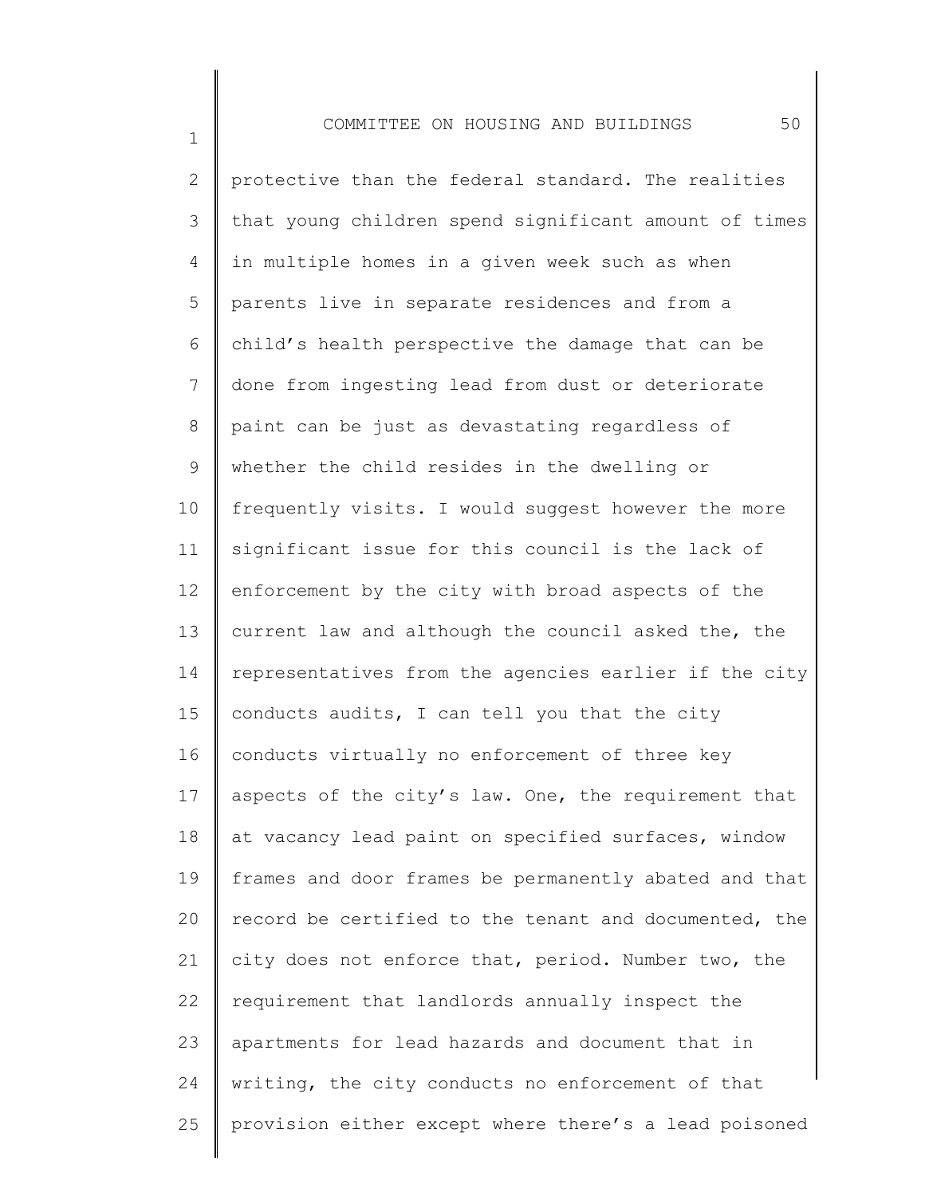1

2 3 4 5 6 7 8 9 10 11 12 13 14 15 16 17 18 19 20 21 22 23 24 25 protective than the federal standard. The realities that young children spend significant amount of times in multiple homes in a given week such as when parents live in separate residences and from a child's health perspective the damage that can be done from ingesting lead from dust or deteriorate paint can be just as devastating regardless of whether the child resides in the dwelling or frequently visits. I would suggest however the more significant issue for this council is the lack of enforcement by the city with broad aspects of the current law and although the council asked the, the representatives from the agencies earlier if the city conducts audits, I can tell you that the city conducts virtually no enforcement of three key aspects of the city's law. One, the requirement that at vacancy lead paint on specified surfaces, window frames and door frames be permanently abated and that record be certified to the tenant and documented, the city does not enforce that, period. Number two, the requirement that landlords annually inspect the apartments for lead hazards and document that in writing, the city conducts no enforcement of that provision either except where there's a lead poisoned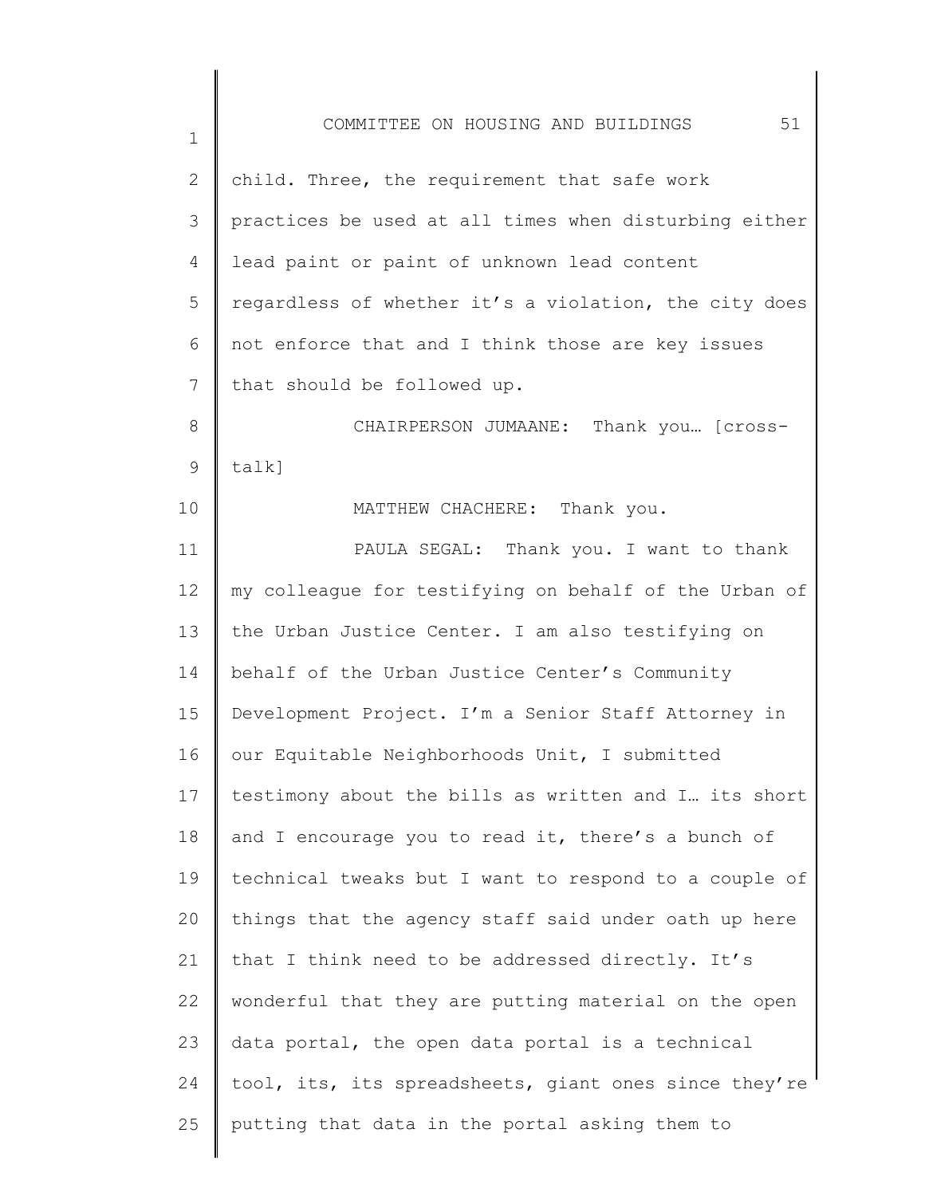1 2 3 4 5 6 7 8 9 10 11 12 13 14 15 16 17 18 19 20 21 22 23 24 25 COMMITTEE ON HOUSING AND BUILDINGS 51 child. Three, the requirement that safe work practices be used at all times when disturbing either lead paint or paint of unknown lead content regardless of whether it's a violation, the city does not enforce that and I think those are key issues that should be followed up. CHAIRPERSON JUMAANE: Thank you… [crosstalk] MATTHEW CHACHERE: Thank you. PAULA SEGAL: Thank you. I want to thank my colleague for testifying on behalf of the Urban of the Urban Justice Center. I am also testifying on behalf of the Urban Justice Center's Community Development Project. I'm a Senior Staff Attorney in our Equitable Neighborhoods Unit, I submitted testimony about the bills as written and I… its short and I encourage you to read it, there's a bunch of technical tweaks but I want to respond to a couple of things that the agency staff said under oath up here that I think need to be addressed directly. It's wonderful that they are putting material on the open data portal, the open data portal is a technical tool, its, its spreadsheets, giant ones since they're putting that data in the portal asking them to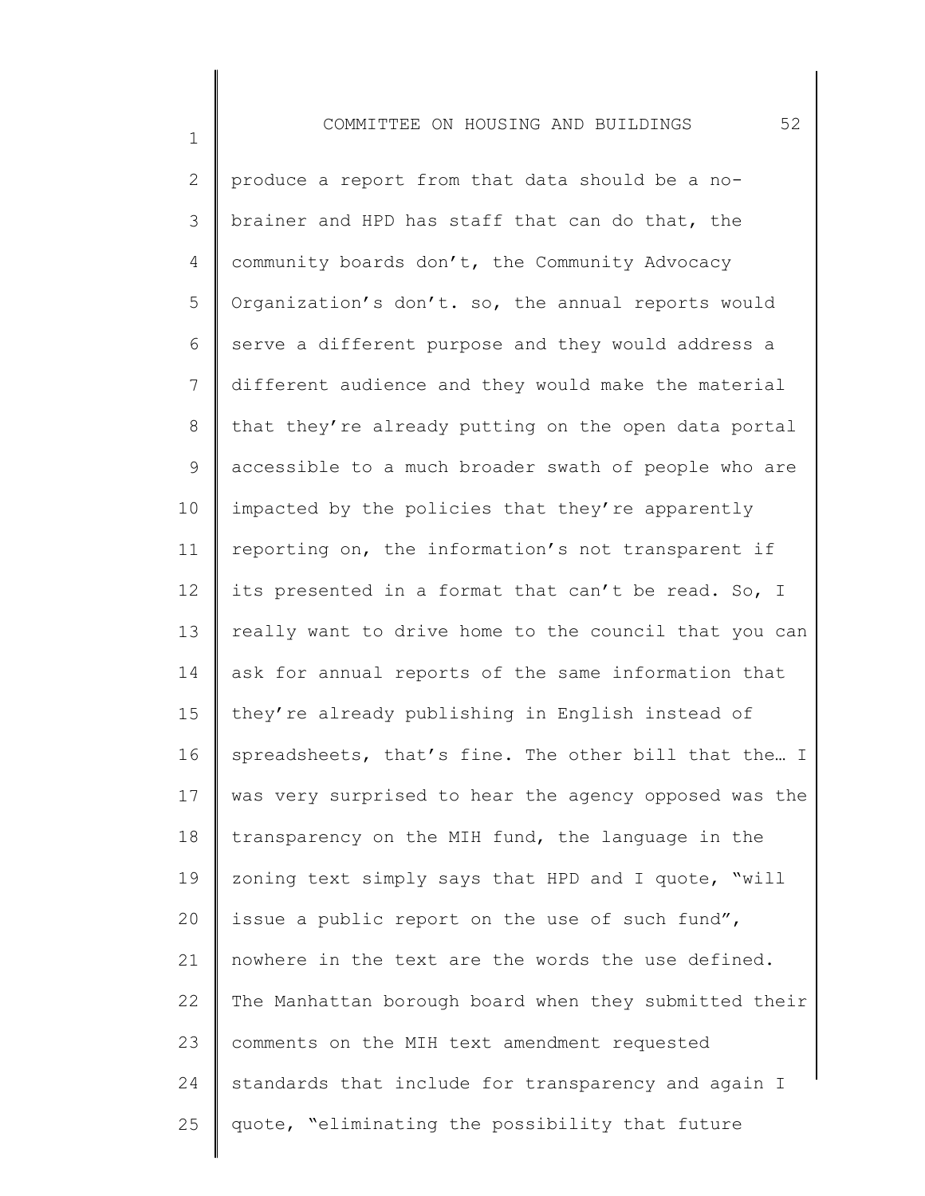1

2 3 4 5 6 7 8 9 10 11 12 13 14 15 16 17 18 19 20 21 22 23 24 25 produce a report from that data should be a nobrainer and HPD has staff that can do that, the community boards don't, the Community Advocacy Organization's don't. so, the annual reports would serve a different purpose and they would address a different audience and they would make the material that they're already putting on the open data portal accessible to a much broader swath of people who are impacted by the policies that they're apparently reporting on, the information's not transparent if its presented in a format that can't be read. So, I really want to drive home to the council that you can ask for annual reports of the same information that they're already publishing in English instead of spreadsheets, that's fine. The other bill that the… I was very surprised to hear the agency opposed was the transparency on the MIH fund, the language in the zoning text simply says that HPD and I quote, "will issue a public report on the use of such fund", nowhere in the text are the words the use defined. The Manhattan borough board when they submitted their comments on the MIH text amendment requested standards that include for transparency and again I quote, "eliminating the possibility that future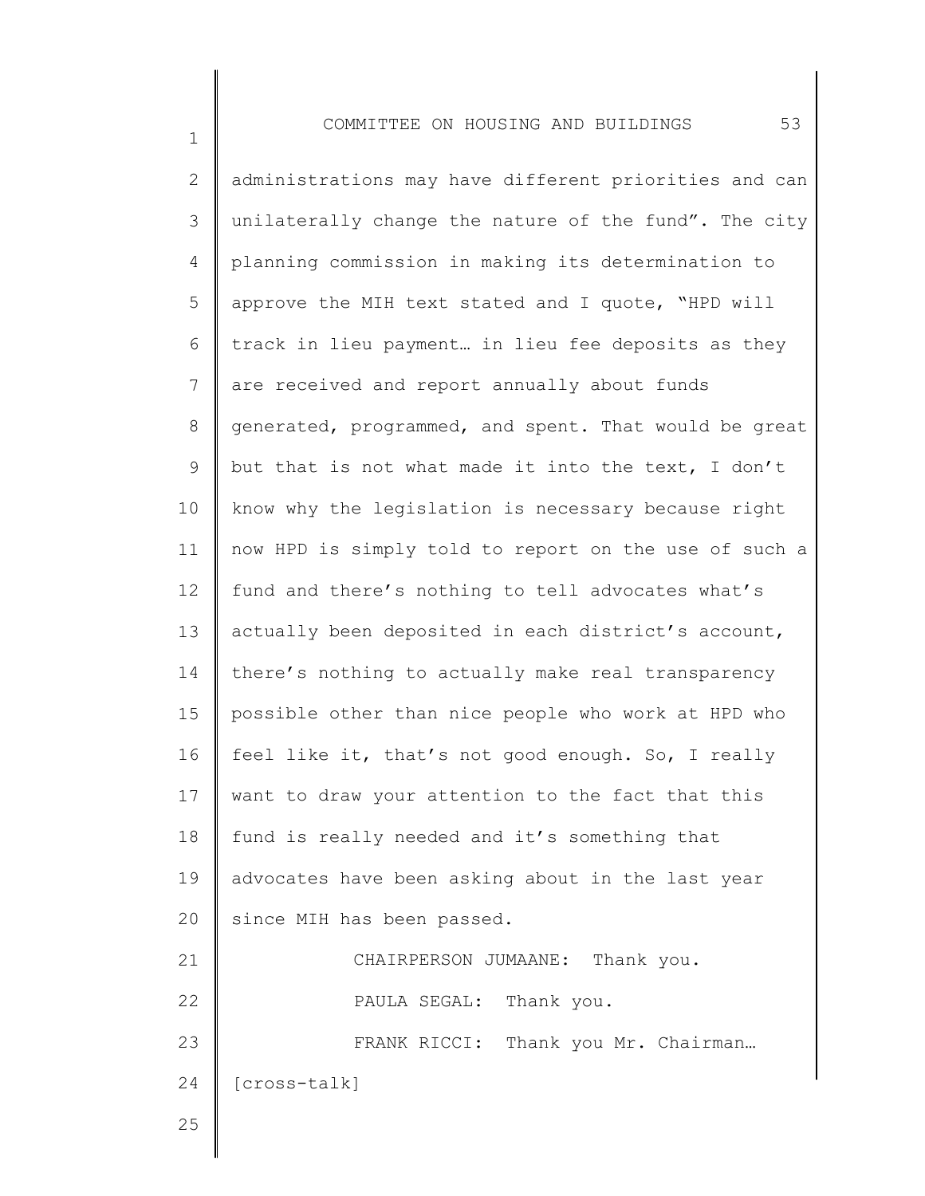2 3 4 5 6 7 8 9 10 11 12 13 14 15 16 17 18 19 20 21 22 23 24 administrations may have different priorities and can unilaterally change the nature of the fund". The city planning commission in making its determination to approve the MIH text stated and I quote, "HPD will track in lieu payment… in lieu fee deposits as they are received and report annually about funds generated, programmed, and spent. That would be great but that is not what made it into the text, I don't know why the legislation is necessary because right now HPD is simply told to report on the use of such a fund and there's nothing to tell advocates what's actually been deposited in each district's account, there's nothing to actually make real transparency possible other than nice people who work at HPD who feel like it, that's not good enough. So, I really want to draw your attention to the fact that this fund is really needed and it's something that advocates have been asking about in the last year since MIH has been passed. CHAIRPERSON JUMAANE: Thank you. PAULA SEGAL: Thank you. FRANK RICCI: Thank you Mr. Chairman... [cross-talk]

25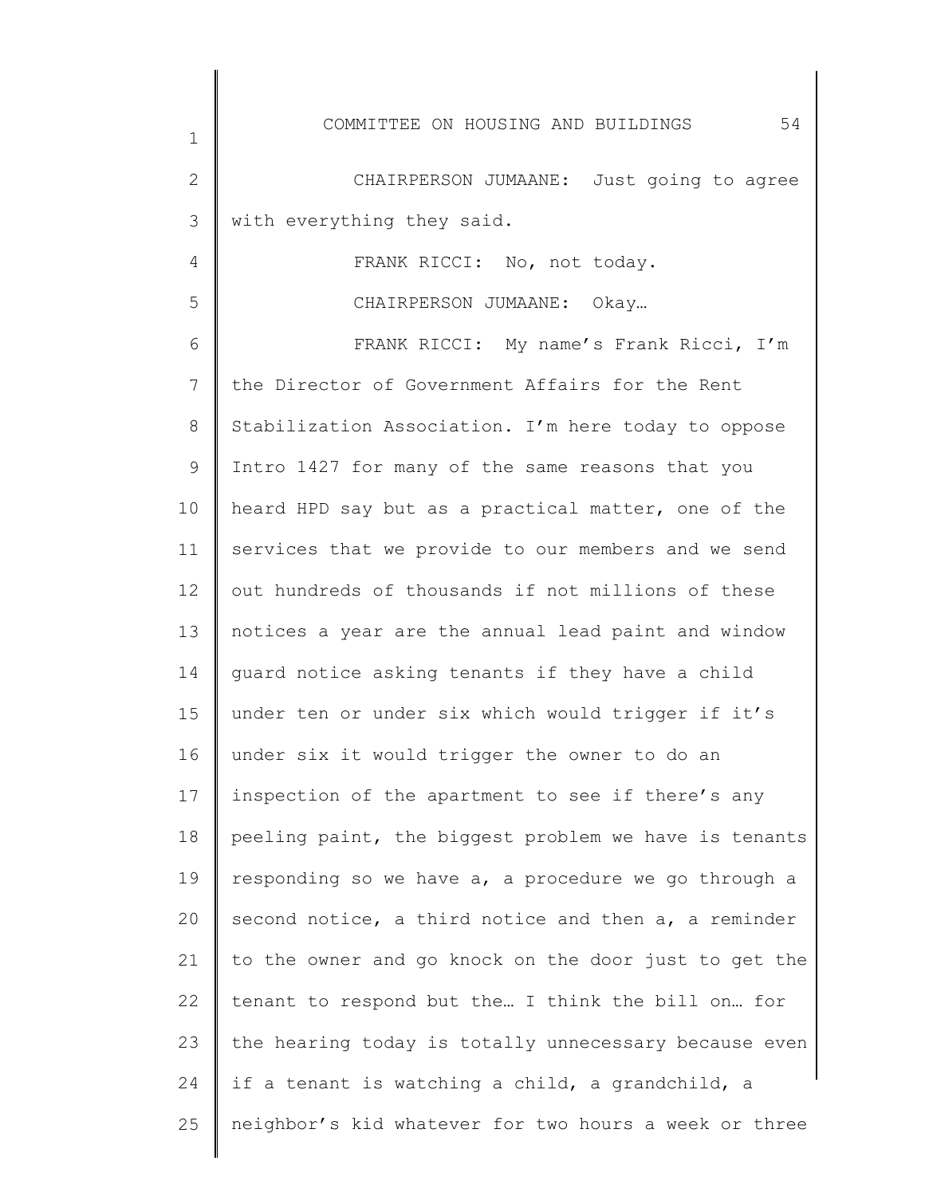|                | 54<br>COMMITTEE ON HOUSING AND BUILDINGS              |
|----------------|-------------------------------------------------------|
| $\mathbf 1$    |                                                       |
| $\mathbf{2}$   | CHAIRPERSON JUMAANE: Just going to agree              |
| 3              | with everything they said.                            |
| $\overline{4}$ | FRANK RICCI: No, not today.                           |
| 5              | CHAIRPERSON JUMAANE: Okay                             |
| 6              | FRANK RICCI: My name's Frank Ricci, I'm               |
| 7              | the Director of Government Affairs for the Rent       |
| 8              | Stabilization Association. I'm here today to oppose   |
| $\mathsf 9$    | Intro 1427 for many of the same reasons that you      |
| 10             | heard HPD say but as a practical matter, one of the   |
| 11             | services that we provide to our members and we send   |
| 12             | out hundreds of thousands if not millions of these    |
| 13             | notices a year are the annual lead paint and window   |
| 14             | guard notice asking tenants if they have a child      |
| 15             | under ten or under six which would trigger if it's    |
| 16             | under six it would trigger the owner to do an         |
| 17             | inspection of the apartment to see if there's any     |
| 18             | peeling paint, the biggest problem we have is tenants |
| 19             | responding so we have a, a procedure we go through a  |
| 20             | second notice, a third notice and then a, a reminder  |
| 21             | to the owner and go knock on the door just to get the |
| 22             | tenant to respond but the I think the bill on for     |
| 23             | the hearing today is totally unnecessary because even |
| 24             | if a tenant is watching a child, a grandchild, a      |
| 25             | neighbor's kid whatever for two hours a week or three |

∥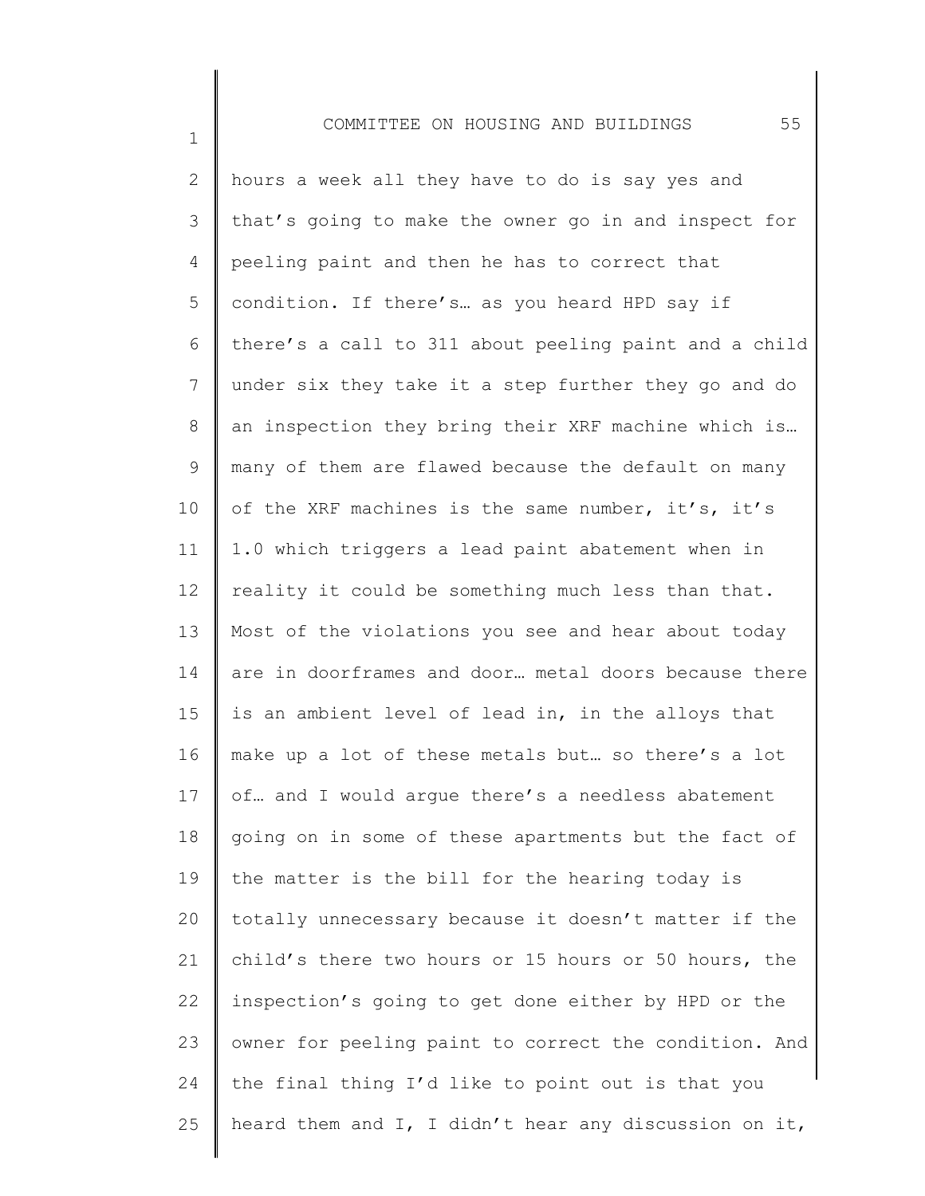1

2 3 4 5 6 7 8 9 10 11 12 13 14 15 16 17 18 19 20 21 22 23 24 25 hours a week all they have to do is say yes and that's going to make the owner go in and inspect for peeling paint and then he has to correct that condition. If there's… as you heard HPD say if there's a call to 311 about peeling paint and a child under six they take it a step further they go and do an inspection they bring their XRF machine which is… many of them are flawed because the default on many of the XRF machines is the same number, it's, it's 1.0 which triggers a lead paint abatement when in reality it could be something much less than that. Most of the violations you see and hear about today are in doorframes and door… metal doors because there is an ambient level of lead in, in the alloys that make up a lot of these metals but… so there's a lot of… and I would argue there's a needless abatement going on in some of these apartments but the fact of the matter is the bill for the hearing today is totally unnecessary because it doesn't matter if the child's there two hours or 15 hours or 50 hours, the inspection's going to get done either by HPD or the owner for peeling paint to correct the condition. And the final thing I'd like to point out is that you heard them and I, I didn't hear any discussion on it,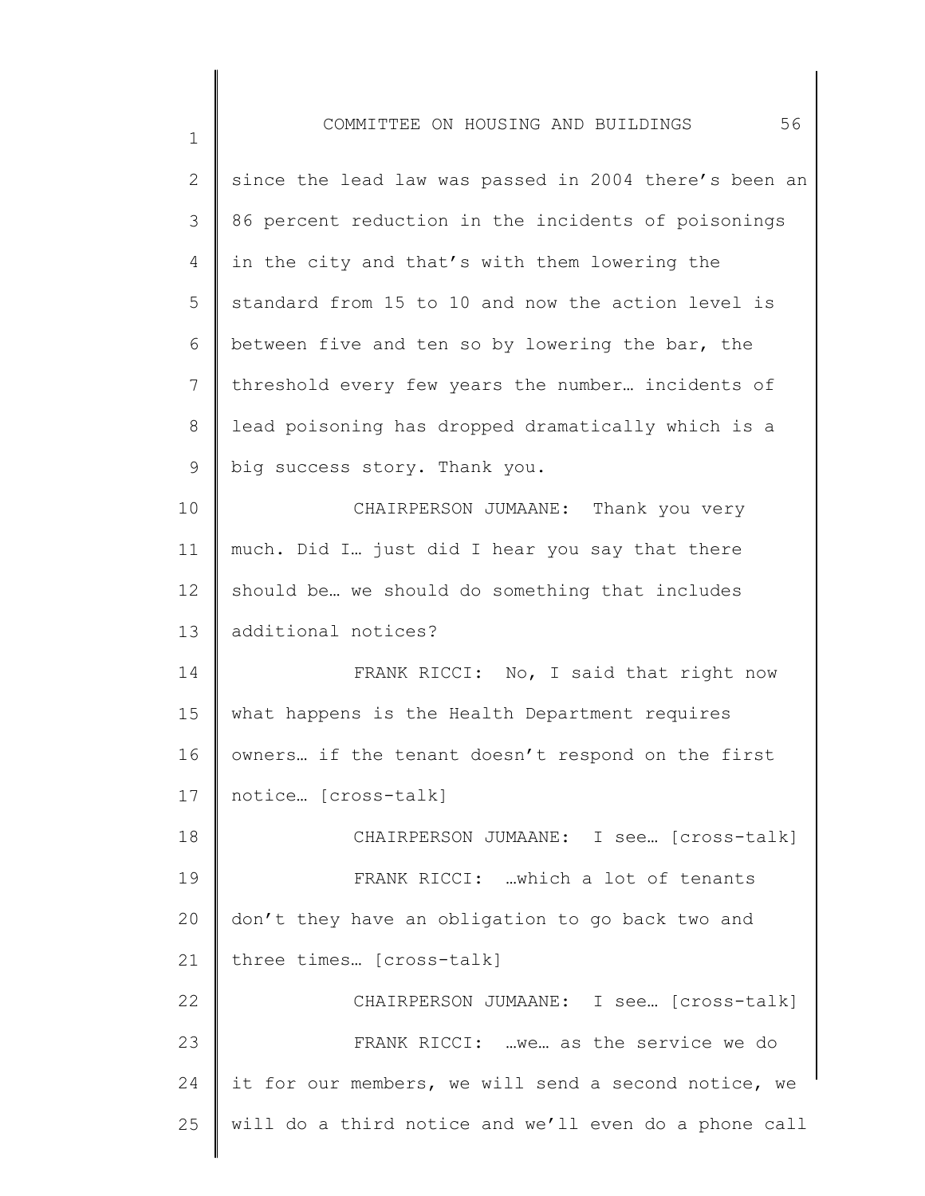| 2               | since the lead law was passed in 2004 there's been an |
|-----------------|-------------------------------------------------------|
| 3               | 86 percent reduction in the incidents of poisonings   |
| 4               | in the city and that's with them lowering the         |
| 5               | standard from 15 to 10 and now the action level is    |
| 6               | between five and ten so by lowering the bar, the      |
| $7\phantom{.0}$ | threshold every few years the number incidents of     |
| 8               | lead poisoning has dropped dramatically which is a    |
| 9               | big success story. Thank you.                         |
| 10              | CHAIRPERSON JUMAANE: Thank you very                   |
| 11              | much. Did I just did I hear you say that there        |
| 12              | should be we should do something that includes        |
| 13              | additional notices?                                   |
| 14              | FRANK RICCI: No, I said that right now                |
| 15              | what happens is the Health Department requires        |
| 16              | owners if the tenant doesn't respond on the first     |
| 17              | notice [cross-talk]                                   |
| 18              | CHAIRPERSON JUMAANE: I see  [cross-talk]              |
| 19              | FRANK RICCI: which a lot of tenants                   |
| 20              | don't they have an obligation to go back two and      |
| 21              | three times [cross-talk]                              |
| 22              | CHAIRPERSON JUMAANE: I see [cross-talk]               |
| 23              | FRANK RICCI:  we as the service we do                 |
| 24              | it for our members, we will send a second notice, we  |
| 25              | will do a third notice and we'll even do a phone call |
|                 |                                                       |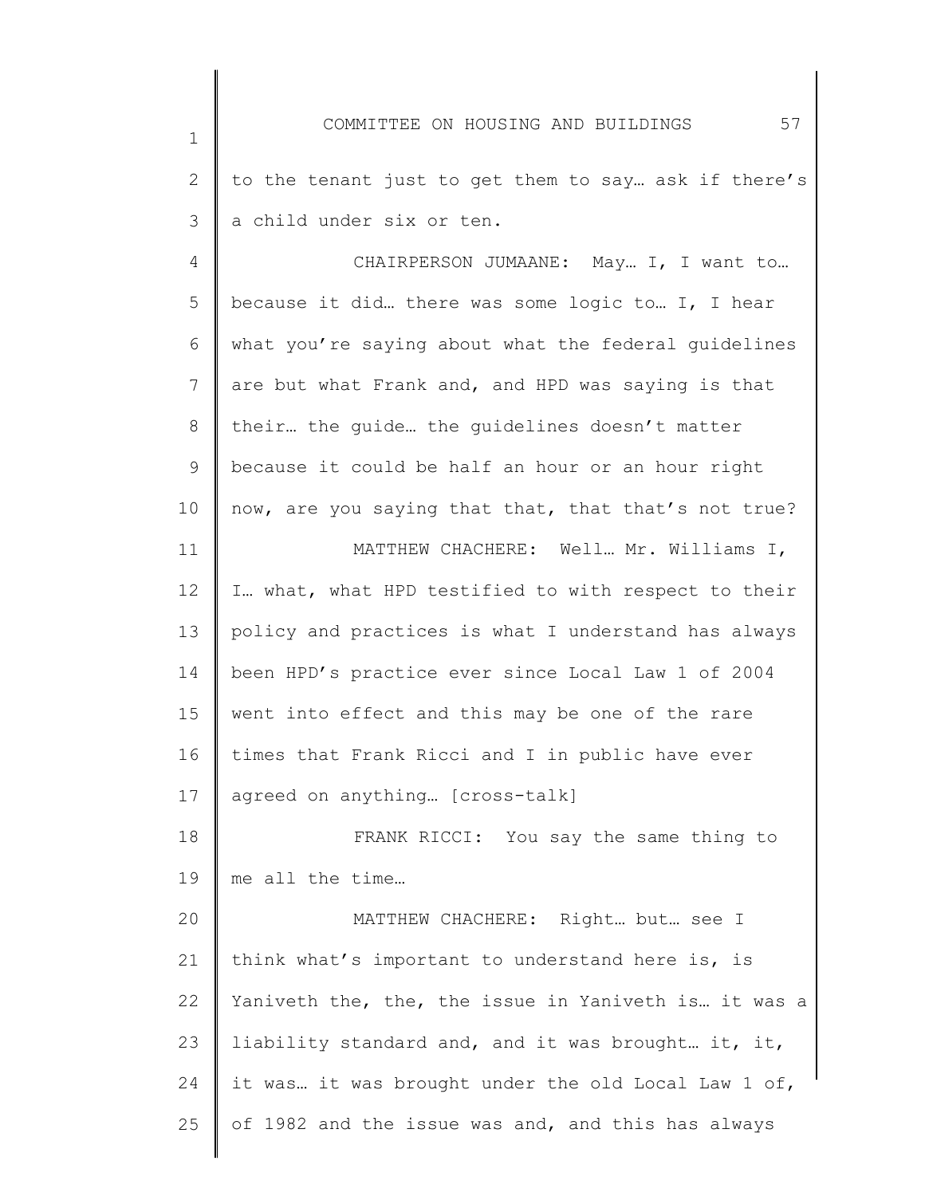1 2 3 4 5 6 7 8 9 10 11 12 13 14 15 16 17 18 19 20 21 22 23 24 25 COMMITTEE ON HOUSING AND BUILDINGS 57 to the tenant just to get them to say… ask if there's a child under six or ten. CHAIRPERSON JUMAANE: May… I, I want to… because it did… there was some logic to… I, I hear what you're saying about what the federal guidelines are but what Frank and, and HPD was saying is that their… the guide… the guidelines doesn't matter because it could be half an hour or an hour right now, are you saying that that, that that's not true? MATTHEW CHACHERE: Well… Mr. Williams I, I… what, what HPD testified to with respect to their policy and practices is what I understand has always been HPD's practice ever since Local Law 1 of 2004 went into effect and this may be one of the rare times that Frank Ricci and I in public have ever agreed on anything… [cross-talk] FRANK RICCI: You say the same thing to me all the time… MATTHEW CHACHERE: Right… but… see I think what's important to understand here is, is Yaniveth the, the, the issue in Yaniveth is… it was a liability standard and, and it was brought… it, it, it was… it was brought under the old Local Law 1 of, of 1982 and the issue was and, and this has always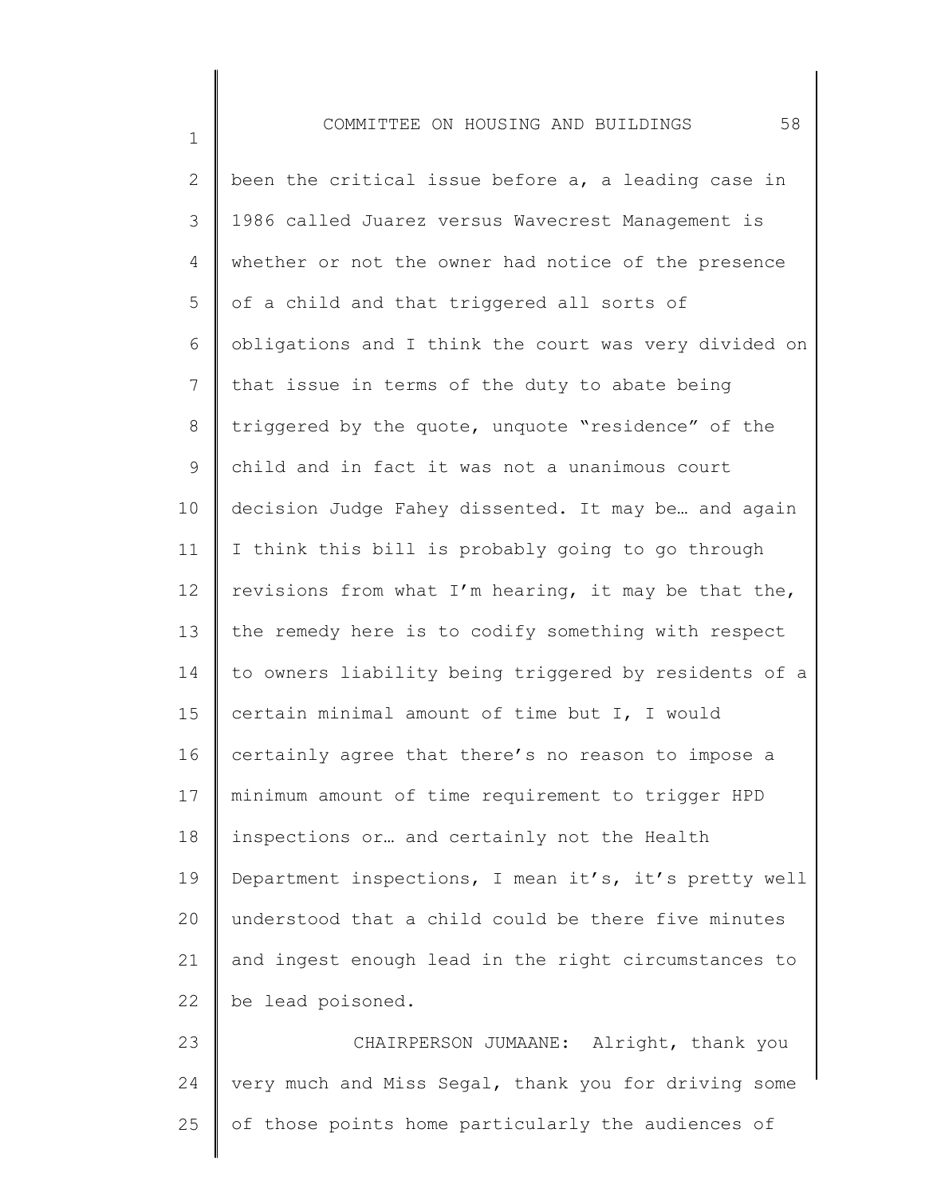1

2 3 4 5 6 7 8 9 10 11 12 13 14 15 16 17 18 19 20 21 22 been the critical issue before a, a leading case in 1986 called Juarez versus Wavecrest Management is whether or not the owner had notice of the presence of a child and that triggered all sorts of obligations and I think the court was very divided on that issue in terms of the duty to abate being triggered by the quote, unquote "residence" of the child and in fact it was not a unanimous court decision Judge Fahey dissented. It may be… and again I think this bill is probably going to go through revisions from what I'm hearing, it may be that the, the remedy here is to codify something with respect to owners liability being triggered by residents of a certain minimal amount of time but I, I would certainly agree that there's no reason to impose a minimum amount of time requirement to trigger HPD inspections or… and certainly not the Health Department inspections, I mean it's, it's pretty well understood that a child could be there five minutes and ingest enough lead in the right circumstances to be lead poisoned.

23 24 25 CHAIRPERSON JUMAANE: Alright, thank you very much and Miss Segal, thank you for driving some of those points home particularly the audiences of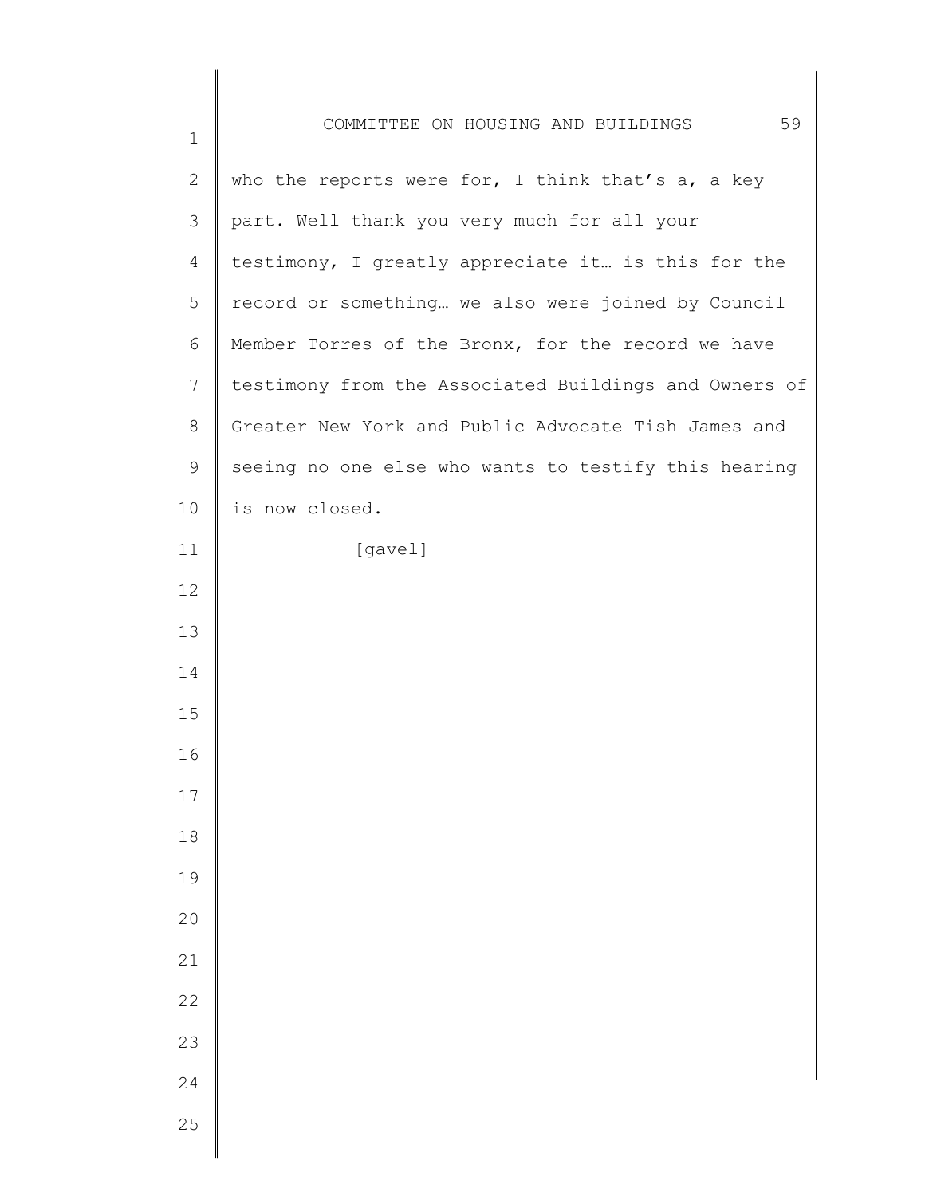| $\mathbf 1$    | 59<br>COMMITTEE ON HOUSING AND BUILDINGS              |
|----------------|-------------------------------------------------------|
| $\mathbf{2}$   | who the reports were for, I think that's $a$ , a key  |
| $\mathfrak{Z}$ | part. Well thank you very much for all your           |
| 4              | testimony, I greatly appreciate it is this for the    |
| 5              | record or something we also were joined by Council    |
| 6              | Member Torres of the Bronx, for the record we have    |
| $7\phantom{.}$ | testimony from the Associated Buildings and Owners of |
| $\,8\,$        | Greater New York and Public Advocate Tish James and   |
| $\mathsf 9$    | seeing no one else who wants to testify this hearing  |
| 10             | is now closed.                                        |
| 11             | [gavel]                                               |
| 12             |                                                       |
| 13             |                                                       |
| 14             |                                                       |
| 15             |                                                       |
| 16             |                                                       |
| $17$           |                                                       |
| 18             |                                                       |
| 19             |                                                       |
| 20             |                                                       |
| 21             |                                                       |
| 22             |                                                       |
| 23             |                                                       |
| 24             |                                                       |
| 25             |                                                       |
|                |                                                       |